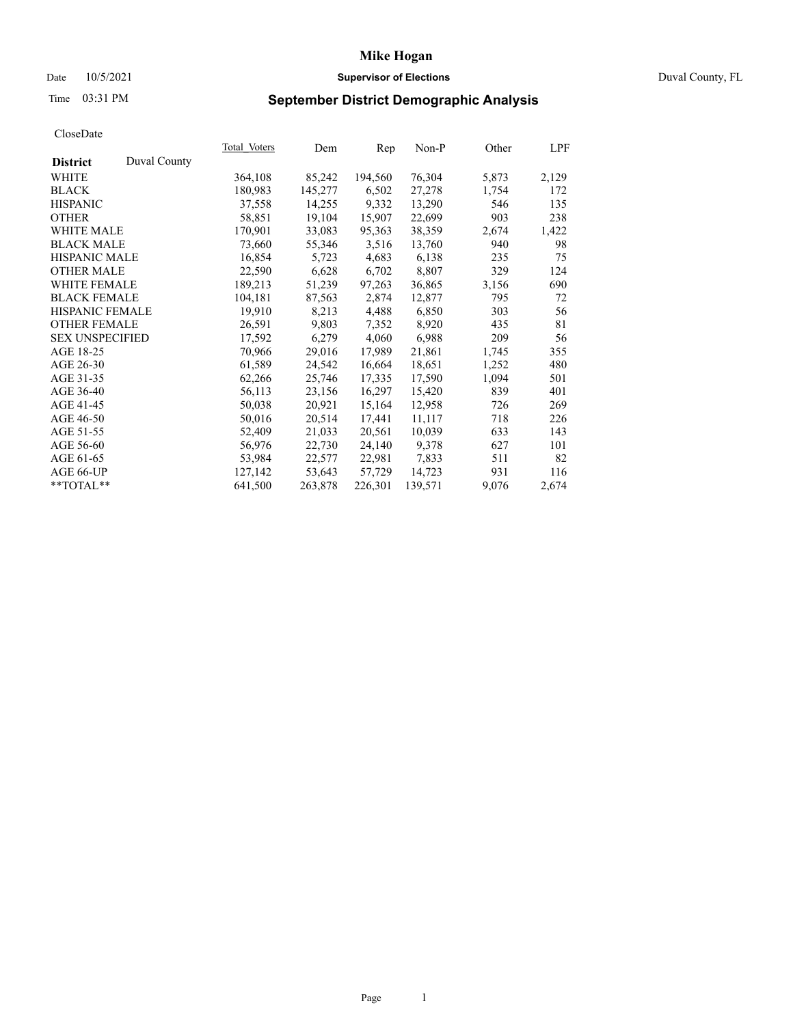# Date 10/5/2021 **Supervisor of Elections** Duval County, FL

# Time 03:31 PM **September District Demographic Analysis**

|                        |              | Total Voters | Dem     | Rep     | Non-P   | Other | LPF   |
|------------------------|--------------|--------------|---------|---------|---------|-------|-------|
| <b>District</b>        | Duval County |              |         |         |         |       |       |
| WHITE                  |              | 364,108      | 85,242  | 194,560 | 76,304  | 5,873 | 2,129 |
| <b>BLACK</b>           |              | 180,983      | 145,277 | 6,502   | 27,278  | 1,754 | 172   |
| <b>HISPANIC</b>        |              | 37,558       | 14,255  | 9,332   | 13,290  | 546   | 135   |
| <b>OTHER</b>           |              | 58,851       | 19,104  | 15,907  | 22,699  | 903   | 238   |
| <b>WHITE MALE</b>      |              | 170,901      | 33,083  | 95,363  | 38,359  | 2,674 | 1,422 |
| <b>BLACK MALE</b>      |              | 73,660       | 55,346  | 3,516   | 13,760  | 940   | 98    |
| <b>HISPANIC MALE</b>   |              | 16,854       | 5,723   | 4,683   | 6,138   | 235   | 75    |
| <b>OTHER MALE</b>      |              | 22,590       | 6,628   | 6,702   | 8,807   | 329   | 124   |
| <b>WHITE FEMALE</b>    |              | 189,213      | 51,239  | 97,263  | 36,865  | 3,156 | 690   |
| <b>BLACK FEMALE</b>    |              | 104,181      | 87,563  | 2,874   | 12,877  | 795   | 72    |
| <b>HISPANIC FEMALE</b> |              | 19,910       | 8,213   | 4,488   | 6,850   | 303   | 56    |
| <b>OTHER FEMALE</b>    |              | 26,591       | 9,803   | 7,352   | 8,920   | 435   | 81    |
| <b>SEX UNSPECIFIED</b> |              | 17,592       | 6,279   | 4,060   | 6,988   | 209   | 56    |
| AGE 18-25              |              | 70,966       | 29,016  | 17,989  | 21,861  | 1,745 | 355   |
| AGE 26-30              |              | 61,589       | 24,542  | 16,664  | 18,651  | 1,252 | 480   |
| AGE 31-35              |              | 62,266       | 25,746  | 17,335  | 17,590  | 1,094 | 501   |
| AGE 36-40              |              | 56,113       | 23,156  | 16,297  | 15,420  | 839   | 401   |
| AGE 41-45              |              | 50,038       | 20,921  | 15,164  | 12,958  | 726   | 269   |
| AGE 46-50              |              | 50,016       | 20,514  | 17,441  | 11,117  | 718   | 226   |
| AGE 51-55              |              | 52,409       | 21,033  | 20,561  | 10,039  | 633   | 143   |
| AGE 56-60              |              | 56,976       | 22,730  | 24,140  | 9,378   | 627   | 101   |
| AGE 61-65              |              | 53,984       | 22,577  | 22,981  | 7,833   | 511   | 82    |
| AGE 66-UP              |              | 127,142      | 53,643  | 57,729  | 14,723  | 931   | 116   |
| $*$ TOTAL $*$          |              | 641,500      | 263,878 | 226,301 | 139,571 | 9,076 | 2,674 |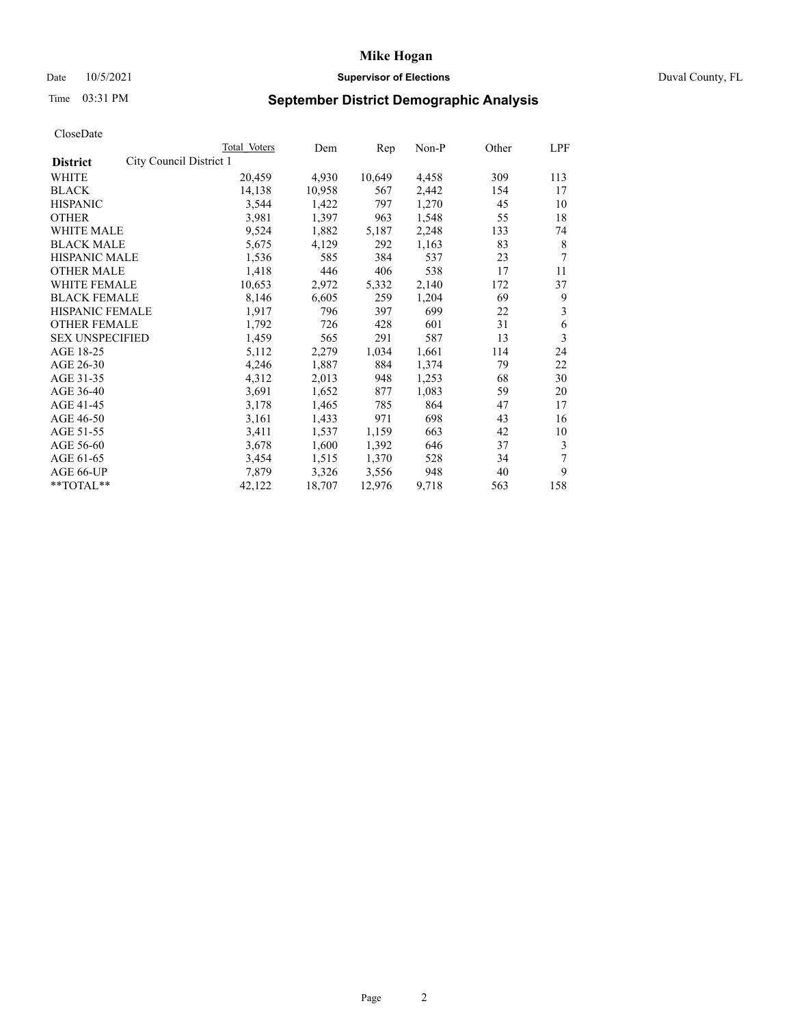# Date 10/5/2021 **Supervisor of Elections Supervisor of Elections** Duval County, FL

# Time 03:31 PM **September District Demographic Analysis**

|                                            | Total Voters | Dem    | Rep    | Non-P | Other | LPF |
|--------------------------------------------|--------------|--------|--------|-------|-------|-----|
| City Council District 1<br><b>District</b> |              |        |        |       |       |     |
| WHITE                                      | 20,459       | 4,930  | 10,649 | 4,458 | 309   | 113 |
| <b>BLACK</b>                               | 14,138       | 10,958 | 567    | 2,442 | 154   | 17  |
| <b>HISPANIC</b>                            | 3,544        | 1,422  | 797    | 1,270 | 45    | 10  |
| <b>OTHER</b>                               | 3,981        | 1,397  | 963    | 1,548 | 55    | 18  |
| <b>WHITE MALE</b>                          | 9,524        | 1,882  | 5,187  | 2,248 | 133   | 74  |
| <b>BLACK MALE</b>                          | 5,675        | 4,129  | 292    | 1,163 | 83    | 8   |
| <b>HISPANIC MALE</b>                       | 1,536        | 585    | 384    | 537   | 23    | 7   |
| <b>OTHER MALE</b>                          | 1,418        | 446    | 406    | 538   | 17    | 11  |
| WHITE FEMALE                               | 10,653       | 2,972  | 5,332  | 2,140 | 172   | 37  |
| <b>BLACK FEMALE</b>                        | 8,146        | 6,605  | 259    | 1,204 | 69    | 9   |
| HISPANIC FEMALE                            | 1,917        | 796    | 397    | 699   | 22    | 3   |
| <b>OTHER FEMALE</b>                        | 1,792        | 726    | 428    | 601   | 31    | 6   |
| <b>SEX UNSPECIFIED</b>                     | 1,459        | 565    | 291    | 587   | 13    | 3   |
| AGE 18-25                                  | 5,112        | 2,279  | 1,034  | 1,661 | 114   | 24  |
| AGE 26-30                                  | 4,246        | 1,887  | 884    | 1,374 | 79    | 22  |
| AGE 31-35                                  | 4,312        | 2,013  | 948    | 1,253 | 68    | 30  |
| AGE 36-40                                  | 3,691        | 1,652  | 877    | 1,083 | 59    | 20  |
| AGE 41-45                                  | 3,178        | 1,465  | 785    | 864   | 47    | 17  |
| AGE 46-50                                  | 3,161        | 1,433  | 971    | 698   | 43    | 16  |
| AGE 51-55                                  | 3,411        | 1,537  | 1,159  | 663   | 42    | 10  |
| AGE 56-60                                  | 3,678        | 1,600  | 1,392  | 646   | 37    | 3   |
| AGE 61-65                                  | 3,454        | 1,515  | 1,370  | 528   | 34    | 7   |
| AGE 66-UP                                  | 7,879        | 3,326  | 3,556  | 948   | 40    | 9   |
| **TOTAL**                                  | 42,122       | 18,707 | 12,976 | 9,718 | 563   | 158 |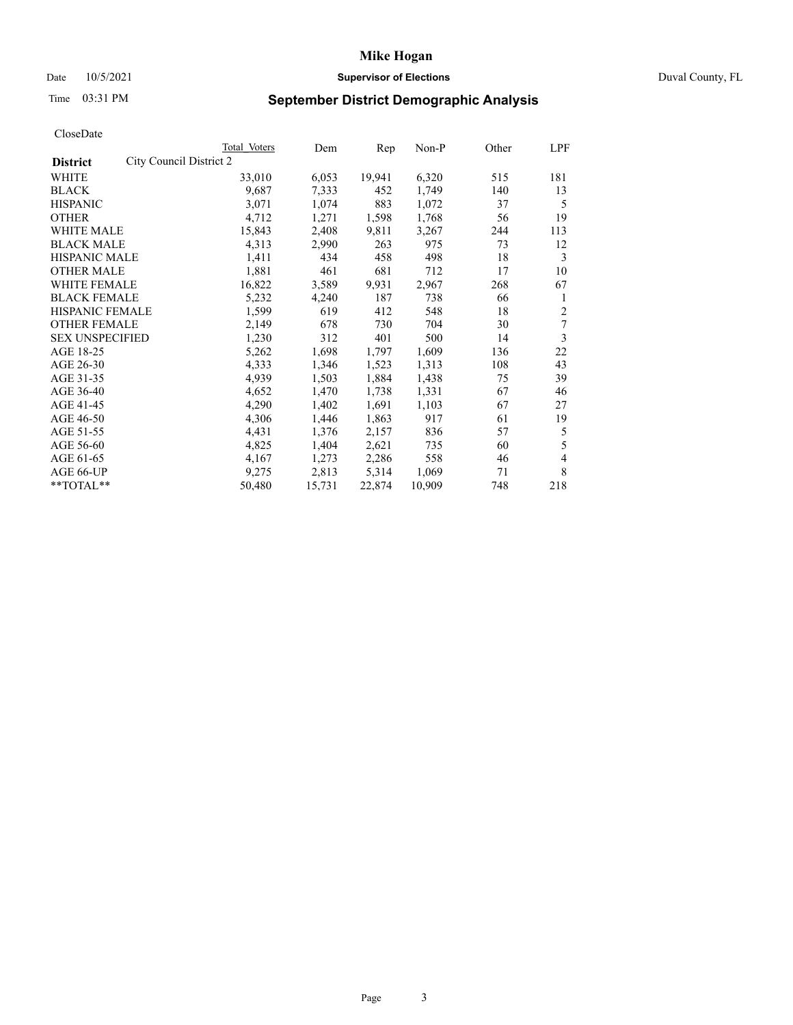# Date 10/5/2021 **Supervisor of Elections Supervisor of Elections** Duval County, FL

# Time 03:31 PM **September District Demographic Analysis**

| Total Voters            | Dem    | Rep    | Non-P  | Other | LPF            |
|-------------------------|--------|--------|--------|-------|----------------|
| City Council District 2 |        |        |        |       |                |
| 33,010                  | 6,053  | 19,941 | 6,320  | 515   | 181            |
| 9,687                   | 7,333  | 452    | 1,749  | 140   | 13             |
| 3,071                   | 1,074  | 883    | 1,072  | 37    | 5              |
| 4,712                   | 1,271  | 1,598  | 1,768  | 56    | 19             |
| 15,843                  | 2,408  | 9,811  | 3,267  | 244   | 113            |
| 4,313                   | 2,990  | 263    | 975    | 73    | 12             |
| 1,411                   | 434    | 458    | 498    | 18    | 3              |
| 1,881                   | 461    | 681    | 712    | 17    | 10             |
| 16,822                  | 3,589  | 9,931  | 2,967  | 268   | 67             |
| 5,232                   | 4,240  | 187    | 738    | 66    | 1              |
| 1,599                   | 619    | 412    | 548    | 18    | $\overline{2}$ |
| 2,149                   | 678    | 730    | 704    | 30    | 7              |
| 1,230                   | 312    | 401    | 500    | 14    | 3              |
| 5,262                   | 1,698  | 1,797  | 1,609  | 136   | 22             |
| 4,333                   | 1,346  | 1,523  | 1,313  | 108   | 43             |
| 4,939                   | 1,503  | 1,884  | 1,438  | 75    | 39             |
| 4,652                   | 1,470  | 1,738  | 1,331  | 67    | 46             |
| 4,290                   | 1,402  | 1,691  | 1,103  | 67    | 27             |
| 4,306                   | 1,446  | 1,863  | 917    | 61    | 19             |
| 4,431                   | 1,376  | 2,157  | 836    | 57    | 5              |
| 4,825                   | 1,404  | 2,621  | 735    | 60    | 5              |
| 4,167                   | 1,273  | 2,286  | 558    | 46    | 4              |
| 9,275                   | 2,813  | 5,314  | 1,069  | 71    | 8              |
| 50,480                  | 15,731 | 22,874 | 10,909 | 748   | 218            |
|                         |        |        |        |       |                |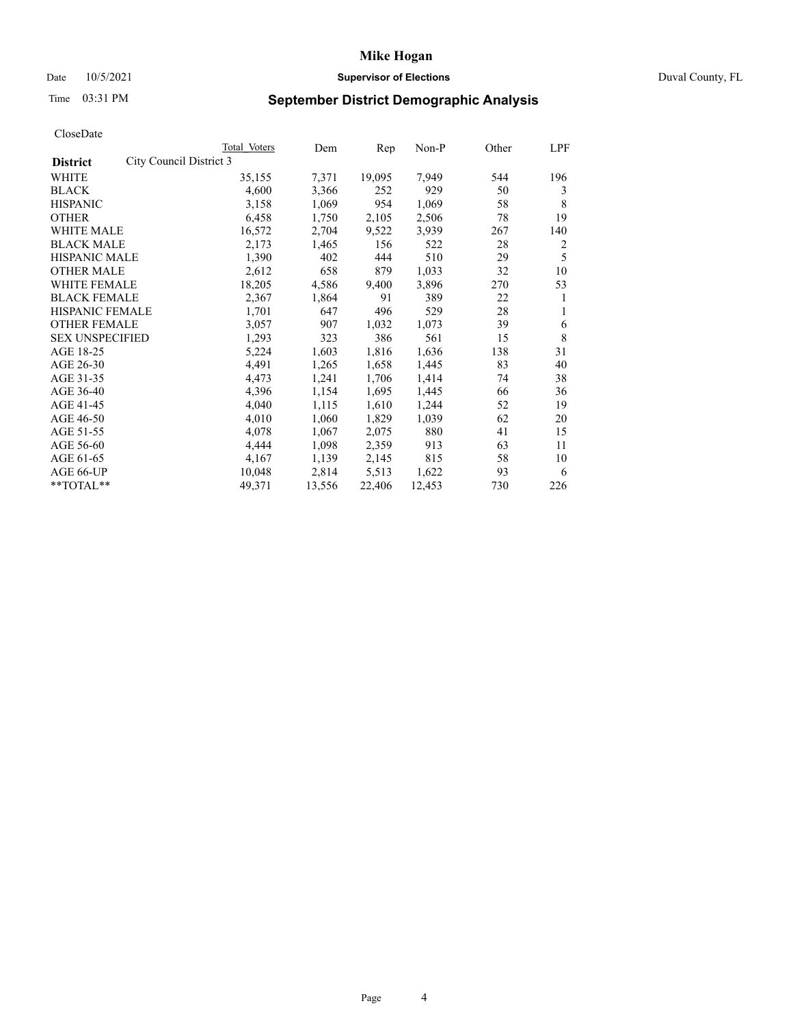# Date 10/5/2021 **Supervisor of Elections Supervisor of Elections** Duval County, FL

# Time 03:31 PM **September District Demographic Analysis**

| Total Voters | Dem                     | Rep    | Non-P  | Other | LPF |
|--------------|-------------------------|--------|--------|-------|-----|
|              |                         |        |        |       |     |
| 35,155       | 7,371                   | 19,095 | 7,949  | 544   | 196 |
| 4,600        | 3,366                   | 252    | 929    | 50    | 3   |
| 3,158        | 1,069                   | 954    | 1,069  | 58    | 8   |
| 6,458        | 1,750                   | 2,105  | 2,506  | 78    | 19  |
| 16,572       | 2,704                   | 9,522  | 3,939  | 267   | 140 |
| 2,173        | 1,465                   | 156    | 522    | 28    | 2   |
| 1,390        | 402                     | 444    | 510    | 29    | 5   |
| 2,612        | 658                     | 879    | 1,033  | 32    | 10  |
| 18,205       | 4,586                   | 9,400  | 3,896  | 270   | 53  |
| 2,367        | 1,864                   | 91     | 389    | 22    | 1   |
| 1,701        | 647                     | 496    | 529    | 28    | 1   |
| 3,057        | 907                     | 1,032  | 1,073  | 39    | 6   |
| 1,293        | 323                     | 386    | 561    | 15    | 8   |
| 5,224        | 1,603                   | 1,816  | 1,636  | 138   | 31  |
| 4,491        | 1,265                   | 1,658  | 1,445  | 83    | 40  |
| 4,473        | 1,241                   | 1,706  | 1,414  | 74    | 38  |
| 4,396        | 1,154                   | 1,695  | 1,445  | 66    | 36  |
| 4,040        | 1,115                   | 1,610  | 1,244  | 52    | 19  |
| 4,010        | 1,060                   | 1,829  | 1,039  | 62    | 20  |
| 4,078        | 1,067                   | 2,075  | 880    | 41    | 15  |
| 4,444        | 1,098                   | 2,359  | 913    | 63    | 11  |
| 4,167        | 1,139                   | 2,145  | 815    | 58    | 10  |
| 10,048       | 2,814                   | 5,513  | 1,622  | 93    | 6   |
| 49,371       | 13,556                  | 22,406 | 12,453 | 730   | 226 |
|              | City Council District 3 |        |        |       |     |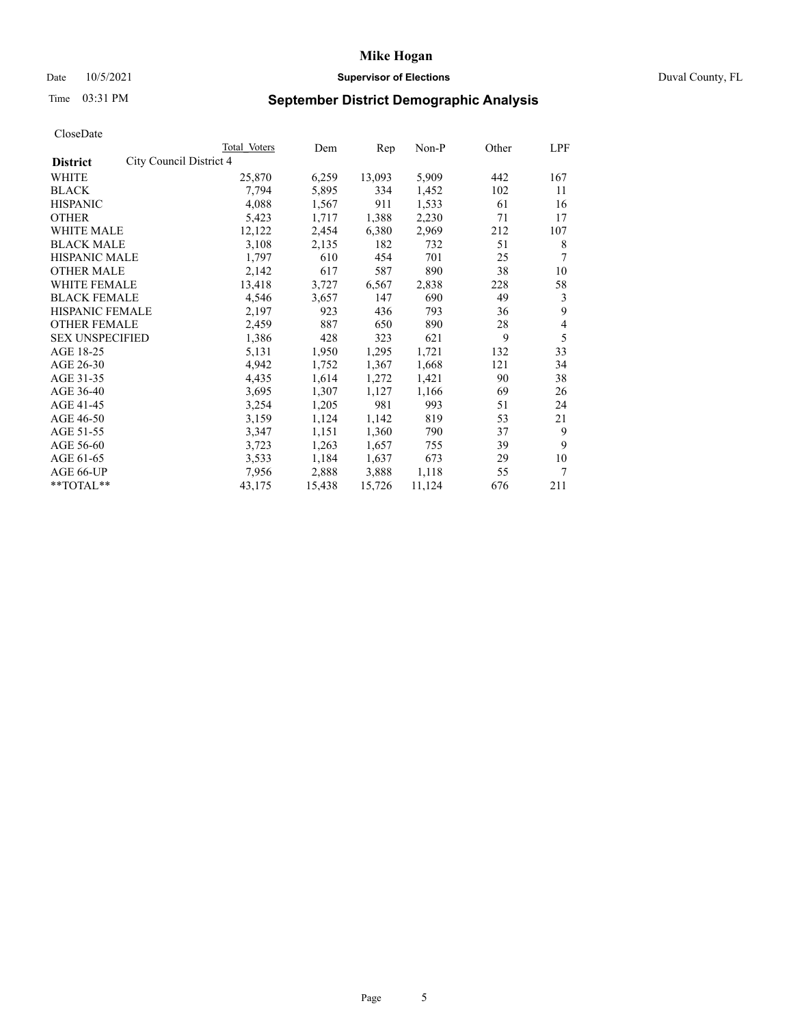# Date 10/5/2021 **Supervisor of Elections** Duval County, FL

# Time 03:31 PM **September District Demographic Analysis**

|                                            | Total Voters | Dem    | $\mathbf{Rep}$ | Non-P  | Other | LPF |
|--------------------------------------------|--------------|--------|----------------|--------|-------|-----|
| City Council District 4<br><b>District</b> |              |        |                |        |       |     |
| WHITE                                      | 25,870       | 6,259  | 13,093         | 5,909  | 442   | 167 |
| <b>BLACK</b>                               | 7,794        | 5,895  | 334            | 1,452  | 102   | 11  |
| <b>HISPANIC</b>                            | 4,088        | 1,567  | 911            | 1,533  | 61    | 16  |
| <b>OTHER</b>                               | 5,423        | 1,717  | 1,388          | 2,230  | 71    | 17  |
| <b>WHITE MALE</b>                          | 12,122       | 2,454  | 6,380          | 2,969  | 212   | 107 |
| <b>BLACK MALE</b>                          | 3,108        | 2,135  | 182            | 732    | 51    | 8   |
| <b>HISPANIC MALE</b>                       | 1,797        | 610    | 454            | 701    | 25    | 7   |
| <b>OTHER MALE</b>                          | 2,142        | 617    | 587            | 890    | 38    | 10  |
| WHITE FEMALE                               | 13,418       | 3,727  | 6,567          | 2,838  | 228   | 58  |
| <b>BLACK FEMALE</b>                        | 4,546        | 3,657  | 147            | 690    | 49    | 3   |
| <b>HISPANIC FEMALE</b>                     | 2,197        | 923    | 436            | 793    | 36    | 9   |
| <b>OTHER FEMALE</b>                        | 2,459        | 887    | 650            | 890    | 28    | 4   |
| <b>SEX UNSPECIFIED</b>                     | 1,386        | 428    | 323            | 621    | 9     | 5   |
| AGE 18-25                                  | 5,131        | 1,950  | 1,295          | 1,721  | 132   | 33  |
| AGE 26-30                                  | 4,942        | 1,752  | 1,367          | 1,668  | 121   | 34  |
| AGE 31-35                                  | 4,435        | 1,614  | 1,272          | 1,421  | 90    | 38  |
| AGE 36-40                                  | 3,695        | 1,307  | 1,127          | 1,166  | 69    | 26  |
| AGE 41-45                                  | 3,254        | 1,205  | 981            | 993    | 51    | 24  |
| AGE 46-50                                  | 3,159        | 1,124  | 1,142          | 819    | 53    | 21  |
| AGE 51-55                                  | 3,347        | 1,151  | 1,360          | 790    | 37    | 9   |
| AGE 56-60                                  | 3,723        | 1,263  | 1,657          | 755    | 39    | 9   |
| AGE 61-65                                  | 3,533        | 1,184  | 1,637          | 673    | 29    | 10  |
| AGE 66-UP                                  | 7,956        | 2,888  | 3,888          | 1,118  | 55    | 7   |
| $*$ TOTAL $*$                              | 43,175       | 15,438 | 15,726         | 11,124 | 676   | 211 |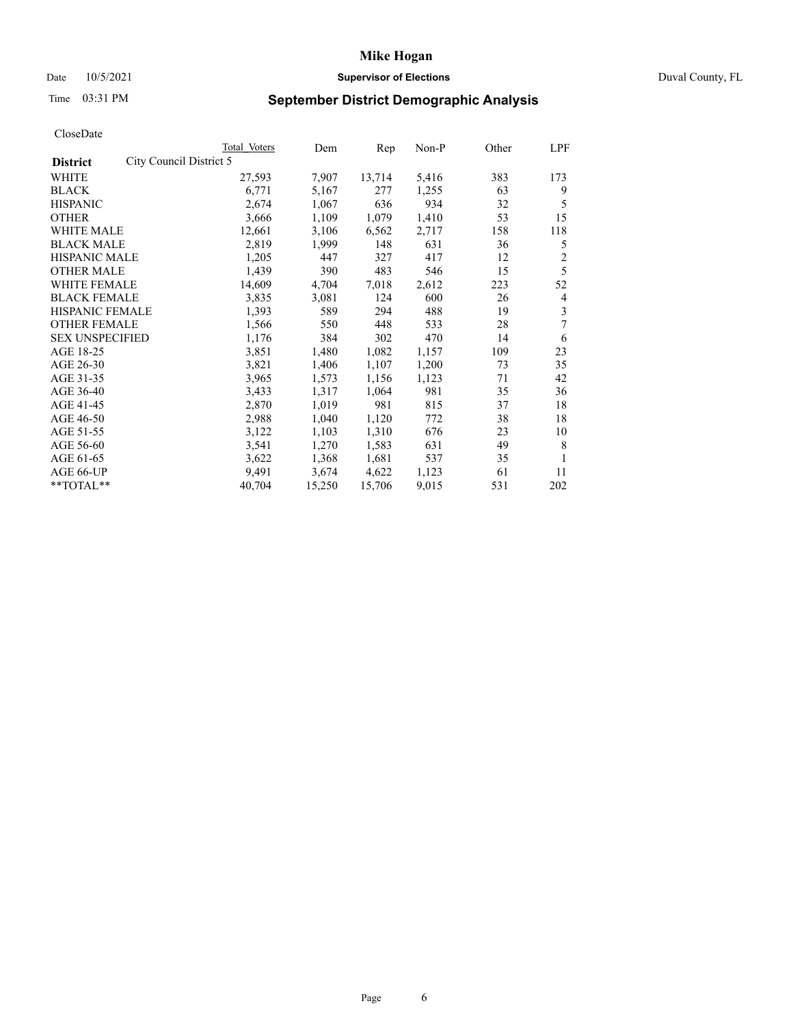# Date 10/5/2021 **Supervisor of Elections Supervisor of Elections** Duval County, FL

# Time 03:31 PM **September District Demographic Analysis**

|                        |                         | Total Voters | Dem    | Rep    | Non-P | Other | LPF            |
|------------------------|-------------------------|--------------|--------|--------|-------|-------|----------------|
| <b>District</b>        | City Council District 5 |              |        |        |       |       |                |
| WHITE                  |                         | 27,593       | 7,907  | 13,714 | 5,416 | 383   | 173            |
| <b>BLACK</b>           |                         | 6,771        | 5,167  | 277    | 1,255 | 63    | 9              |
| <b>HISPANIC</b>        |                         | 2,674        | 1,067  | 636    | 934   | 32    | 5              |
| <b>OTHER</b>           |                         | 3,666        | 1,109  | 1,079  | 1,410 | 53    | 15             |
| <b>WHITE MALE</b>      |                         | 12,661       | 3,106  | 6,562  | 2,717 | 158   | 118            |
| <b>BLACK MALE</b>      |                         | 2,819        | 1,999  | 148    | 631   | 36    | 5              |
| <b>HISPANIC MALE</b>   |                         | 1,205        | 447    | 327    | 417   | 12    | $\overline{c}$ |
| <b>OTHER MALE</b>      |                         | 1,439        | 390    | 483    | 546   | 15    | 5              |
| WHITE FEMALE           |                         | 14,609       | 4,704  | 7,018  | 2,612 | 223   | 52             |
| <b>BLACK FEMALE</b>    |                         | 3,835        | 3,081  | 124    | 600   | 26    | 4              |
| HISPANIC FEMALE        |                         | 1,393        | 589    | 294    | 488   | 19    | 3              |
| <b>OTHER FEMALE</b>    |                         | 1,566        | 550    | 448    | 533   | 28    | 7              |
| <b>SEX UNSPECIFIED</b> |                         | 1,176        | 384    | 302    | 470   | 14    | 6              |
| AGE 18-25              |                         | 3,851        | 1,480  | 1,082  | 1,157 | 109   | 23             |
| AGE 26-30              |                         | 3,821        | 1,406  | 1,107  | 1,200 | 73    | 35             |
| AGE 31-35              |                         | 3,965        | 1,573  | 1,156  | 1,123 | 71    | 42             |
| AGE 36-40              |                         | 3,433        | 1,317  | 1,064  | 981   | 35    | 36             |
| AGE 41-45              |                         | 2,870        | 1,019  | 981    | 815   | 37    | 18             |
| AGE 46-50              |                         | 2,988        | 1,040  | 1,120  | 772   | 38    | 18             |
| AGE 51-55              |                         | 3,122        | 1,103  | 1,310  | 676   | 23    | 10             |
| AGE 56-60              |                         | 3,541        | 1,270  | 1,583  | 631   | 49    | 8              |
| AGE 61-65              |                         | 3,622        | 1,368  | 1,681  | 537   | 35    | 1              |
| AGE 66-UP              |                         | 9,491        | 3,674  | 4,622  | 1,123 | 61    | 11             |
| **TOTAL**              |                         | 40,704       | 15,250 | 15,706 | 9,015 | 531   | 202            |
|                        |                         |              |        |        |       |       |                |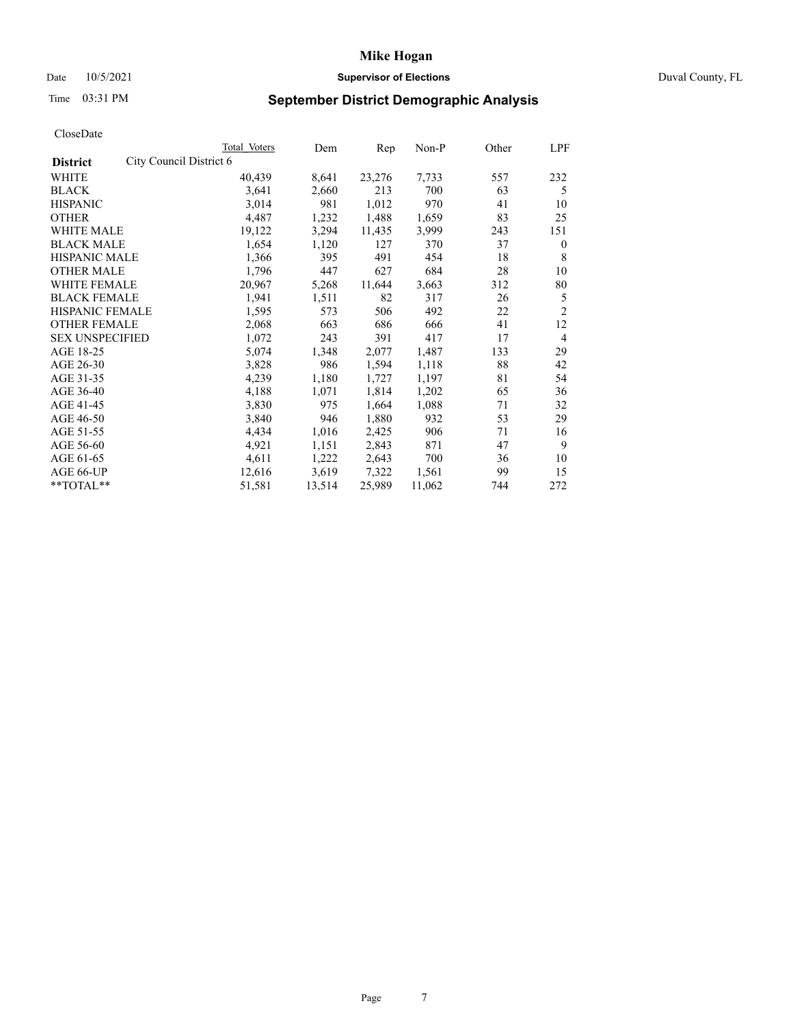# Date 10/5/2021 **Supervisor of Elections Supervisor of Elections** Duval County, FL

# Time 03:31 PM **September District Demographic Analysis**

|                        |                         | Total Voters | Dem    | Rep    | Non-P  | Other | LPF            |
|------------------------|-------------------------|--------------|--------|--------|--------|-------|----------------|
| <b>District</b>        | City Council District 6 |              |        |        |        |       |                |
| WHITE                  |                         | 40,439       | 8,641  | 23,276 | 7,733  | 557   | 232            |
| <b>BLACK</b>           |                         | 3,641        | 2,660  | 213    | 700    | 63    | 5              |
| <b>HISPANIC</b>        |                         | 3,014        | 981    | 1,012  | 970    | 41    | 10             |
| <b>OTHER</b>           |                         | 4,487        | 1,232  | 1,488  | 1,659  | 83    | 25             |
| <b>WHITE MALE</b>      |                         | 19,122       | 3,294  | 11,435 | 3,999  | 243   | 151            |
| <b>BLACK MALE</b>      |                         | 1,654        | 1,120  | 127    | 370    | 37    | $\mathbf{0}$   |
| <b>HISPANIC MALE</b>   |                         | 1,366        | 395    | 491    | 454    | 18    | 8              |
| <b>OTHER MALE</b>      |                         | 1,796        | 447    | 627    | 684    | 28    | 10             |
| <b>WHITE FEMALE</b>    |                         | 20,967       | 5,268  | 11,644 | 3,663  | 312   | 80             |
| <b>BLACK FEMALE</b>    |                         | 1,941        | 1,511  | 82     | 317    | 26    | 5              |
| HISPANIC FEMALE        |                         | 1,595        | 573    | 506    | 492    | 22    | $\overline{2}$ |
| <b>OTHER FEMALE</b>    |                         | 2,068        | 663    | 686    | 666    | 41    | 12             |
| <b>SEX UNSPECIFIED</b> |                         | 1,072        | 243    | 391    | 417    | 17    | 4              |
| AGE 18-25              |                         | 5,074        | 1,348  | 2,077  | 1,487  | 133   | 29             |
| AGE 26-30              |                         | 3,828        | 986    | 1,594  | 1,118  | 88    | 42             |
| AGE 31-35              |                         | 4,239        | 1,180  | 1,727  | 1,197  | 81    | 54             |
| AGE 36-40              |                         | 4,188        | 1,071  | 1,814  | 1,202  | 65    | 36             |
| AGE 41-45              |                         | 3,830        | 975    | 1,664  | 1,088  | 71    | 32             |
| AGE 46-50              |                         | 3,840        | 946    | 1,880  | 932    | 53    | 29             |
| AGE 51-55              |                         | 4,434        | 1,016  | 2,425  | 906    | 71    | 16             |
| AGE 56-60              |                         | 4,921        | 1,151  | 2,843  | 871    | 47    | 9              |
| AGE 61-65              |                         | 4,611        | 1,222  | 2,643  | 700    | 36    | 10             |
| AGE 66-UP              |                         | 12,616       | 3,619  | 7,322  | 1,561  | 99    | 15             |
| **TOTAL**              |                         | 51,581       | 13,514 | 25,989 | 11,062 | 744   | 272            |
|                        |                         |              |        |        |        |       |                |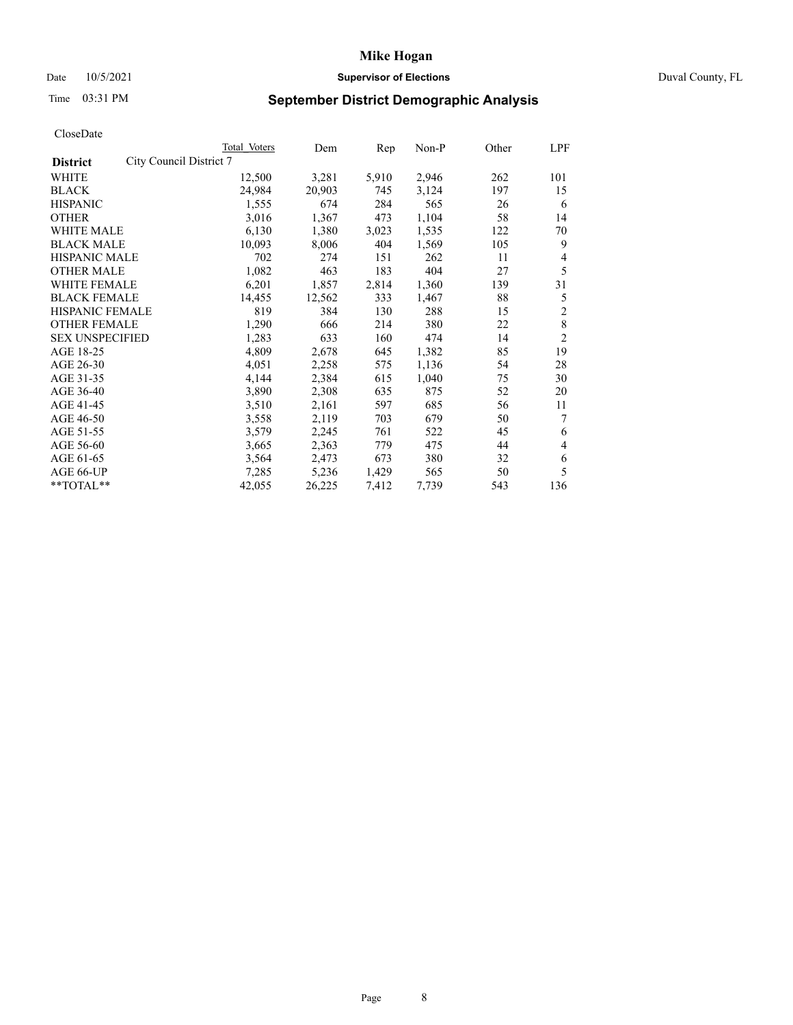# Date 10/5/2021 **Supervisor of Elections Supervisor of Elections** Duval County, FL

# Time 03:31 PM **September District Demographic Analysis**

|                        |                         | Total Voters | Dem    | Rep   | $Non-P$ | Other | LPF            |
|------------------------|-------------------------|--------------|--------|-------|---------|-------|----------------|
| <b>District</b>        | City Council District 7 |              |        |       |         |       |                |
| WHITE                  |                         | 12,500       | 3,281  | 5,910 | 2,946   | 262   | 101            |
| <b>BLACK</b>           |                         | 24,984       | 20,903 | 745   | 3,124   | 197   | 15             |
| <b>HISPANIC</b>        |                         | 1,555        | 674    | 284   | 565     | 26    | 6              |
| <b>OTHER</b>           |                         | 3,016        | 1,367  | 473   | 1,104   | 58    | 14             |
| <b>WHITE MALE</b>      |                         | 6,130        | 1,380  | 3,023 | 1,535   | 122   | 70             |
| <b>BLACK MALE</b>      |                         | 10,093       | 8,006  | 404   | 1,569   | 105   | 9              |
| <b>HISPANIC MALE</b>   |                         | 702          | 274    | 151   | 262     | 11    | 4              |
| <b>OTHER MALE</b>      |                         | 1,082        | 463    | 183   | 404     | 27    | 5              |
| WHITE FEMALE           |                         | 6,201        | 1,857  | 2,814 | 1,360   | 139   | 31             |
| <b>BLACK FEMALE</b>    |                         | 14,455       | 12,562 | 333   | 1,467   | 88    | 5              |
| HISPANIC FEMALE        |                         | 819          | 384    | 130   | 288     | 15    | $\mathfrak{2}$ |
| <b>OTHER FEMALE</b>    |                         | 1,290        | 666    | 214   | 380     | 22    | 8              |
| <b>SEX UNSPECIFIED</b> |                         | 1,283        | 633    | 160   | 474     | 14    | $\overline{2}$ |
| AGE 18-25              |                         | 4,809        | 2,678  | 645   | 1,382   | 85    | 19             |
| AGE 26-30              |                         | 4,051        | 2,258  | 575   | 1,136   | 54    | 28             |
| AGE 31-35              |                         | 4,144        | 2,384  | 615   | 1,040   | 75    | 30             |
| AGE 36-40              |                         | 3,890        | 2,308  | 635   | 875     | 52    | 20             |
| AGE 41-45              |                         | 3,510        | 2,161  | 597   | 685     | 56    | 11             |
| AGE 46-50              |                         | 3,558        | 2,119  | 703   | 679     | 50    | 7              |
| AGE 51-55              |                         | 3,579        | 2,245  | 761   | 522     | 45    | 6              |
| AGE 56-60              |                         | 3,665        | 2,363  | 779   | 475     | 44    | 4              |
| AGE 61-65              |                         | 3,564        | 2,473  | 673   | 380     | 32    | 6              |
| AGE 66-UP              |                         | 7,285        | 5,236  | 1,429 | 565     | 50    | 5              |
| $*$ $TOTAL**$          |                         | 42,055       | 26,225 | 7,412 | 7,739   | 543   | 136            |
|                        |                         |              |        |       |         |       |                |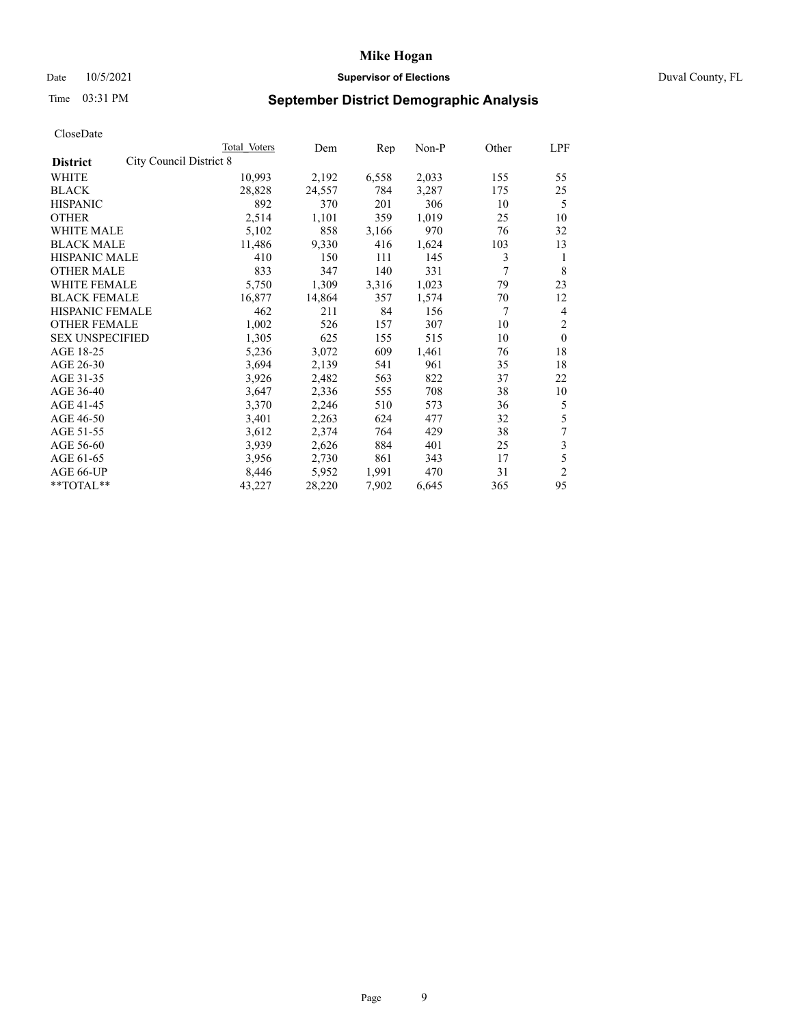# Date 10/5/2021 **Supervisor of Elections Supervisor of Elections** Duval County, FL

# Time 03:31 PM **September District Demographic Analysis**

|                                            | <b>Total Voters</b> | Dem    | Rep   | $Non-P$ | Other | LPF            |
|--------------------------------------------|---------------------|--------|-------|---------|-------|----------------|
| City Council District 8<br><b>District</b> |                     |        |       |         |       |                |
| WHITE                                      | 10,993              | 2,192  | 6,558 | 2,033   | 155   | 55             |
| <b>BLACK</b>                               | 28,828              | 24,557 | 784   | 3,287   | 175   | 25             |
| <b>HISPANIC</b>                            | 892                 | 370    | 201   | 306     | 10    | 5              |
| <b>OTHER</b>                               | 2,514               | 1,101  | 359   | 1,019   | 25    | 10             |
| <b>WHITE MALE</b>                          | 5,102               | 858    | 3,166 | 970     | 76    | 32             |
| <b>BLACK MALE</b>                          | 11,486              | 9,330  | 416   | 1,624   | 103   | 13             |
| <b>HISPANIC MALE</b>                       | 410                 | 150    | 111   | 145     | 3     | 1              |
| <b>OTHER MALE</b>                          | 833                 | 347    | 140   | 331     | 7     | 8              |
| WHITE FEMALE                               | 5,750               | 1,309  | 3,316 | 1,023   | 79    | 23             |
| <b>BLACK FEMALE</b>                        | 16,877              | 14,864 | 357   | 1,574   | 70    | 12             |
| HISPANIC FEMALE                            | 462                 | 211    | 84    | 156     | 7     | 4              |
| <b>OTHER FEMALE</b>                        | 1,002               | 526    | 157   | 307     | 10    | $\overline{2}$ |
| <b>SEX UNSPECIFIED</b>                     | 1,305               | 625    | 155   | 515     | 10    | $\Omega$       |
| AGE 18-25                                  | 5,236               | 3,072  | 609   | 1,461   | 76    | 18             |
| AGE 26-30                                  | 3,694               | 2,139  | 541   | 961     | 35    | 18             |
| AGE 31-35                                  | 3,926               | 2,482  | 563   | 822     | 37    | 22             |
| AGE 36-40                                  | 3,647               | 2,336  | 555   | 708     | 38    | 10             |
| AGE 41-45                                  | 3,370               | 2,246  | 510   | 573     | 36    | 5              |
| AGE 46-50                                  | 3,401               | 2,263  | 624   | 477     | 32    | 5              |
| AGE 51-55                                  | 3,612               | 2,374  | 764   | 429     | 38    | 7              |
| AGE 56-60                                  | 3,939               | 2,626  | 884   | 401     | 25    | 3              |
| AGE 61-65                                  | 3,956               | 2,730  | 861   | 343     | 17    | 5              |
| AGE 66-UP                                  | 8,446               | 5,952  | 1,991 | 470     | 31    | $\overline{2}$ |
| **TOTAL**                                  | 43,227              | 28,220 | 7,902 | 6,645   | 365   | 95             |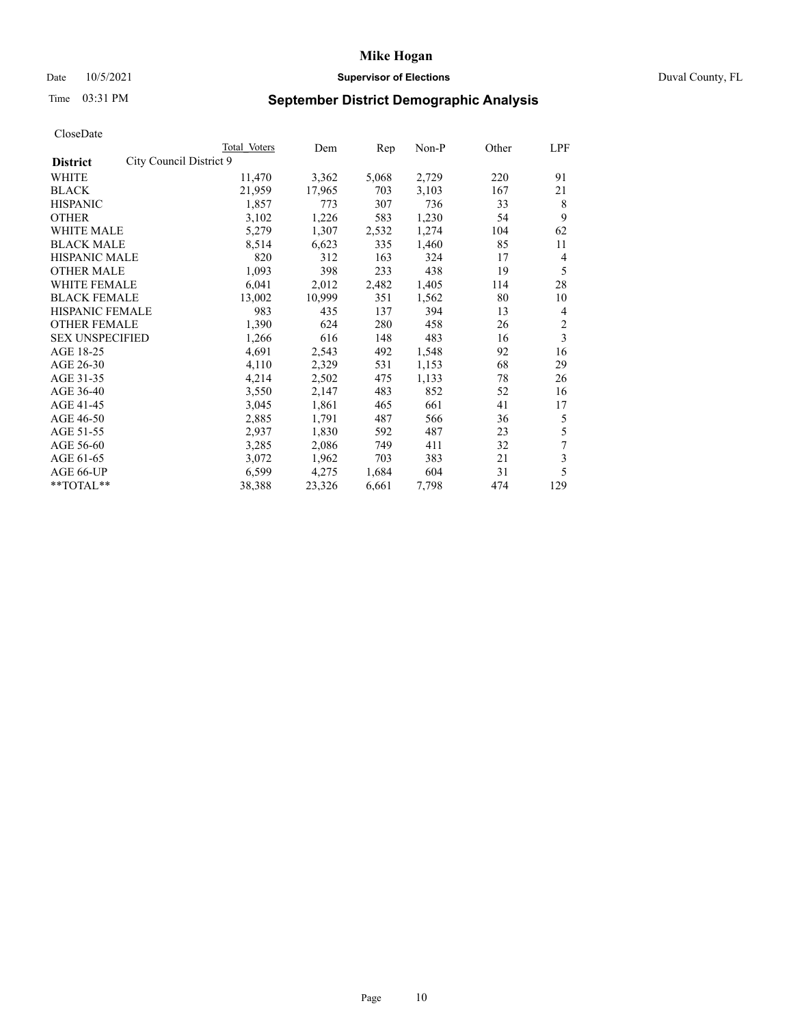# Date 10/5/2021 **Supervisor of Elections Supervisor of Elections** Duval County, FL

# Time 03:31 PM **September District Demographic Analysis**

|                                            | Total Voters | Dem    | Rep   | Non-P | Other | LPF            |
|--------------------------------------------|--------------|--------|-------|-------|-------|----------------|
| City Council District 9<br><b>District</b> |              |        |       |       |       |                |
| WHITE                                      | 11,470       | 3,362  | 5,068 | 2,729 | 220   | 91             |
| <b>BLACK</b>                               | 21,959       | 17,965 | 703   | 3,103 | 167   | 21             |
| <b>HISPANIC</b>                            | 1,857        | 773    | 307   | 736   | 33    | 8              |
| <b>OTHER</b>                               | 3,102        | 1,226  | 583   | 1,230 | 54    | 9              |
| <b>WHITE MALE</b>                          | 5,279        | 1,307  | 2,532 | 1,274 | 104   | 62             |
| <b>BLACK MALE</b>                          | 8,514        | 6,623  | 335   | 1,460 | 85    | 11             |
| <b>HISPANIC MALE</b>                       | 820          | 312    | 163   | 324   | 17    | 4              |
| <b>OTHER MALE</b>                          | 1,093        | 398    | 233   | 438   | 19    | 5              |
| WHITE FEMALE                               | 6,041        | 2,012  | 2,482 | 1,405 | 114   | 28             |
| <b>BLACK FEMALE</b>                        | 13,002       | 10,999 | 351   | 1,562 | 80    | 10             |
| <b>HISPANIC FEMALE</b>                     | 983          | 435    | 137   | 394   | 13    | 4              |
| <b>OTHER FEMALE</b>                        | 1,390        | 624    | 280   | 458   | 26    | $\overline{2}$ |
| <b>SEX UNSPECIFIED</b>                     | 1,266        | 616    | 148   | 483   | 16    | 3              |
| AGE 18-25                                  | 4,691        | 2,543  | 492   | 1,548 | 92    | 16             |
| AGE 26-30                                  | 4,110        | 2,329  | 531   | 1,153 | 68    | 29             |
| AGE 31-35                                  | 4,214        | 2,502  | 475   | 1,133 | 78    | 26             |
| AGE 36-40                                  | 3,550        | 2,147  | 483   | 852   | 52    | 16             |
| AGE 41-45                                  | 3,045        | 1,861  | 465   | 661   | 41    | 17             |
| AGE 46-50                                  | 2,885        | 1,791  | 487   | 566   | 36    | 5              |
| AGE 51-55                                  | 2,937        | 1,830  | 592   | 487   | 23    | 5              |
| AGE 56-60                                  | 3,285        | 2,086  | 749   | 411   | 32    | $\overline{7}$ |
| AGE 61-65                                  | 3,072        | 1,962  | 703   | 383   | 21    | 3              |
| AGE 66-UP                                  | 6,599        | 4,275  | 1,684 | 604   | 31    | 5              |
| **TOTAL**                                  | 38,388       | 23,326 | 6,661 | 7,798 | 474   | 129            |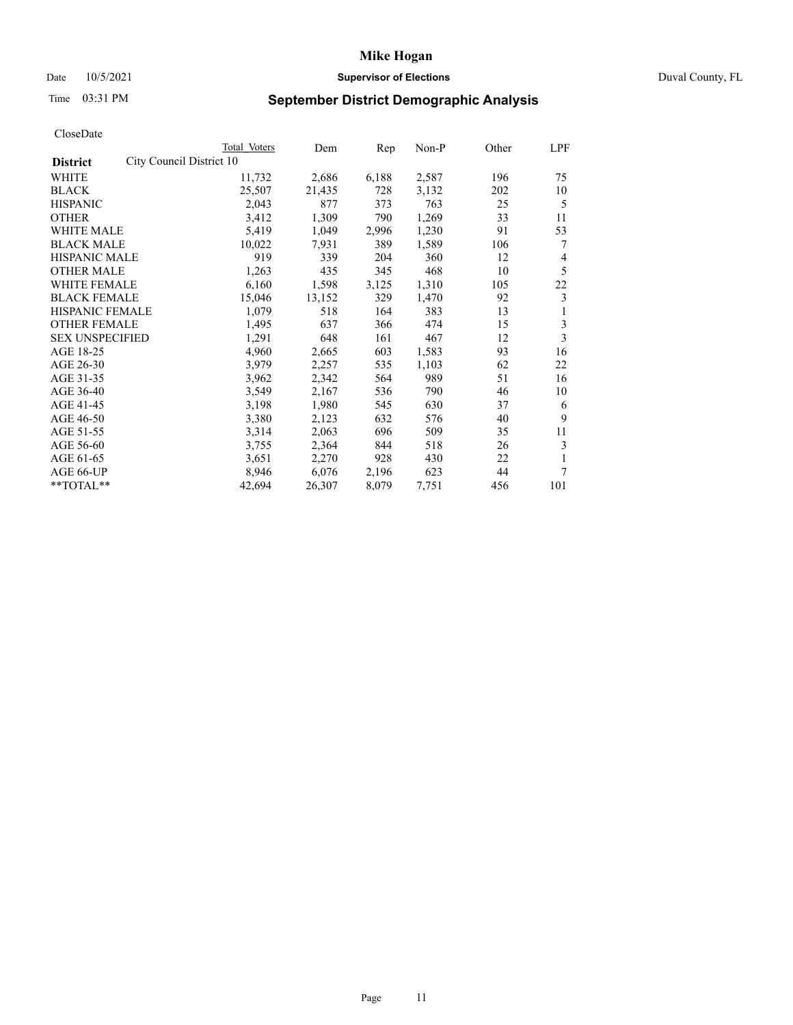# Date 10/5/2021 **Supervisor of Elections Supervisor of Elections** Duval County, FL

# Time 03:31 PM **September District Demographic Analysis**

|                                             | Total Voters | Dem    | Rep   | Non-P | Other | LPF |
|---------------------------------------------|--------------|--------|-------|-------|-------|-----|
| City Council District 10<br><b>District</b> |              |        |       |       |       |     |
| WHITE                                       | 11,732       | 2,686  | 6,188 | 2,587 | 196   | 75  |
| <b>BLACK</b>                                | 25,507       | 21,435 | 728   | 3,132 | 202   | 10  |
| <b>HISPANIC</b>                             | 2,043        | 877    | 373   | 763   | 25    | 5   |
| <b>OTHER</b>                                | 3,412        | 1,309  | 790   | 1,269 | 33    | 11  |
| <b>WHITE MALE</b>                           | 5,419        | 1,049  | 2,996 | 1,230 | 91    | 53  |
| <b>BLACK MALE</b>                           | 10,022       | 7,931  | 389   | 1,589 | 106   | 7   |
| <b>HISPANIC MALE</b>                        | 919          | 339    | 204   | 360   | 12    | 4   |
| <b>OTHER MALE</b>                           | 1,263        | 435    | 345   | 468   | 10    | 5   |
| <b>WHITE FEMALE</b>                         | 6,160        | 1,598  | 3,125 | 1,310 | 105   | 22  |
| <b>BLACK FEMALE</b>                         | 15,046       | 13,152 | 329   | 1,470 | 92    | 3   |
| <b>HISPANIC FEMALE</b>                      | 1,079        | 518    | 164   | 383   | 13    | 1   |
| <b>OTHER FEMALE</b>                         | 1,495        | 637    | 366   | 474   | 15    | 3   |
| <b>SEX UNSPECIFIED</b>                      | 1,291        | 648    | 161   | 467   | 12    | 3   |
| AGE 18-25                                   | 4,960        | 2,665  | 603   | 1,583 | 93    | 16  |
| AGE 26-30                                   | 3,979        | 2,257  | 535   | 1,103 | 62    | 22  |
| AGE 31-35                                   | 3,962        | 2,342  | 564   | 989   | 51    | 16  |
| AGE 36-40                                   | 3,549        | 2,167  | 536   | 790   | 46    | 10  |
| AGE 41-45                                   | 3,198        | 1,980  | 545   | 630   | 37    | 6   |
| AGE 46-50                                   | 3,380        | 2,123  | 632   | 576   | 40    | 9   |
| AGE 51-55                                   | 3,314        | 2,063  | 696   | 509   | 35    | 11  |
| AGE 56-60                                   | 3,755        | 2,364  | 844   | 518   | 26    | 3   |
| AGE 61-65                                   | 3,651        | 2,270  | 928   | 430   | 22    |     |
| AGE 66-UP                                   | 8,946        | 6,076  | 2,196 | 623   | 44    | 7   |
| **TOTAL**                                   | 42,694       | 26,307 | 8,079 | 7,751 | 456   | 101 |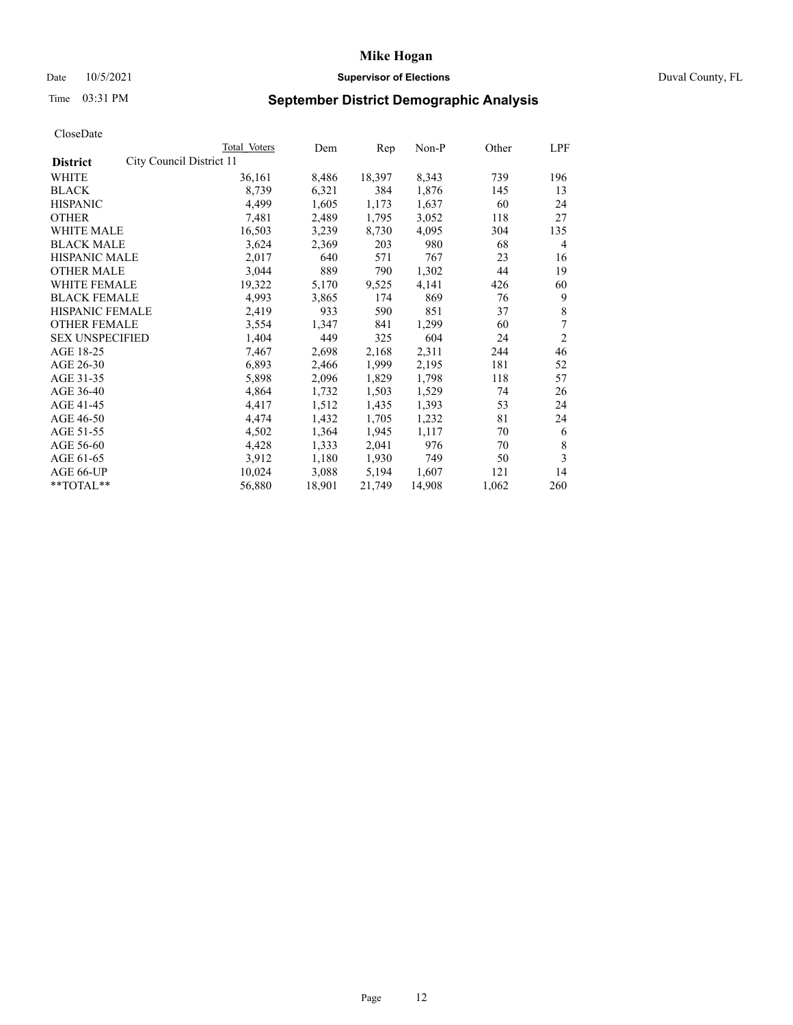# Date 10/5/2021 **Supervisor of Elections Supervisor of Elections** Duval County, FL

# Time 03:31 PM **September District Demographic Analysis**

|                        |                          | Total Voters | Dem    | Rep    | Non-P  | Other | LPF            |
|------------------------|--------------------------|--------------|--------|--------|--------|-------|----------------|
| <b>District</b>        | City Council District 11 |              |        |        |        |       |                |
| WHITE                  |                          | 36,161       | 8,486  | 18,397 | 8,343  | 739   | 196            |
| <b>BLACK</b>           |                          | 8,739        | 6,321  | 384    | 1,876  | 145   | 13             |
| <b>HISPANIC</b>        |                          | 4,499        | 1,605  | 1,173  | 1,637  | 60    | 24             |
| <b>OTHER</b>           |                          | 7,481        | 2,489  | 1,795  | 3,052  | 118   | 27             |
| <b>WHITE MALE</b>      |                          | 16,503       | 3,239  | 8,730  | 4,095  | 304   | 135            |
| <b>BLACK MALE</b>      |                          | 3,624        | 2,369  | 203    | 980    | 68    | 4              |
| <b>HISPANIC MALE</b>   |                          | 2,017        | 640    | 571    | 767    | 23    | 16             |
| <b>OTHER MALE</b>      |                          | 3,044        | 889    | 790    | 1,302  | 44    | 19             |
| WHITE FEMALE           |                          | 19,322       | 5,170  | 9,525  | 4,141  | 426   | 60             |
| <b>BLACK FEMALE</b>    |                          | 4,993        | 3,865  | 174    | 869    | 76    | 9              |
| HISPANIC FEMALE        |                          | 2,419        | 933    | 590    | 851    | 37    | 8              |
| <b>OTHER FEMALE</b>    |                          | 3,554        | 1,347  | 841    | 1,299  | 60    | 7              |
| <b>SEX UNSPECIFIED</b> |                          | 1,404        | 449    | 325    | 604    | 24    | $\overline{2}$ |
| AGE 18-25              |                          | 7,467        | 2,698  | 2,168  | 2,311  | 244   | 46             |
| AGE 26-30              |                          | 6,893        | 2,466  | 1,999  | 2,195  | 181   | 52             |
| AGE 31-35              |                          | 5,898        | 2,096  | 1,829  | 1,798  | 118   | 57             |
| AGE 36-40              |                          | 4,864        | 1,732  | 1,503  | 1,529  | 74    | 26             |
| AGE 41-45              |                          | 4,417        | 1,512  | 1,435  | 1,393  | 53    | 24             |
| AGE 46-50              |                          | 4,474        | 1,432  | 1,705  | 1,232  | 81    | 24             |
| AGE 51-55              |                          | 4,502        | 1,364  | 1,945  | 1,117  | 70    | 6              |
| AGE 56-60              |                          | 4,428        | 1,333  | 2,041  | 976    | 70    | 8              |
| AGE 61-65              |                          | 3,912        | 1,180  | 1,930  | 749    | 50    | 3              |
| AGE 66-UP              |                          | 10,024       | 3,088  | 5,194  | 1,607  | 121   | 14             |
| **TOTAL**              |                          | 56,880       | 18,901 | 21,749 | 14,908 | 1,062 | 260            |
|                        |                          |              |        |        |        |       |                |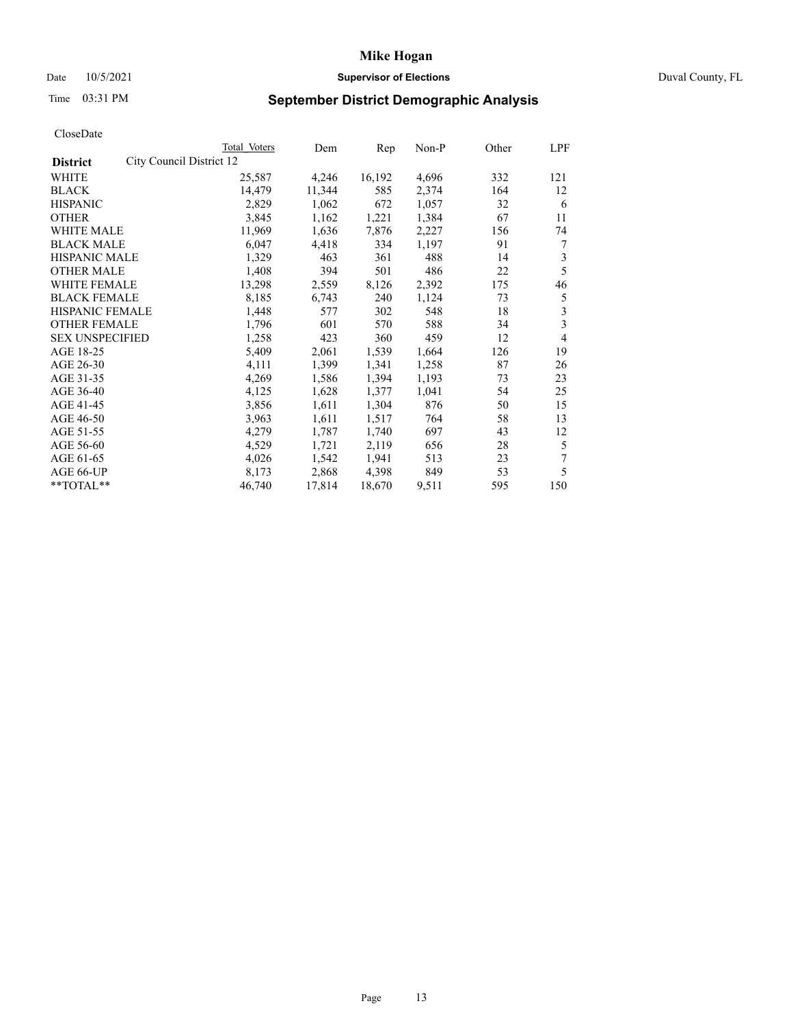# Date 10/5/2021 **Supervisor of Elections Supervisor of Elections** Duval County, FL

# Time 03:31 PM **September District Demographic Analysis**

|                                             | Total Voters | Dem    | Rep    | $Non-P$ | Other | LPF                     |
|---------------------------------------------|--------------|--------|--------|---------|-------|-------------------------|
| City Council District 12<br><b>District</b> |              |        |        |         |       |                         |
| WHITE                                       | 25,587       | 4,246  | 16,192 | 4,696   | 332   | 121                     |
| <b>BLACK</b>                                | 14,479       | 11,344 | 585    | 2,374   | 164   | 12                      |
| <b>HISPANIC</b>                             | 2,829        | 1,062  | 672    | 1,057   | 32    | 6                       |
| <b>OTHER</b>                                | 3,845        | 1,162  | 1,221  | 1,384   | 67    | 11                      |
| <b>WHITE MALE</b>                           | 11,969       | 1,636  | 7,876  | 2,227   | 156   | 74                      |
| <b>BLACK MALE</b>                           | 6,047        | 4,418  | 334    | 1,197   | 91    | 7                       |
| <b>HISPANIC MALE</b>                        | 1,329        | 463    | 361    | 488     | 14    | 3                       |
| <b>OTHER MALE</b>                           | 1,408        | 394    | 501    | 486     | 22    | 5                       |
| WHITE FEMALE                                | 13,298       | 2,559  | 8,126  | 2,392   | 175   | 46                      |
| <b>BLACK FEMALE</b>                         | 8,185        | 6,743  | 240    | 1,124   | 73    | 5                       |
| HISPANIC FEMALE                             | 1,448        | 577    | 302    | 548     | 18    | 3                       |
| <b>OTHER FEMALE</b>                         | 1,796        | 601    | 570    | 588     | 34    | $\overline{\mathbf{3}}$ |
| <b>SEX UNSPECIFIED</b>                      | 1,258        | 423    | 360    | 459     | 12    | 4                       |
| AGE 18-25                                   | 5,409        | 2,061  | 1,539  | 1,664   | 126   | 19                      |
| AGE 26-30                                   | 4,111        | 1,399  | 1,341  | 1,258   | 87    | 26                      |
| AGE 31-35                                   | 4,269        | 1,586  | 1,394  | 1,193   | 73    | 23                      |
| AGE 36-40                                   | 4,125        | 1,628  | 1,377  | 1,041   | 54    | 25                      |
| AGE 41-45                                   | 3,856        | 1,611  | 1,304  | 876     | 50    | 15                      |
| AGE 46-50                                   | 3,963        | 1,611  | 1,517  | 764     | 58    | 13                      |
| AGE 51-55                                   | 4,279        | 1,787  | 1,740  | 697     | 43    | 12                      |
| AGE 56-60                                   | 4,529        | 1,721  | 2,119  | 656     | 28    | 5                       |
| AGE 61-65                                   | 4,026        | 1,542  | 1,941  | 513     | 23    | 7                       |
| AGE 66-UP                                   | 8,173        | 2,868  | 4,398  | 849     | 53    | 5                       |
| $*$ $TOTAL**$                               | 46,740       | 17,814 | 18,670 | 9,511   | 595   | 150                     |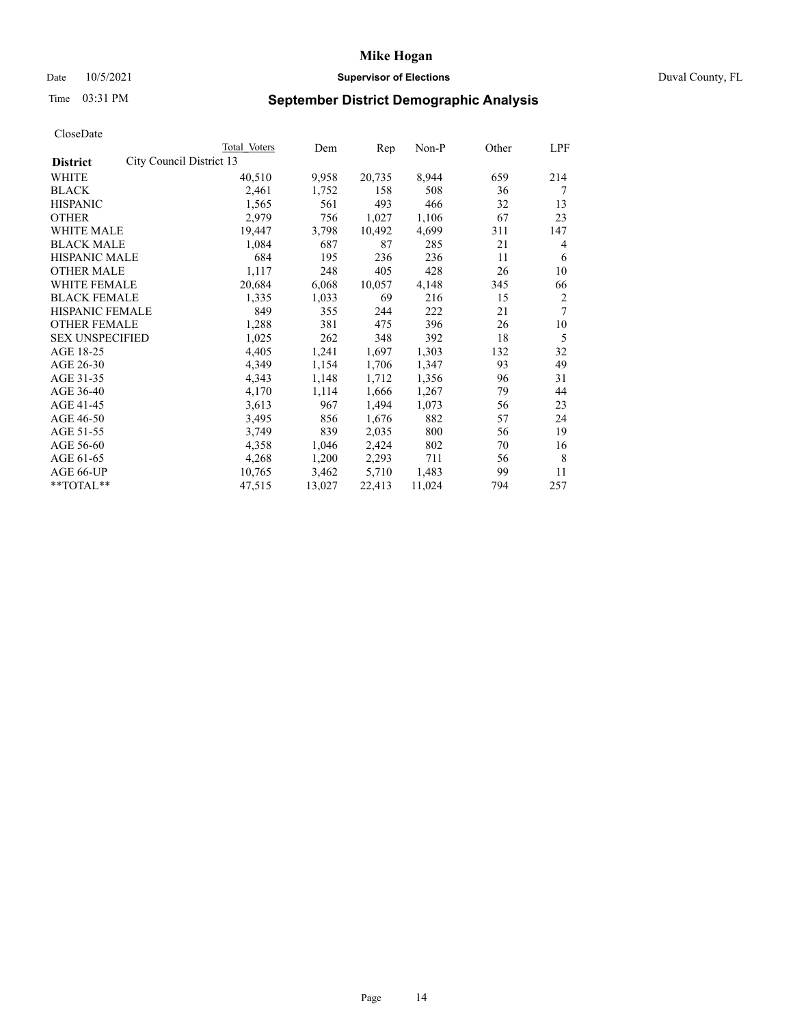# Date 10/5/2021 **Supervisor of Elections Supervisor of Elections** Duval County, FL

# Time 03:31 PM **September District Demographic Analysis**

|                        |                          | Total Voters | Dem    | Rep    | Non-P  | Other | LPF            |
|------------------------|--------------------------|--------------|--------|--------|--------|-------|----------------|
| <b>District</b>        | City Council District 13 |              |        |        |        |       |                |
| WHITE                  |                          | 40,510       | 9,958  | 20,735 | 8,944  | 659   | 214            |
| <b>BLACK</b>           |                          | 2,461        | 1,752  | 158    | 508    | 36    | 7              |
| <b>HISPANIC</b>        |                          | 1,565        | 561    | 493    | 466    | 32    | 13             |
| <b>OTHER</b>           |                          | 2,979        | 756    | 1,027  | 1,106  | 67    | 23             |
| <b>WHITE MALE</b>      |                          | 19,447       | 3,798  | 10,492 | 4,699  | 311   | 147            |
| <b>BLACK MALE</b>      |                          | 1,084        | 687    | 87     | 285    | 21    | 4              |
| <b>HISPANIC MALE</b>   |                          | 684          | 195    | 236    | 236    | 11    | 6              |
| <b>OTHER MALE</b>      |                          | 1,117        | 248    | 405    | 428    | 26    | 10             |
| WHITE FEMALE           |                          | 20,684       | 6,068  | 10,057 | 4,148  | 345   | 66             |
| <b>BLACK FEMALE</b>    |                          | 1,335        | 1,033  | 69     | 216    | 15    | $\overline{2}$ |
| HISPANIC FEMALE        |                          | 849          | 355    | 244    | 222    | 21    | 7              |
| <b>OTHER FEMALE</b>    |                          | 1,288        | 381    | 475    | 396    | 26    | 10             |
| <b>SEX UNSPECIFIED</b> |                          | 1,025        | 262    | 348    | 392    | 18    | 5              |
| AGE 18-25              |                          | 4,405        | 1,241  | 1,697  | 1,303  | 132   | 32             |
| AGE 26-30              |                          | 4,349        | 1,154  | 1,706  | 1,347  | 93    | 49             |
| AGE 31-35              |                          | 4,343        | 1,148  | 1,712  | 1,356  | 96    | 31             |
| AGE 36-40              |                          | 4,170        | 1,114  | 1,666  | 1,267  | 79    | 44             |
| AGE 41-45              |                          | 3,613        | 967    | 1,494  | 1,073  | 56    | 23             |
| AGE 46-50              |                          | 3,495        | 856    | 1,676  | 882    | 57    | 24             |
| AGE 51-55              |                          | 3,749        | 839    | 2,035  | 800    | 56    | 19             |
| AGE 56-60              |                          | 4,358        | 1,046  | 2,424  | 802    | 70    | 16             |
| AGE 61-65              |                          | 4,268        | 1,200  | 2,293  | 711    | 56    | 8              |
| AGE 66-UP              |                          | 10,765       | 3,462  | 5,710  | 1,483  | 99    | 11             |
| **TOTAL**              |                          | 47,515       | 13,027 | 22,413 | 11,024 | 794   | 257            |
|                        |                          |              |        |        |        |       |                |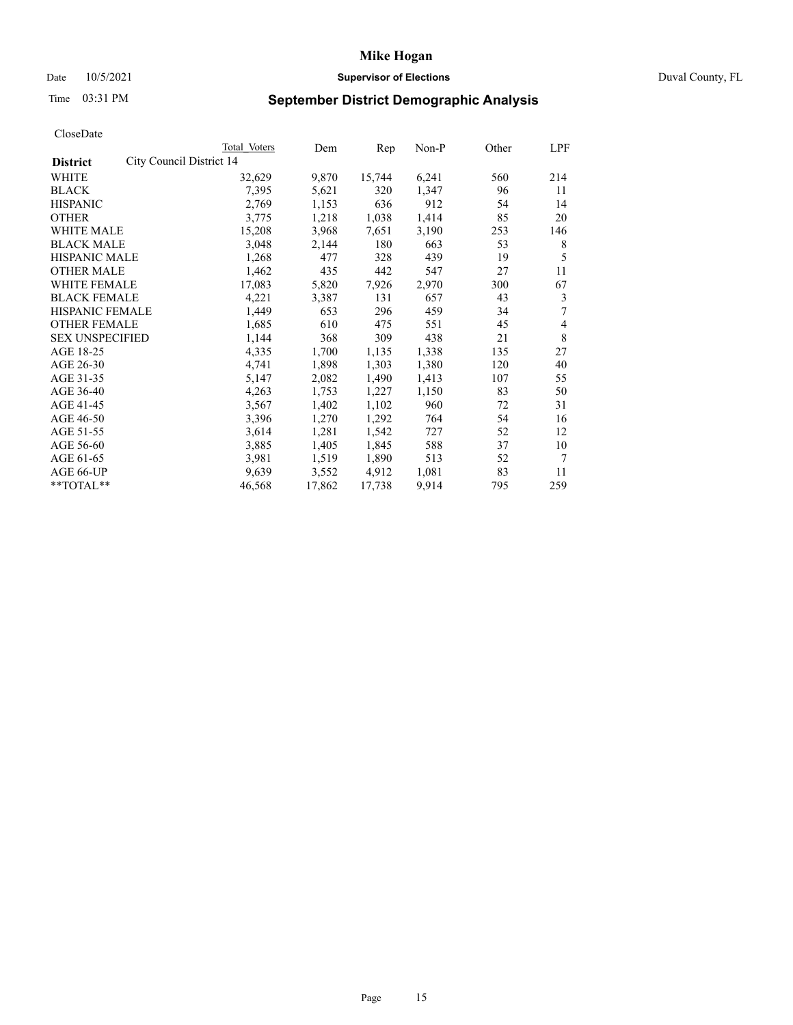# Date 10/5/2021 **Supervisor of Elections Supervisor of Elections** Duval County, FL

# Time 03:31 PM **September District Demographic Analysis**

|                        |                          | Total Voters | Dem    | Rep    | Non-P | Other | LPF |
|------------------------|--------------------------|--------------|--------|--------|-------|-------|-----|
| <b>District</b>        | City Council District 14 |              |        |        |       |       |     |
| WHITE                  |                          | 32,629       | 9,870  | 15,744 | 6,241 | 560   | 214 |
| <b>BLACK</b>           |                          | 7,395        | 5,621  | 320    | 1,347 | 96    | 11  |
| <b>HISPANIC</b>        |                          | 2,769        | 1,153  | 636    | 912   | 54    | 14  |
| <b>OTHER</b>           |                          | 3,775        | 1,218  | 1,038  | 1,414 | 85    | 20  |
| <b>WHITE MALE</b>      |                          | 15,208       | 3,968  | 7,651  | 3,190 | 253   | 146 |
| <b>BLACK MALE</b>      |                          | 3,048        | 2,144  | 180    | 663   | 53    | 8   |
| <b>HISPANIC MALE</b>   |                          | 1,268        | 477    | 328    | 439   | 19    | 5   |
| <b>OTHER MALE</b>      |                          | 1,462        | 435    | 442    | 547   | 27    | 11  |
| WHITE FEMALE           |                          | 17,083       | 5,820  | 7,926  | 2,970 | 300   | 67  |
| <b>BLACK FEMALE</b>    |                          | 4,221        | 3,387  | 131    | 657   | 43    | 3   |
| HISPANIC FEMALE        |                          | 1,449        | 653    | 296    | 459   | 34    | 7   |
| <b>OTHER FEMALE</b>    |                          | 1,685        | 610    | 475    | 551   | 45    | 4   |
| <b>SEX UNSPECIFIED</b> |                          | 1,144        | 368    | 309    | 438   | 21    | 8   |
| AGE 18-25              |                          | 4,335        | 1,700  | 1,135  | 1,338 | 135   | 27  |
| AGE 26-30              |                          | 4,741        | 1,898  | 1,303  | 1,380 | 120   | 40  |
| AGE 31-35              |                          | 5,147        | 2,082  | 1,490  | 1,413 | 107   | 55  |
| AGE 36-40              |                          | 4,263        | 1,753  | 1,227  | 1,150 | 83    | 50  |
| AGE 41-45              |                          | 3,567        | 1,402  | 1,102  | 960   | 72    | 31  |
| AGE 46-50              |                          | 3,396        | 1,270  | 1,292  | 764   | 54    | 16  |
| AGE 51-55              |                          | 3,614        | 1,281  | 1,542  | 727   | 52    | 12  |
| AGE 56-60              |                          | 3,885        | 1,405  | 1,845  | 588   | 37    | 10  |
| AGE 61-65              |                          | 3,981        | 1,519  | 1,890  | 513   | 52    | 7   |
| AGE 66-UP              |                          | 9,639        | 3,552  | 4,912  | 1,081 | 83    | 11  |
| **TOTAL**              |                          | 46,568       | 17,862 | 17,738 | 9,914 | 795   | 259 |
|                        |                          |              |        |        |       |       |     |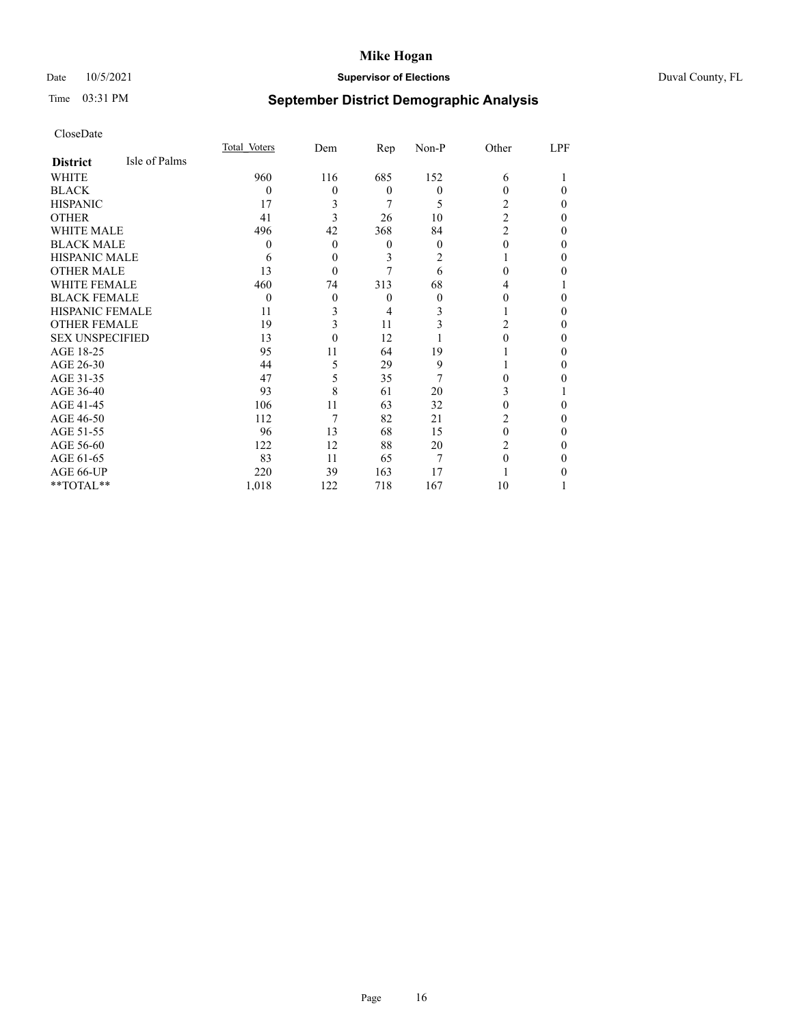# Date 10/5/2021 **Supervisor of Elections** Duval County, FL

# Time 03:31 PM **September District Demographic Analysis**

|                        |               | Total Voters | Dem      | Rep      | Non-P    | Other          | LPF |
|------------------------|---------------|--------------|----------|----------|----------|----------------|-----|
| <b>District</b>        | Isle of Palms |              |          |          |          |                |     |
| WHITE                  |               | 960          | 116      | 685      | 152      | 6              |     |
| <b>BLACK</b>           |               | $\Omega$     | 0        | $\theta$ | $\theta$ | 0              | 0   |
| <b>HISPANIC</b>        |               | 17           | 3        | 7        | 5        | 2              | 0   |
| <b>OTHER</b>           |               | 41           | 3        | 26       | 10       | $\overline{2}$ | 0   |
| WHITE MALE             |               | 496          | 42       | 368      | 84       | $\overline{2}$ | 0   |
| <b>BLACK MALE</b>      |               | $\theta$     | $\Omega$ | $\theta$ | $\theta$ | 0              | 0   |
| <b>HISPANIC MALE</b>   |               | 6            | 0        | 3        | 2        |                | 0   |
| <b>OTHER MALE</b>      |               | 13           | 0        | 7        | 6        | 0              | 0   |
| WHITE FEMALE           |               | 460          | 74       | 313      | 68       | 4              |     |
| <b>BLACK FEMALE</b>    |               | $\Omega$     | $\theta$ | $\theta$ | $\theta$ | 0              | 0   |
| <b>HISPANIC FEMALE</b> |               | 11           | 3        | 4        | 3        |                | 0   |
| <b>OTHER FEMALE</b>    |               | 19           | 3        | 11       | 3        | 2              | 0   |
| <b>SEX UNSPECIFIED</b> |               | 13           | $\theta$ | 12       |          | 0              | 0   |
| AGE 18-25              |               | 95           | 11       | 64       | 19       |                | 0   |
| AGE 26-30              |               | 44           | 5        | 29       | 9        |                | 0   |
| AGE 31-35              |               | 47           | 5        | 35       | 7        | 0              | 0   |
| AGE 36-40              |               | 93           | 8        | 61       | 20       | 3              |     |
| AGE 41-45              |               | 106          | 11       | 63       | 32       | 0              | 0   |
| AGE 46-50              |               | 112          | 7        | 82       | 21       | 2              | 0   |
| AGE 51-55              |               | 96           | 13       | 68       | 15       | 0              | 0   |
| AGE 56-60              |               | 122          | 12       | 88       | 20       | 2              | 0   |
| AGE 61-65              |               | 83           | 11       | 65       | 7        | 0              | 0   |
| AGE 66-UP              |               | 220          | 39       | 163      | 17       |                |     |
| **TOTAL**              |               | 1,018        | 122      | 718      | 167      | 10             |     |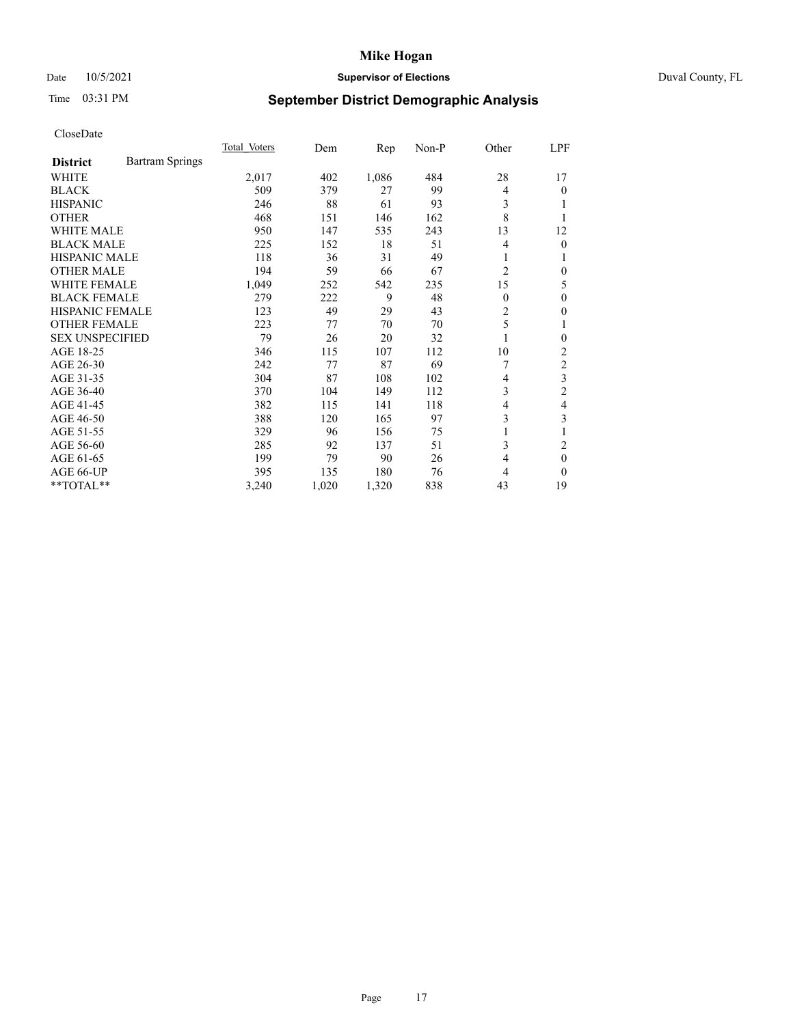# Date 10/5/2021 **Supervisor of Elections Supervisor of Elections** Duval County, FL

# Time 03:31 PM **September District Demographic Analysis**

|                        |                        | Total Voters | Dem   | Rep   | $Non-P$ | Other    | LPF            |
|------------------------|------------------------|--------------|-------|-------|---------|----------|----------------|
| <b>District</b>        | <b>Bartram Springs</b> |              |       |       |         |          |                |
| WHITE                  |                        | 2,017        | 402   | 1,086 | 484     | 28       | 17             |
| <b>BLACK</b>           |                        | 509          | 379   | 27    | 99      | 4        | 0              |
| <b>HISPANIC</b>        |                        | 246          | 88    | 61    | 93      | 3        |                |
| <b>OTHER</b>           |                        | 468          | 151   | 146   | 162     | 8        |                |
| <b>WHITE MALE</b>      |                        | 950          | 147   | 535   | 243     | 13       | 12             |
| <b>BLACK MALE</b>      |                        | 225          | 152   | 18    | 51      | 4        | 0              |
| <b>HISPANIC MALE</b>   |                        | 118          | 36    | 31    | 49      | 1        |                |
| <b>OTHER MALE</b>      |                        | 194          | 59    | 66    | 67      | 2        | 0              |
| WHITE FEMALE           |                        | 1,049        | 252   | 542   | 235     | 15       | 5              |
| <b>BLACK FEMALE</b>    |                        | 279          | 222   | 9     | 48      | $\theta$ | 0              |
| <b>HISPANIC FEMALE</b> |                        | 123          | 49    | 29    | 43      | 2        | 0              |
| <b>OTHER FEMALE</b>    |                        | 223          | 77    | 70    | 70      | 5        | 1              |
| <b>SEX UNSPECIFIED</b> |                        | 79           | 26    | 20    | 32      | 1        | 0              |
| AGE 18-25              |                        | 346          | 115   | 107   | 112     | 10       | 2              |
| AGE 26-30              |                        | 242          | 77    | 87    | 69      |          | 2              |
| AGE 31-35              |                        | 304          | 87    | 108   | 102     | 4        | 3              |
| AGE 36-40              |                        | 370          | 104   | 149   | 112     | 3        | $\overline{2}$ |
| AGE 41-45              |                        | 382          | 115   | 141   | 118     | 4        | 4              |
| AGE 46-50              |                        | 388          | 120   | 165   | 97      | 3        | 3              |
| AGE 51-55              |                        | 329          | 96    | 156   | 75      | 1        |                |
| AGE 56-60              |                        | 285          | 92    | 137   | 51      | 3        | 2              |
| AGE 61-65              |                        | 199          | 79    | 90    | 26      | 4        | $\theta$       |
| AGE 66-UP              |                        | 395          | 135   | 180   | 76      | 4        | 0              |
| **TOTAL**              |                        | 3,240        | 1,020 | 1,320 | 838     | 43       | 19             |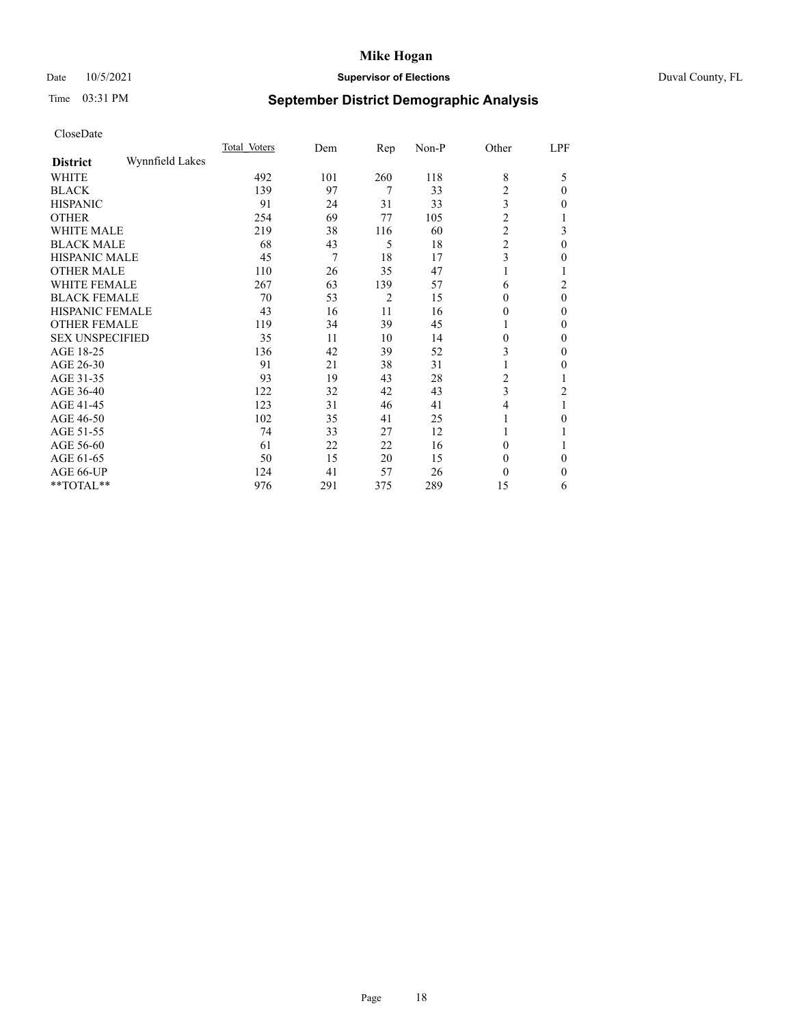# Date 10/5/2021 **Supervisor of Elections** Duval County, FL

# Time 03:31 PM **September District Demographic Analysis**

|                        |                 | Total Voters | Dem | Rep | Non-P | Other          | LPF |
|------------------------|-----------------|--------------|-----|-----|-------|----------------|-----|
| <b>District</b>        | Wynnfield Lakes |              |     |     |       |                |     |
| WHITE                  |                 | 492          | 101 | 260 | 118   | 8              | 5   |
| <b>BLACK</b>           |                 | 139          | 97  | 7   | 33    | 2              | 0   |
| <b>HISPANIC</b>        |                 | 91           | 24  | 31  | 33    | 3              | 0   |
| <b>OTHER</b>           |                 | 254          | 69  | 77  | 105   | $\overline{2}$ |     |
| <b>WHITE MALE</b>      |                 | 219          | 38  | 116 | 60    | $\overline{c}$ | 3   |
| <b>BLACK MALE</b>      |                 | 68           | 43  | 5   | 18    | $\overline{c}$ | 0   |
| <b>HISPANIC MALE</b>   |                 | 45           | 7   | 18  | 17    | 3              | 0   |
| <b>OTHER MALE</b>      |                 | 110          | 26  | 35  | 47    | 1              |     |
| <b>WHITE FEMALE</b>    |                 | 267          | 63  | 139 | 57    | 6              | 2   |
| <b>BLACK FEMALE</b>    |                 | 70           | 53  | 2   | 15    | 0              | 0   |
| <b>HISPANIC FEMALE</b> |                 | 43           | 16  | 11  | 16    | 0              | 0   |
| <b>OTHER FEMALE</b>    |                 | 119          | 34  | 39  | 45    | 1              | 0   |
| <b>SEX UNSPECIFIED</b> |                 | 35           | 11  | 10  | 14    | 0              | 0   |
| AGE 18-25              |                 | 136          | 42  | 39  | 52    | 3              | 0   |
| AGE 26-30              |                 | 91           | 21  | 38  | 31    | 1              | 0   |
| AGE 31-35              |                 | 93           | 19  | 43  | 28    | 2              |     |
| AGE 36-40              |                 | 122          | 32  | 42  | 43    | 3              | 2   |
| AGE 41-45              |                 | 123          | 31  | 46  | 41    | 4              |     |
| AGE 46-50              |                 | 102          | 35  | 41  | 25    | 1              | 0   |
| AGE 51-55              |                 | 74           | 33  | 27  | 12    | 1              |     |
| AGE 56-60              |                 | 61           | 22  | 22  | 16    | $\theta$       |     |
| AGE 61-65              |                 | 50           | 15  | 20  | 15    | $\theta$       | 0   |
| AGE 66-UP              |                 | 124          | 41  | 57  | 26    | $\theta$       | 0   |
| **TOTAL**              |                 | 976          | 291 | 375 | 289   | 15             | 6   |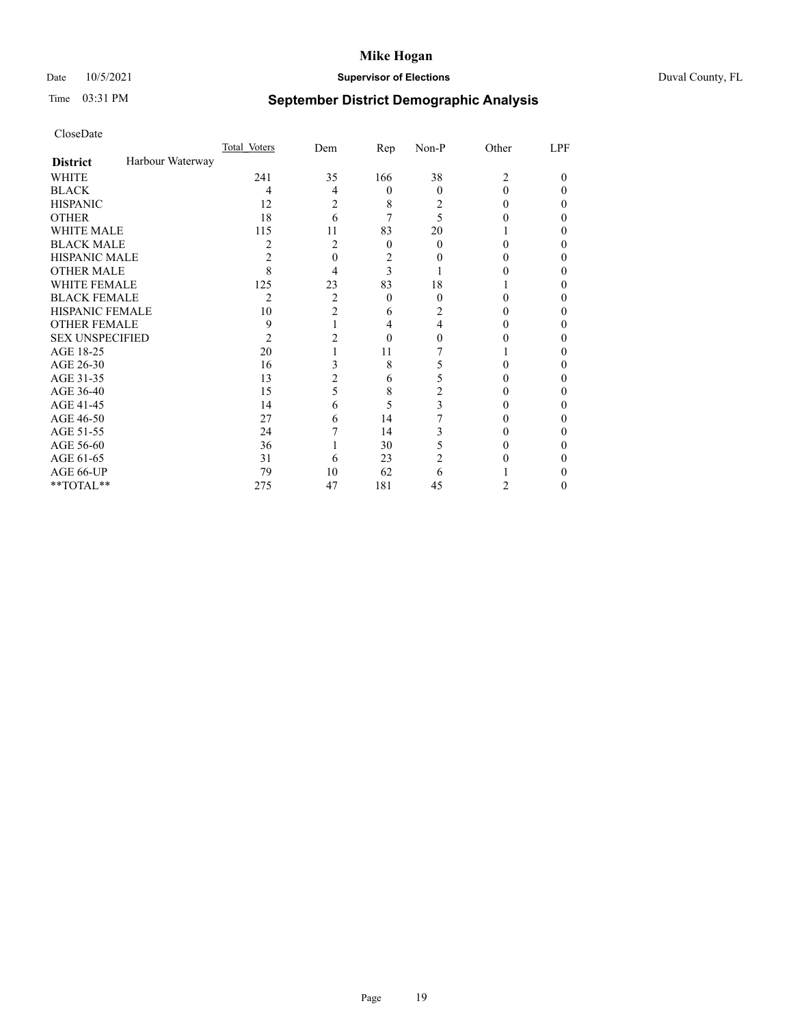# Date 10/5/2021 **Supervisor of Elections** Duval County, FL

# Time 03:31 PM **September District Demographic Analysis**

|                        |                  | Total Voters | Dem            | Rep      | Non-P          | Other          | LPF |
|------------------------|------------------|--------------|----------------|----------|----------------|----------------|-----|
| <b>District</b>        | Harbour Waterway |              |                |          |                |                |     |
| WHITE                  |                  | 241          | 35             | 166      | 38             | $\overline{c}$ | 0   |
| <b>BLACK</b>           |                  | 4            | 4              | $\theta$ | $\Omega$       | 0              | 0   |
| <b>HISPANIC</b>        |                  | 12           | 2              | 8        | 2              | 0              | 0   |
| <b>OTHER</b>           |                  | 18           | 6              |          | 5              |                |     |
| <b>WHITE MALE</b>      |                  | 115          | 11             | 83       | 20             |                |     |
| <b>BLACK MALE</b>      |                  | 2            | 2              | $\theta$ | 0              | 0              | 0   |
| <b>HISPANIC MALE</b>   |                  | 2            | 0              | 2        |                |                |     |
| <b>OTHER MALE</b>      |                  | 8            | 4              | 3        |                |                | 0   |
| WHITE FEMALE           |                  | 125          | 23             | 83       | 18             |                |     |
| <b>BLACK FEMALE</b>    |                  | 2            | $\overline{c}$ | $\theta$ | $\Omega$       | 0              | 0   |
| <b>HISPANIC FEMALE</b> |                  | 10           | 2              | 6        | $\overline{c}$ |                |     |
| <b>OTHER FEMALE</b>    |                  | 9            |                | 4        | 4              |                | 0   |
| <b>SEX UNSPECIFIED</b> |                  | 2            |                | 0        |                |                |     |
| AGE 18-25              |                  | 20           |                | 11       |                |                |     |
| AGE 26-30              |                  | 16           | 3              | 8        |                |                | 0   |
| AGE 31-35              |                  | 13           | 2              | 6        |                |                | 0   |
| AGE 36-40              |                  | 15           | 5              | 8        | 2              |                | 0   |
| AGE 41-45              |                  | 14           | 6              | 5        | 3              |                |     |
| AGE 46-50              |                  | 27           | 6              | 14       |                | 0              | 0   |
| AGE 51-55              |                  | 24           |                | 14       | 3              |                |     |
| AGE 56-60              |                  | 36           |                | 30       |                |                |     |
| AGE 61-65              |                  | 31           | 6              | 23       | 2              |                |     |
| AGE 66-UP              |                  | 79           | 10             | 62       | 6              |                |     |
| **TOTAL**              |                  | 275          | 47             | 181      | 45             | 2              | 0   |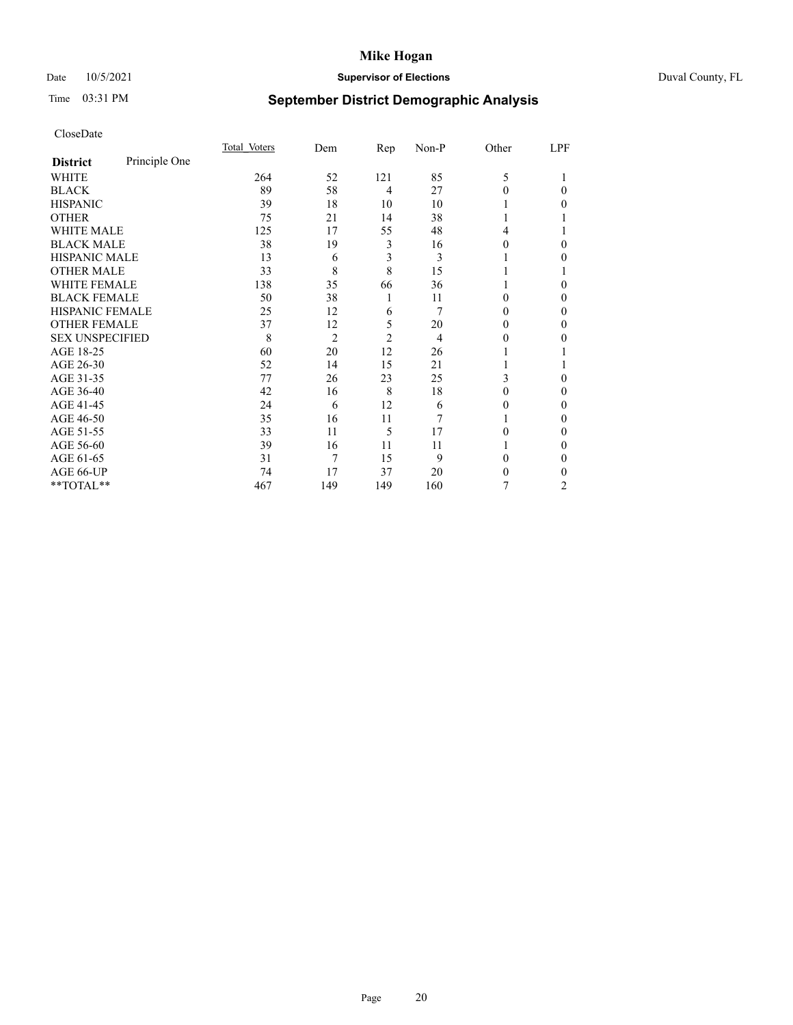# Date 10/5/2021 **Supervisor of Elections** Duval County, FL

# Time 03:31 PM **September District Demographic Analysis**

|                        |               | Total Voters | Dem            | Rep            | Non-P | Other | LPF    |
|------------------------|---------------|--------------|----------------|----------------|-------|-------|--------|
| <b>District</b>        | Principle One |              |                |                |       |       |        |
| WHITE                  |               | 264          | 52             | 121            | 85    | 5     |        |
| <b>BLACK</b>           |               | 89           | 58             | 4              | 27    | 0     | 0      |
| <b>HISPANIC</b>        |               | 39           | 18             | 10             | 10    |       | 0      |
| <b>OTHER</b>           |               | 75           | 21             | 14             | 38    |       |        |
| WHITE MALE             |               | 125          | 17             | 55             | 48    | 4     |        |
| <b>BLACK MALE</b>      |               | 38           | 19             | 3              | 16    | 0     | $_{0}$ |
| <b>HISPANIC MALE</b>   |               | 13           | 6              | 3              | 3     |       | 0      |
| <b>OTHER MALE</b>      |               | 33           | 8              | 8              | 15    |       |        |
| WHITE FEMALE           |               | 138          | 35             | 66             | 36    |       | 0      |
| <b>BLACK FEMALE</b>    |               | 50           | 38             | 1              | 11    | 0     | 0      |
| <b>HISPANIC FEMALE</b> |               | 25           | 12             | 6              | 7     | 0     | 0      |
| <b>OTHER FEMALE</b>    |               | 37           | 12             | 5              | 20    | 0     | 0      |
| <b>SEX UNSPECIFIED</b> |               | 8            | $\overline{2}$ | $\overline{2}$ | 4     | 0     | 0      |
| AGE 18-25              |               | 60           | 20             | 12             | 26    |       |        |
| AGE 26-30              |               | 52           | 14             | 15             | 21    |       |        |
| AGE 31-35              |               | 77           | 26             | 23             | 25    | 3     | 0      |
| AGE 36-40              |               | 42           | 16             | 8              | 18    | 0     | 0      |
| AGE 41-45              |               | 24           | 6              | 12             | 6     | 0     | 0      |
| AGE 46-50              |               | 35           | 16             | 11             | 7     |       | 0      |
| AGE 51-55              |               | 33           | 11             | 5              | 17    | 0     | 0      |
| AGE 56-60              |               | 39           | 16             | 11             | 11    |       | 0      |
| AGE 61-65              |               | 31           | 7              | 15             | 9     | 0     | 0      |
| AGE 66-UP              |               | 74           | 17             | 37             | 20    | 0     | 0      |
| **TOTAL**              |               | 467          | 149            | 149            | 160   | 7     | 2      |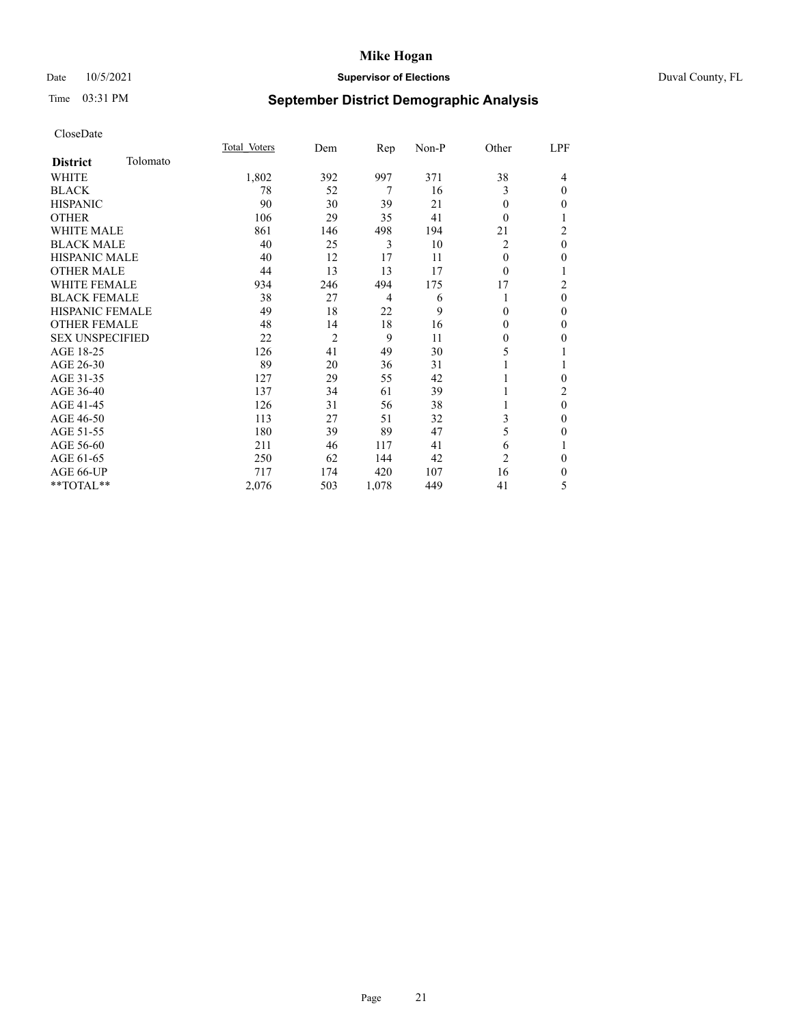# Date 10/5/2021 **Supervisor of Elections Supervisor of Elections** Duval County, FL

# Time 03:31 PM **September District Demographic Analysis**

|                        |          | Total Voters | Dem            | Rep            | Non-P | Other          | LPF      |
|------------------------|----------|--------------|----------------|----------------|-------|----------------|----------|
| <b>District</b>        | Tolomato |              |                |                |       |                |          |
| WHITE                  |          | 1,802        | 392            | 997            | 371   | 38             | 4        |
| <b>BLACK</b>           |          | 78           | 52             | 7              | 16    | 3              | $\theta$ |
| <b>HISPANIC</b>        |          | 90           | 30             | 39             | 21    | $\theta$       | $\Omega$ |
| <b>OTHER</b>           |          | 106          | 29             | 35             | 41    | $\theta$       |          |
| <b>WHITE MALE</b>      |          | 861          | 146            | 498            | 194   | 21             | 2        |
| <b>BLACK MALE</b>      |          | 40           | 25             | 3              | 10    | $\overline{c}$ | $\theta$ |
| <b>HISPANIC MALE</b>   |          | 40           | 12             | 17             | 11    | $\theta$       | 0        |
| <b>OTHER MALE</b>      |          | 44           | 13             | 13             | 17    | $\theta$       |          |
| WHITE FEMALE           |          | 934          | 246            | 494            | 175   | 17             | 2        |
| <b>BLACK FEMALE</b>    |          | 38           | 27             | $\overline{4}$ | 6     | 1              | $\theta$ |
| <b>HISPANIC FEMALE</b> |          | 49           | 18             | 22             | 9     | $\Omega$       | $\Omega$ |
| <b>OTHER FEMALE</b>    |          | 48           | 14             | 18             | 16    | $\Omega$       | $\Omega$ |
| <b>SEX UNSPECIFIED</b> |          | 22           | $\overline{2}$ | 9              | 11    | $\theta$       | 0        |
| AGE 18-25              |          | 126          | 41             | 49             | 30    | 5              |          |
| AGE 26-30              |          | 89           | 20             | 36             | 31    |                |          |
| AGE 31-35              |          | 127          | 29             | 55             | 42    |                | 0        |
| AGE 36-40              |          | 137          | 34             | 61             | 39    |                | 2        |
| AGE 41-45              |          | 126          | 31             | 56             | 38    |                | $\theta$ |
| AGE 46-50              |          | 113          | 27             | 51             | 32    | 3              | $\theta$ |
| AGE 51-55              |          | 180          | 39             | 89             | 47    | 5              | 0        |
| AGE 56-60              |          | 211          | 46             | 117            | 41    | 6              |          |
| AGE 61-65              |          | 250          | 62             | 144            | 42    | $\overline{2}$ | $\theta$ |
| AGE 66-UP              |          | 717          | 174            | 420            | 107   | 16             | 0        |
| **TOTAL**              |          | 2,076        | 503            | 1,078          | 449   | 41             | 5        |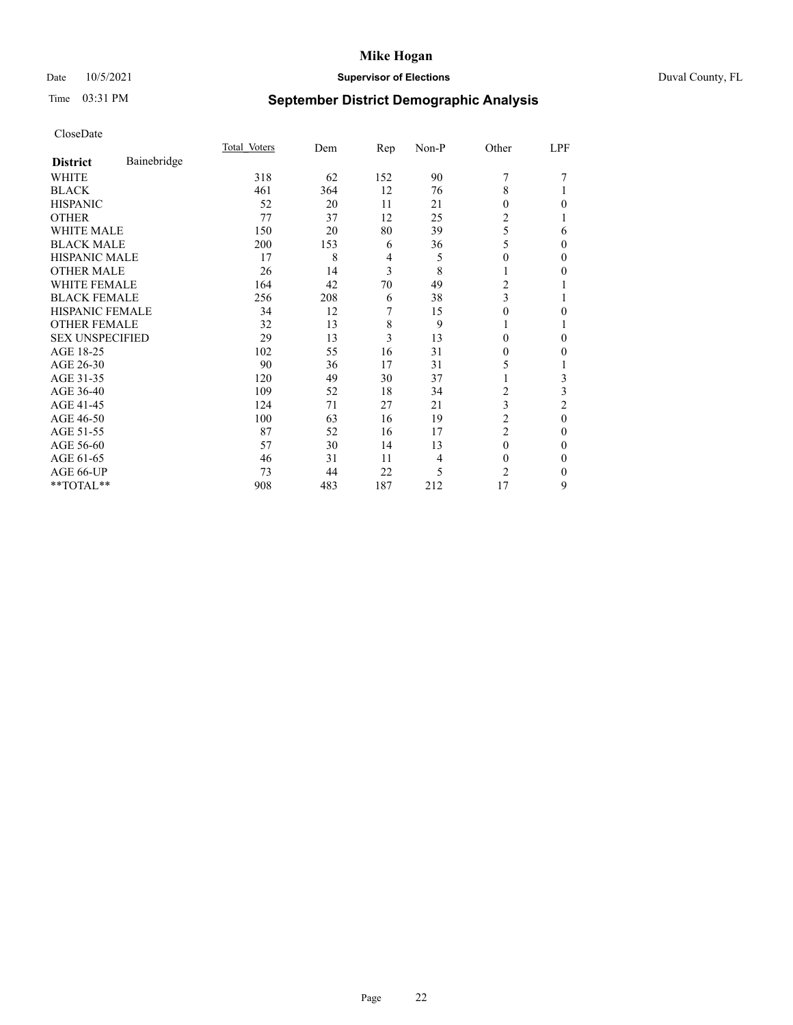# Date 10/5/2021 **Supervisor of Elections** Duval County, FL

# Time 03:31 PM **September District Demographic Analysis**

|                        |             | Total Voters | Dem | Rep | Non-P | Other          | LPF      |
|------------------------|-------------|--------------|-----|-----|-------|----------------|----------|
| <b>District</b>        | Bainebridge |              |     |     |       |                |          |
| WHITE                  |             | 318          | 62  | 152 | 90    | 7              |          |
| <b>BLACK</b>           |             | 461          | 364 | 12  | 76    | 8              |          |
| <b>HISPANIC</b>        |             | 52           | 20  | 11  | 21    | 0              | 0        |
| <b>OTHER</b>           |             | 77           | 37  | 12  | 25    | $\overline{2}$ |          |
| WHITE MALE             |             | 150          | 20  | 80  | 39    | 5              | 6        |
| <b>BLACK MALE</b>      |             | 200          | 153 | 6   | 36    | 5              | $\Omega$ |
| <b>HISPANIC MALE</b>   |             | 17           | 8   | 4   | 5     | 0              | 0        |
| <b>OTHER MALE</b>      |             | 26           | 14  | 3   | 8     | 1              | 0        |
| <b>WHITE FEMALE</b>    |             | 164          | 42  | 70  | 49    | 2              |          |
| <b>BLACK FEMALE</b>    |             | 256          | 208 | 6   | 38    | 3              |          |
| <b>HISPANIC FEMALE</b> |             | 34           | 12  | 7   | 15    | 0              | 0        |
| <b>OTHER FEMALE</b>    |             | 32           | 13  | 8   | 9     |                |          |
| <b>SEX UNSPECIFIED</b> |             | 29           | 13  | 3   | 13    | $\Omega$       | 0        |
| AGE 18-25              |             | 102          | 55  | 16  | 31    | 0              | 0        |
| AGE 26-30              |             | 90           | 36  | 17  | 31    | 5              |          |
| AGE 31-35              |             | 120          | 49  | 30  | 37    |                | 3        |
| AGE 36-40              |             | 109          | 52  | 18  | 34    | 2              | 3        |
| AGE 41-45              |             | 124          | 71  | 27  | 21    | 3              | 2        |
| AGE 46-50              |             | 100          | 63  | 16  | 19    | 2              | $\theta$ |
| AGE 51-55              |             | 87           | 52  | 16  | 17    | $\overline{2}$ | 0        |
| AGE 56-60              |             | 57           | 30  | 14  | 13    | $\theta$       | 0        |
| AGE 61-65              |             | 46           | 31  | 11  | 4     | $\Omega$       | 0        |
| AGE 66-UP              |             | 73           | 44  | 22  | 5     | $\overline{c}$ | 0        |
| **TOTAL**              |             | 908          | 483 | 187 | 212   | 17             | 9        |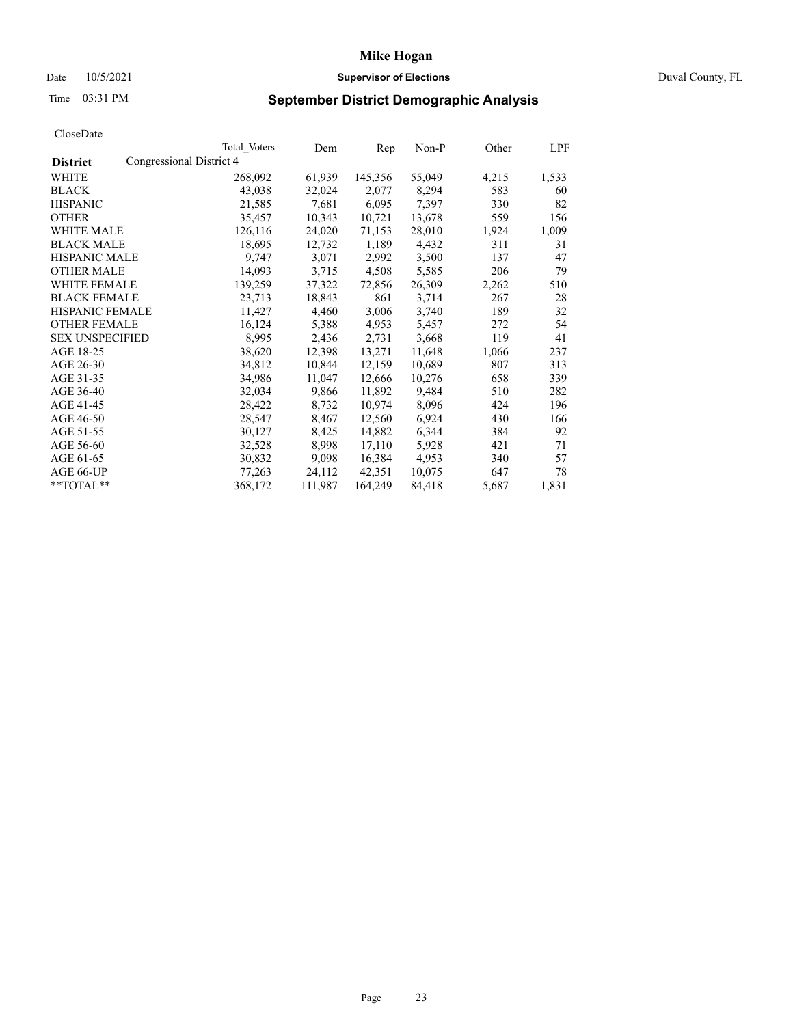# Date 10/5/2021 **Supervisor of Elections Supervisor of Elections** Duval County, FL

# Time 03:31 PM **September District Demographic Analysis**

|                        |                          | Total Voters | Dem     | Rep     | Non-P  | Other | LPF   |
|------------------------|--------------------------|--------------|---------|---------|--------|-------|-------|
| <b>District</b>        | Congressional District 4 |              |         |         |        |       |       |
| WHITE                  |                          | 268,092      | 61,939  | 145,356 | 55,049 | 4,215 | 1,533 |
| <b>BLACK</b>           |                          | 43,038       | 32,024  | 2,077   | 8,294  | 583   | 60    |
| <b>HISPANIC</b>        |                          | 21,585       | 7,681   | 6,095   | 7,397  | 330   | 82    |
| <b>OTHER</b>           |                          | 35,457       | 10,343  | 10,721  | 13,678 | 559   | 156   |
| WHITE MALE             |                          | 126,116      | 24,020  | 71,153  | 28,010 | 1,924 | 1,009 |
| <b>BLACK MALE</b>      |                          | 18,695       | 12,732  | 1,189   | 4,432  | 311   | 31    |
| <b>HISPANIC MALE</b>   |                          | 9,747        | 3,071   | 2,992   | 3,500  | 137   | 47    |
| <b>OTHER MALE</b>      |                          | 14,093       | 3,715   | 4,508   | 5,585  | 206   | 79    |
| <b>WHITE FEMALE</b>    |                          | 139,259      | 37,322  | 72,856  | 26,309 | 2,262 | 510   |
| <b>BLACK FEMALE</b>    |                          | 23,713       | 18,843  | 861     | 3,714  | 267   | 28    |
| HISPANIC FEMALE        |                          | 11,427       | 4,460   | 3,006   | 3,740  | 189   | 32    |
| <b>OTHER FEMALE</b>    |                          | 16,124       | 5,388   | 4,953   | 5,457  | 272   | 54    |
| <b>SEX UNSPECIFIED</b> |                          | 8,995        | 2,436   | 2,731   | 3,668  | 119   | 41    |
| AGE 18-25              |                          | 38,620       | 12,398  | 13,271  | 11,648 | 1,066 | 237   |
| AGE 26-30              |                          | 34,812       | 10,844  | 12,159  | 10,689 | 807   | 313   |
| AGE 31-35              |                          | 34,986       | 11,047  | 12,666  | 10,276 | 658   | 339   |
| AGE 36-40              |                          | 32,034       | 9,866   | 11,892  | 9,484  | 510   | 282   |
| AGE 41-45              |                          | 28,422       | 8,732   | 10,974  | 8,096  | 424   | 196   |
| AGE 46-50              |                          | 28,547       | 8,467   | 12,560  | 6,924  | 430   | 166   |
| AGE 51-55              |                          | 30,127       | 8,425   | 14,882  | 6,344  | 384   | 92    |
| AGE 56-60              |                          | 32,528       | 8,998   | 17,110  | 5,928  | 421   | 71    |
| AGE 61-65              |                          | 30,832       | 9,098   | 16,384  | 4,953  | 340   | 57    |
| AGE 66-UP              |                          | 77,263       | 24,112  | 42,351  | 10,075 | 647   | 78    |
| **TOTAL**              |                          | 368,172      | 111,987 | 164,249 | 84,418 | 5,687 | 1,831 |
|                        |                          |              |         |         |        |       |       |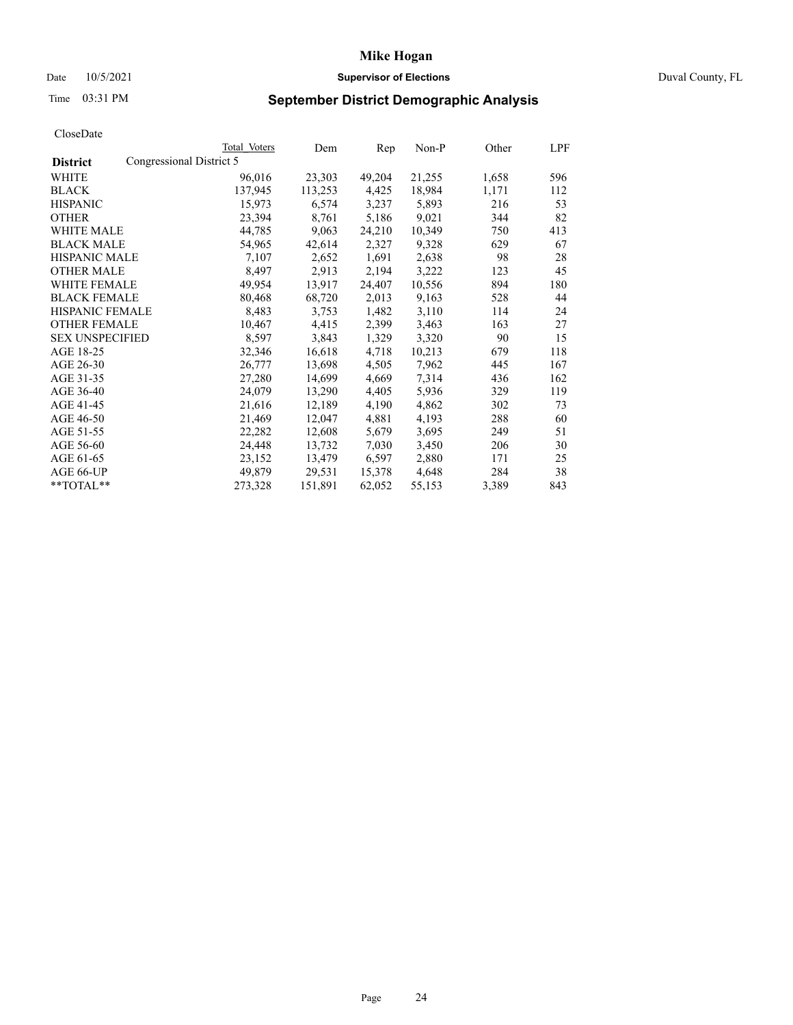# Date 10/5/2021 **Supervisor of Elections Supervisor of Elections** Duval County, FL

# Time 03:31 PM **September District Demographic Analysis**

|                                             | Total Voters | Dem     | Rep    | Non-P  | Other | LPF |
|---------------------------------------------|--------------|---------|--------|--------|-------|-----|
| Congressional District 5<br><b>District</b> |              |         |        |        |       |     |
| WHITE                                       | 96,016       | 23,303  | 49,204 | 21,255 | 1,658 | 596 |
| <b>BLACK</b>                                | 137,945      | 113,253 | 4,425  | 18,984 | 1,171 | 112 |
| <b>HISPANIC</b>                             | 15,973       | 6,574   | 3,237  | 5,893  | 216   | 53  |
| <b>OTHER</b>                                | 23,394       | 8,761   | 5,186  | 9,021  | 344   | 82  |
| WHITE MALE                                  | 44,785       | 9,063   | 24,210 | 10,349 | 750   | 413 |
| <b>BLACK MALE</b>                           | 54,965       | 42,614  | 2,327  | 9,328  | 629   | 67  |
| <b>HISPANIC MALE</b>                        | 7,107        | 2,652   | 1,691  | 2,638  | 98    | 28  |
| <b>OTHER MALE</b>                           | 8,497        | 2,913   | 2,194  | 3,222  | 123   | 45  |
| <b>WHITE FEMALE</b>                         | 49,954       | 13,917  | 24,407 | 10,556 | 894   | 180 |
| <b>BLACK FEMALE</b>                         | 80,468       | 68,720  | 2,013  | 9,163  | 528   | 44  |
| <b>HISPANIC FEMALE</b>                      | 8,483        | 3,753   | 1,482  | 3,110  | 114   | 24  |
| <b>OTHER FEMALE</b>                         | 10,467       | 4,415   | 2,399  | 3,463  | 163   | 27  |
| <b>SEX UNSPECIFIED</b>                      | 8,597        | 3,843   | 1,329  | 3,320  | 90    | 15  |
| AGE 18-25                                   | 32,346       | 16,618  | 4,718  | 10,213 | 679   | 118 |
| AGE 26-30                                   | 26,777       | 13,698  | 4,505  | 7,962  | 445   | 167 |
| AGE 31-35                                   | 27,280       | 14,699  | 4,669  | 7,314  | 436   | 162 |
| AGE 36-40                                   | 24,079       | 13,290  | 4,405  | 5,936  | 329   | 119 |
| AGE 41-45                                   | 21,616       | 12,189  | 4,190  | 4,862  | 302   | 73  |
| AGE 46-50                                   | 21,469       | 12,047  | 4,881  | 4,193  | 288   | 60  |
| AGE 51-55                                   | 22,282       | 12,608  | 5,679  | 3,695  | 249   | 51  |
| AGE 56-60                                   | 24,448       | 13,732  | 7,030  | 3,450  | 206   | 30  |
| AGE 61-65                                   | 23,152       | 13,479  | 6,597  | 2,880  | 171   | 25  |
| AGE 66-UP                                   | 49,879       | 29,531  | 15,378 | 4,648  | 284   | 38  |
| **TOTAL**                                   | 273,328      | 151,891 | 62,052 | 55,153 | 3,389 | 843 |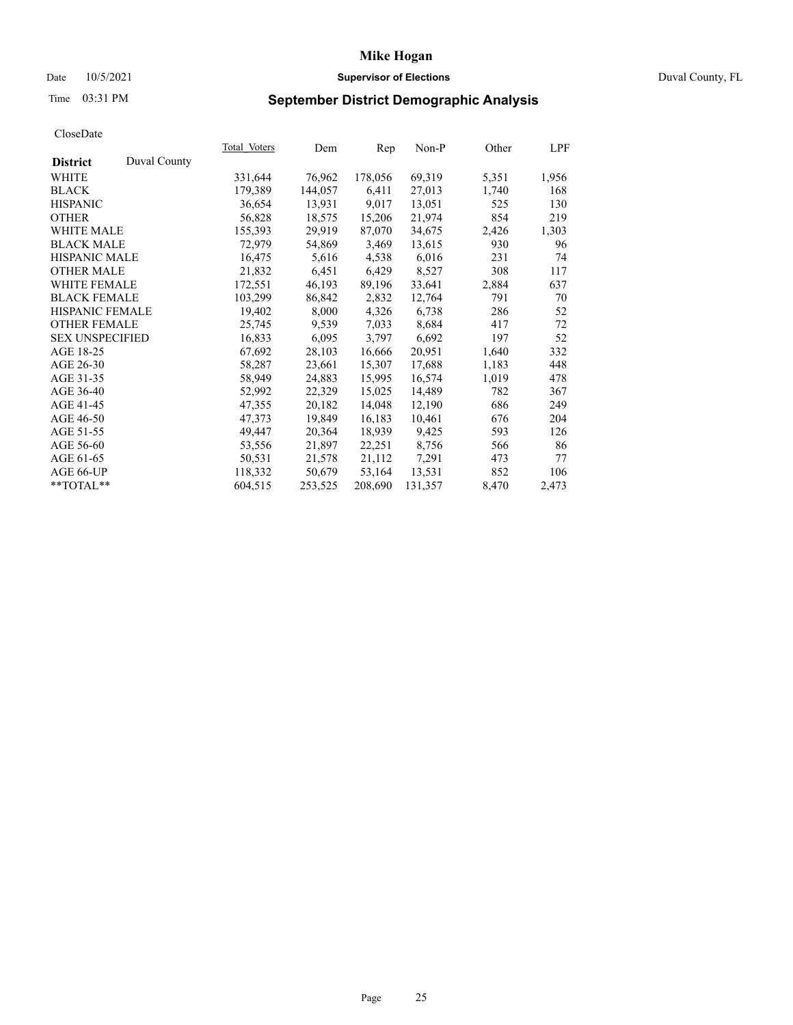# Date 10/5/2021 **Supervisor of Elections Supervisor of Elections** Duval County, FL

# Time 03:31 PM **September District Demographic Analysis**

|                                 | Total Voters | Dem     | Rep     | $Non-P$ | Other | LPF   |
|---------------------------------|--------------|---------|---------|---------|-------|-------|
| Duval County<br><b>District</b> |              |         |         |         |       |       |
| WHITE                           | 331,644      | 76,962  | 178,056 | 69,319  | 5,351 | 1,956 |
| <b>BLACK</b>                    | 179,389      | 144,057 | 6,411   | 27,013  | 1,740 | 168   |
| <b>HISPANIC</b>                 | 36,654       | 13,931  | 9,017   | 13,051  | 525   | 130   |
| <b>OTHER</b>                    | 56,828       | 18,575  | 15,206  | 21,974  | 854   | 219   |
| <b>WHITE MALE</b>               | 155,393      | 29,919  | 87,070  | 34,675  | 2,426 | 1,303 |
| <b>BLACK MALE</b>               | 72,979       | 54,869  | 3,469   | 13,615  | 930   | 96    |
| <b>HISPANIC MALE</b>            | 16,475       | 5,616   | 4,538   | 6,016   | 231   | 74    |
| <b>OTHER MALE</b>               | 21,832       | 6,451   | 6,429   | 8,527   | 308   | 117   |
| <b>WHITE FEMALE</b>             | 172,551      | 46,193  | 89,196  | 33,641  | 2,884 | 637   |
| <b>BLACK FEMALE</b>             | 103,299      | 86,842  | 2,832   | 12,764  | 791   | 70    |
| HISPANIC FEMALE                 | 19,402       | 8,000   | 4,326   | 6,738   | 286   | 52    |
| <b>OTHER FEMALE</b>             | 25,745       | 9,539   | 7,033   | 8,684   | 417   | 72    |
| <b>SEX UNSPECIFIED</b>          | 16,833       | 6,095   | 3,797   | 6,692   | 197   | 52    |
| AGE 18-25                       | 67,692       | 28,103  | 16,666  | 20,951  | 1,640 | 332   |
| AGE 26-30                       | 58,287       | 23,661  | 15,307  | 17,688  | 1,183 | 448   |
| AGE 31-35                       | 58,949       | 24,883  | 15,995  | 16,574  | 1,019 | 478   |
| AGE 36-40                       | 52,992       | 22,329  | 15,025  | 14,489  | 782   | 367   |
| AGE 41-45                       | 47,355       | 20,182  | 14,048  | 12,190  | 686   | 249   |
| AGE 46-50                       | 47,373       | 19,849  | 16,183  | 10,461  | 676   | 204   |
| AGE 51-55                       | 49,447       | 20,364  | 18,939  | 9,425   | 593   | 126   |
| AGE 56-60                       | 53,556       | 21,897  | 22,251  | 8,756   | 566   | 86    |
| AGE 61-65                       | 50,531       | 21,578  | 21,112  | 7,291   | 473   | 77    |
| AGE 66-UP                       | 118,332      | 50,679  | 53,164  | 13,531  | 852   | 106   |
| **TOTAL**                       | 604,515      | 253,525 | 208,690 | 131,357 | 8,470 | 2,473 |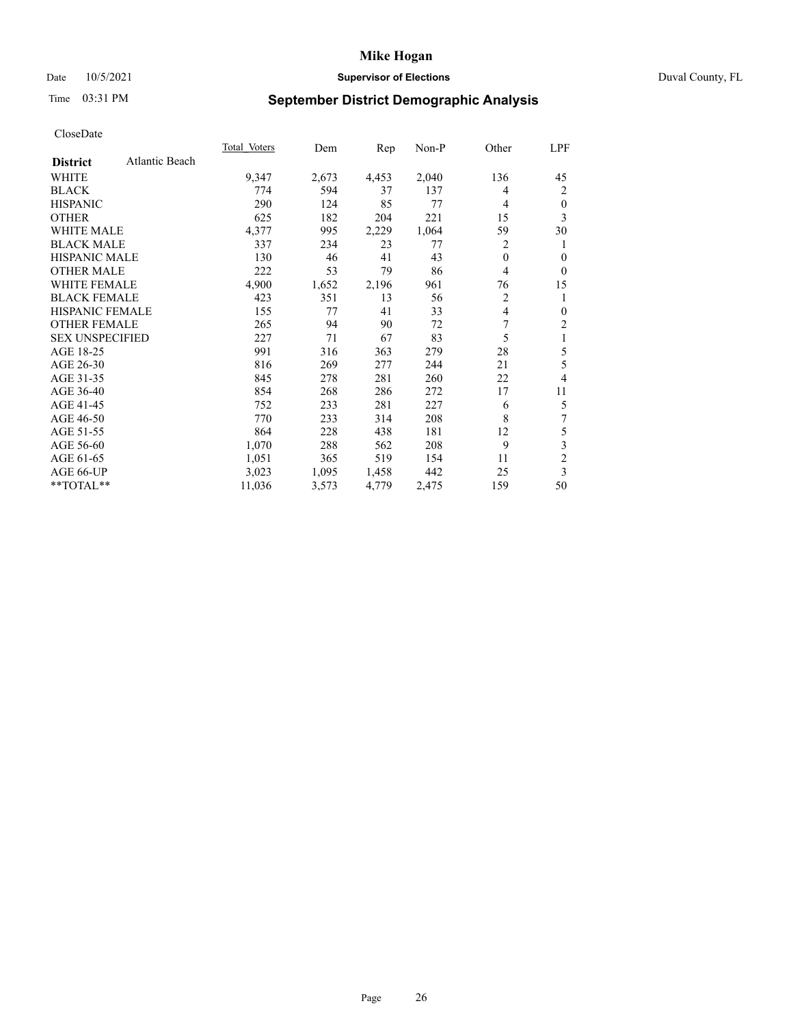# Date 10/5/2021 **Supervisor of Elections Supervisor of Elections** Duval County, FL

# Time 03:31 PM **September District Demographic Analysis**

|                        |                | Total Voters | Dem   | Rep   | Non-P | Other        | LPF                     |
|------------------------|----------------|--------------|-------|-------|-------|--------------|-------------------------|
| <b>District</b>        | Atlantic Beach |              |       |       |       |              |                         |
| WHITE                  |                | 9,347        | 2,673 | 4,453 | 2,040 | 136          | 45                      |
| <b>BLACK</b>           |                | 774          | 594   | 37    | 137   | 4            | 2                       |
| <b>HISPANIC</b>        |                | 290          | 124   | 85    | 77    | 4            | 0                       |
| <b>OTHER</b>           |                | 625          | 182   | 204   | 221   | 15           | 3                       |
| WHITE MALE             |                | 4,377        | 995   | 2,229 | 1,064 | 59           | 30                      |
| <b>BLACK MALE</b>      |                | 337          | 234   | 23    | 77    | 2            | 1                       |
| HISPANIC MALE          |                | 130          | 46    | 41    | 43    | $\mathbf{0}$ | 0                       |
| <b>OTHER MALE</b>      |                | 222          | 53    | 79    | 86    | 4            | $\theta$                |
| <b>WHITE FEMALE</b>    |                | 4,900        | 1,652 | 2,196 | 961   | 76           | 15                      |
| <b>BLACK FEMALE</b>    |                | 423          | 351   | 13    | 56    | 2            | 1                       |
| <b>HISPANIC FEMALE</b> |                | 155          | 77    | 41    | 33    | 4            | 0                       |
| <b>OTHER FEMALE</b>    |                | 265          | 94    | 90    | 72    | 7            | $\overline{2}$          |
| <b>SEX UNSPECIFIED</b> |                | 227          | 71    | 67    | 83    | 5            | 1                       |
| AGE 18-25              |                | 991          | 316   | 363   | 279   | 28           | 5                       |
| AGE 26-30              |                | 816          | 269   | 277   | 244   | 21           | 5                       |
| AGE 31-35              |                | 845          | 278   | 281   | 260   | 22           | 4                       |
| AGE 36-40              |                | 854          | 268   | 286   | 272   | 17           | 11                      |
| AGE 41-45              |                | 752          | 233   | 281   | 227   | 6            | 5                       |
| AGE 46-50              |                | 770          | 233   | 314   | 208   | 8            | 7                       |
| AGE 51-55              |                | 864          | 228   | 438   | 181   | 12           | 5                       |
| AGE 56-60              |                | 1,070        | 288   | 562   | 208   | 9            | 3                       |
| AGE 61-65              |                | 1,051        | 365   | 519   | 154   | 11           | $\overline{\mathbf{c}}$ |
| AGE 66-UP              |                | 3,023        | 1,095 | 1,458 | 442   | 25           | 3                       |
| **TOTAL**              |                | 11,036       | 3,573 | 4,779 | 2,475 | 159          | 50                      |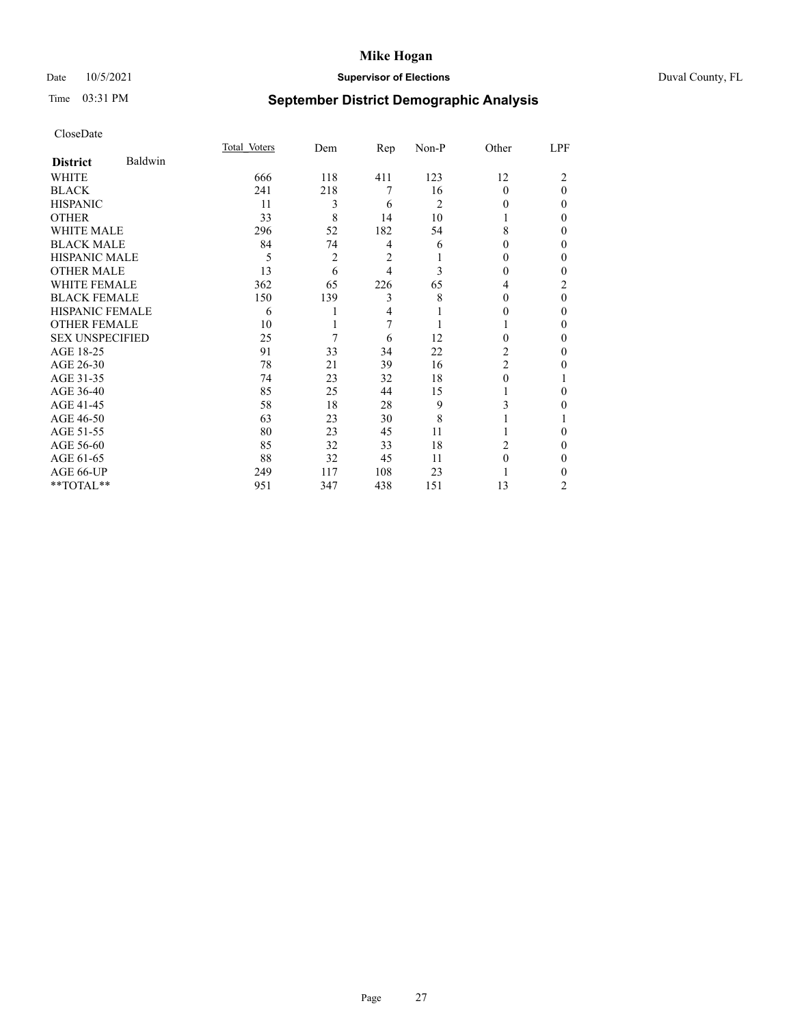# Date 10/5/2021 **Supervisor of Elections** Duval County, FL

# Time 03:31 PM **September District Demographic Analysis**

|                        |         | Total Voters | Dem            | Rep | Non-P          | Other          | LPF            |
|------------------------|---------|--------------|----------------|-----|----------------|----------------|----------------|
| <b>District</b>        | Baldwin |              |                |     |                |                |                |
| WHITE                  |         | 666          | 118            | 411 | 123            | 12             | $\overline{c}$ |
| <b>BLACK</b>           |         | 241          | 218            | 7   | 16             | $\Omega$       | $\theta$       |
| <b>HISPANIC</b>        |         | 11           | 3              | 6   | $\overline{c}$ | $_{0}$         | $\Omega$       |
| <b>OTHER</b>           |         | 33           | 8              | 14  | 10             |                | 0              |
| WHITE MALE             |         | 296          | 52             | 182 | 54             | 8              | 0              |
| <b>BLACK MALE</b>      |         | 84           | 74             | 4   | 6              | $_{0}$         | 0              |
| <b>HISPANIC MALE</b>   |         | 5            | $\overline{2}$ | 2   |                | 0              | 0              |
| <b>OTHER MALE</b>      |         | 13           | 6              | 4   | 3              | 0              | 0              |
| <b>WHITE FEMALE</b>    |         | 362          | 65             | 226 | 65             | 4              | 2              |
| <b>BLACK FEMALE</b>    |         | 150          | 139            | 3   | 8              | 0              | $\Omega$       |
| <b>HISPANIC FEMALE</b> |         | 6            |                | 4   |                | $_{0}$         | 0              |
| <b>OTHER FEMALE</b>    |         | 10           |                | 7   |                |                | 0              |
| <b>SEX UNSPECIFIED</b> |         | 25           | 7              | 6   | 12             | 0              | 0              |
| AGE 18-25              |         | 91           | 33             | 34  | 22             | 2              | 0              |
| AGE 26-30              |         | 78           | 21             | 39  | 16             | $\overline{c}$ | 0              |
| AGE 31-35              |         | 74           | 23             | 32  | 18             | 0              |                |
| AGE 36-40              |         | 85           | 25             | 44  | 15             |                | 0              |
| AGE 41-45              |         | 58           | 18             | 28  | 9              | 3              | 0              |
| AGE 46-50              |         | 63           | 23             | 30  | 8              |                |                |
| AGE 51-55              |         | 80           | 23             | 45  | 11             |                | 0              |
| AGE 56-60              |         | 85           | 32             | 33  | 18             | 2              | 0              |
| AGE 61-65              |         | 88           | 32             | 45  | 11             | 0              | 0              |
| AGE 66-UP              |         | 249          | 117            | 108 | 23             |                | 0              |
| **TOTAL**              |         | 951          | 347            | 438 | 151            | 13             | 2              |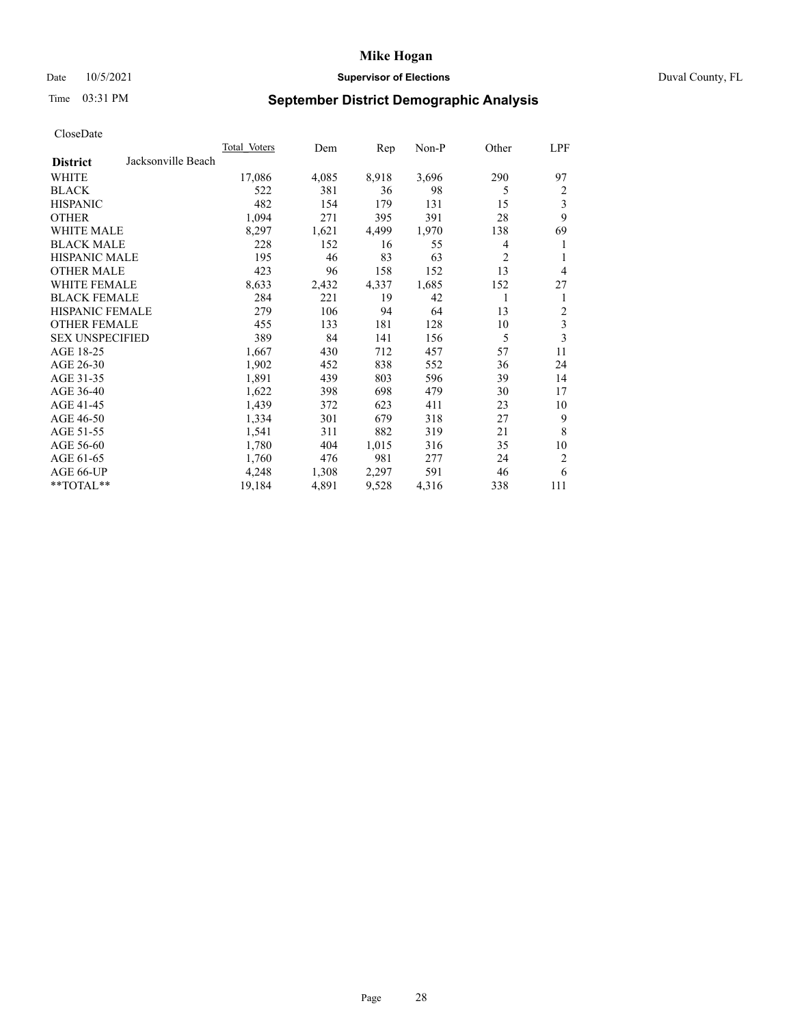# Date 10/5/2021 **Supervisor of Elections Supervisor of Elections** Duval County, FL

# Time 03:31 PM **September District Demographic Analysis**

|                        |                    | <b>Total Voters</b> | Dem   | Rep   | $Non-P$ | Other          | LPF            |
|------------------------|--------------------|---------------------|-------|-------|---------|----------------|----------------|
| <b>District</b>        | Jacksonville Beach |                     |       |       |         |                |                |
| WHITE                  |                    | 17,086              | 4,085 | 8,918 | 3,696   | 290            | 97             |
| <b>BLACK</b>           |                    | 522                 | 381   | 36    | 98      | 5              | 2              |
| <b>HISPANIC</b>        |                    | 482                 | 154   | 179   | 131     | 15             | 3              |
| <b>OTHER</b>           |                    | 1,094               | 271   | 395   | 391     | 28             | 9              |
| <b>WHITE MALE</b>      |                    | 8,297               | 1,621 | 4,499 | 1,970   | 138            | 69             |
| <b>BLACK MALE</b>      |                    | 228                 | 152   | 16    | 55      | 4              | 1              |
| <b>HISPANIC MALE</b>   |                    | 195                 | 46    | 83    | 63      | $\overline{2}$ | 1              |
| <b>OTHER MALE</b>      |                    | 423                 | 96    | 158   | 152     | 13             | $\overline{4}$ |
| WHITE FEMALE           |                    | 8,633               | 2,432 | 4,337 | 1,685   | 152            | 27             |
| <b>BLACK FEMALE</b>    |                    | 284                 | 221   | 19    | 42      | 1              | 1              |
| <b>HISPANIC FEMALE</b> |                    | 279                 | 106   | 94    | 64      | 13             | 2              |
| <b>OTHER FEMALE</b>    |                    | 455                 | 133   | 181   | 128     | 10             | 3              |
| <b>SEX UNSPECIFIED</b> |                    | 389                 | 84    | 141   | 156     | 5              | 3              |
| AGE 18-25              |                    | 1,667               | 430   | 712   | 457     | 57             | 11             |
| AGE 26-30              |                    | 1,902               | 452   | 838   | 552     | 36             | 24             |
| AGE 31-35              |                    | 1,891               | 439   | 803   | 596     | 39             | 14             |
| AGE 36-40              |                    | 1,622               | 398   | 698   | 479     | 30             | 17             |
| AGE 41-45              |                    | 1,439               | 372   | 623   | 411     | 23             | 10             |
| AGE 46-50              |                    | 1,334               | 301   | 679   | 318     | 27             | 9              |
| AGE 51-55              |                    | 1,541               | 311   | 882   | 319     | 21             | 8              |
| AGE 56-60              |                    | 1,780               | 404   | 1,015 | 316     | 35             | 10             |
| AGE 61-65              |                    | 1,760               | 476   | 981   | 277     | 24             | $\overline{2}$ |
| AGE 66-UP              |                    | 4,248               | 1,308 | 2,297 | 591     | 46             | 6              |
| $*$ $TOTAL**$          |                    | 19,184              | 4,891 | 9,528 | 4,316   | 338            | 111            |
|                        |                    |                     |       |       |         |                |                |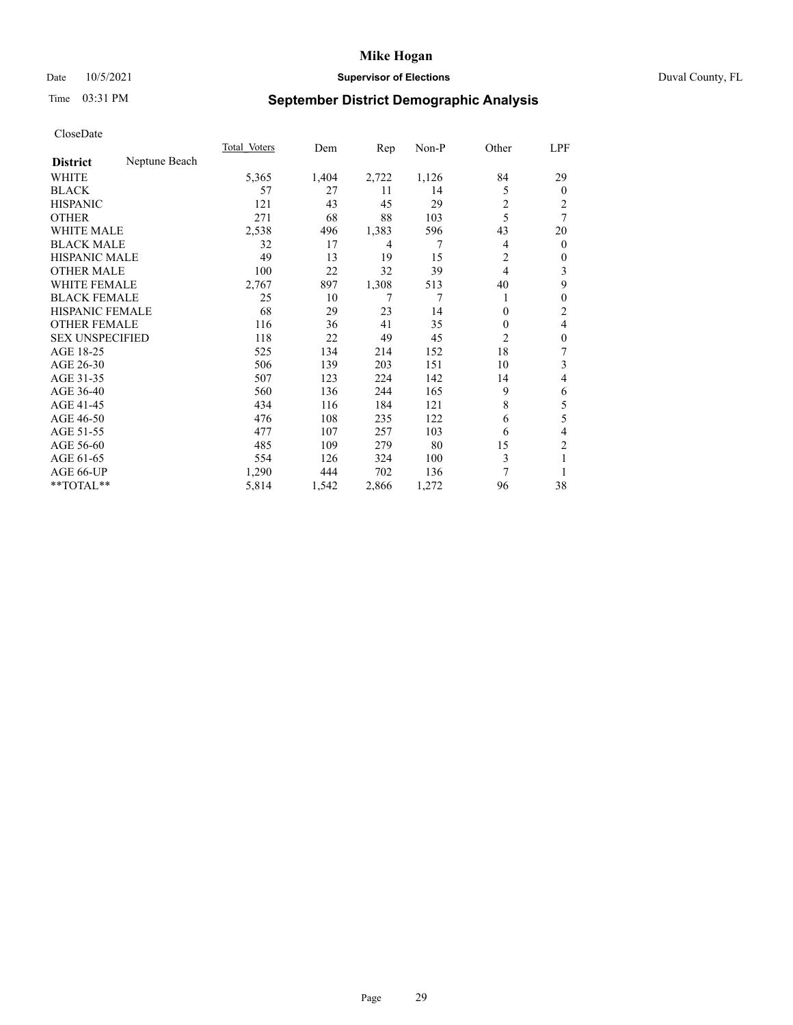# Date 10/5/2021 **Supervisor of Elections Supervisor of Elections** Duval County, FL

# Time 03:31 PM **September District Demographic Analysis**

|                        |               | Total Voters | Dem   | Rep   | $Non-P$ | Other          | LPF            |
|------------------------|---------------|--------------|-------|-------|---------|----------------|----------------|
| <b>District</b>        | Neptune Beach |              |       |       |         |                |                |
| WHITE                  |               | 5,365        | 1,404 | 2,722 | 1,126   | 84             | 29             |
| <b>BLACK</b>           |               | 57           | 27    | 11    | 14      | 5              | $\Omega$       |
| <b>HISPANIC</b>        |               | 121          | 43    | 45    | 29      | $\overline{c}$ | 2              |
| <b>OTHER</b>           |               | 271          | 68    | 88    | 103     | 5              | 7              |
| <b>WHITE MALE</b>      |               | 2,538        | 496   | 1,383 | 596     | 43             | 20             |
| <b>BLACK MALE</b>      |               | 32           | 17    | 4     | 7       | 4              | $\overline{0}$ |
| <b>HISPANIC MALE</b>   |               | 49           | 13    | 19    | 15      | 2              | 0              |
| <b>OTHER MALE</b>      |               | 100          | 22    | 32    | 39      | $\overline{4}$ | 3              |
| <b>WHITE FEMALE</b>    |               | 2,767        | 897   | 1,308 | 513     | 40             | 9              |
| <b>BLACK FEMALE</b>    |               | 25           | 10    | 7     | 7       | 1              | 0              |
| <b>HISPANIC FEMALE</b> |               | 68           | 29    | 23    | 14      | $\Omega$       | 2              |
| <b>OTHER FEMALE</b>    |               | 116          | 36    | 41    | 35      | $\Omega$       | 4              |
| <b>SEX UNSPECIFIED</b> |               | 118          | 22    | 49    | 45      | 2              | 0              |
| AGE 18-25              |               | 525          | 134   | 214   | 152     | 18             | 7              |
| AGE 26-30              |               | 506          | 139   | 203   | 151     | 10             | 3              |
| AGE 31-35              |               | 507          | 123   | 224   | 142     | 14             | 4              |
| AGE 36-40              |               | 560          | 136   | 244   | 165     | 9              | 6              |
| AGE 41-45              |               | 434          | 116   | 184   | 121     | 8              | 5              |
| AGE 46-50              |               | 476          | 108   | 235   | 122     | 6              | 5              |
| AGE 51-55              |               | 477          | 107   | 257   | 103     | 6              | 4              |
| AGE 56-60              |               | 485          | 109   | 279   | 80      | 15             | $\overline{c}$ |
| AGE 61-65              |               | 554          | 126   | 324   | 100     | 3              | 1              |
| AGE 66-UP              |               | 1,290        | 444   | 702   | 136     | 7              |                |
| **TOTAL**              |               | 5,814        | 1,542 | 2,866 | 1,272   | 96             | 38             |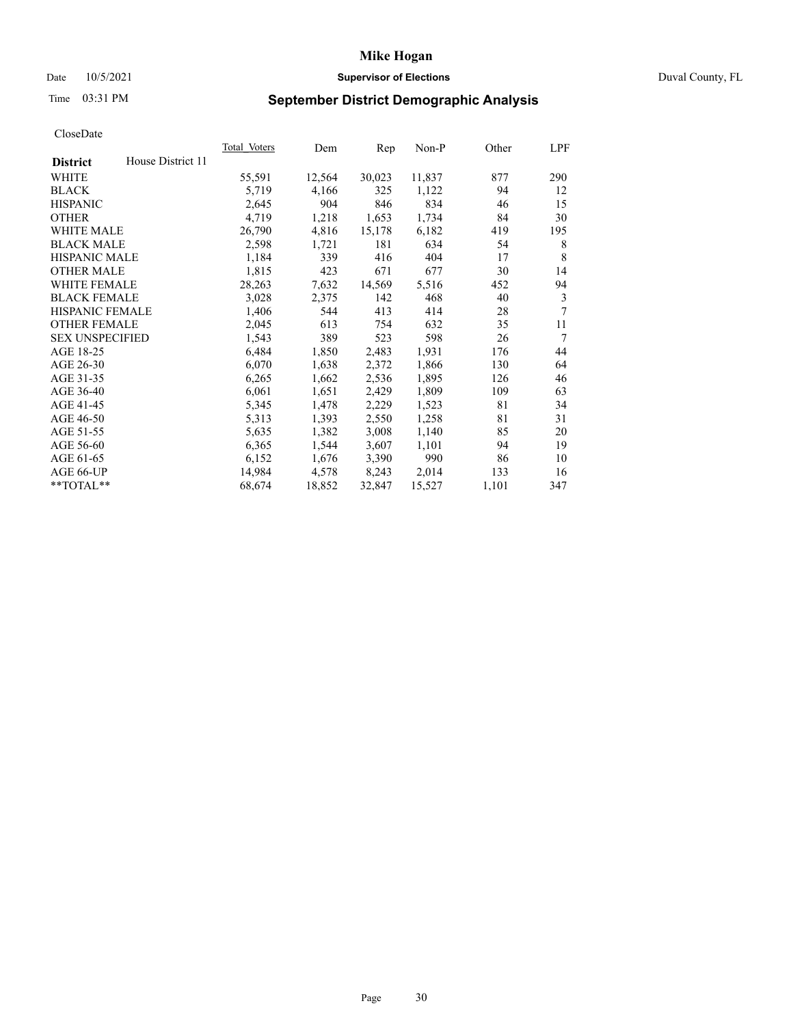# Date 10/5/2021 **Supervisor of Elections** Duval County, FL

# Time 03:31 PM **September District Demographic Analysis**

|                        |                   | Total Voters | Dem    | Rep    | Non-P  | Other | LPF |
|------------------------|-------------------|--------------|--------|--------|--------|-------|-----|
| <b>District</b>        | House District 11 |              |        |        |        |       |     |
| WHITE                  |                   | 55,591       | 12,564 | 30,023 | 11,837 | 877   | 290 |
| <b>BLACK</b>           |                   | 5,719        | 4,166  | 325    | 1,122  | 94    | 12  |
| <b>HISPANIC</b>        |                   | 2,645        | 904    | 846    | 834    | 46    | 15  |
| <b>OTHER</b>           |                   | 4,719        | 1,218  | 1,653  | 1,734  | 84    | 30  |
| WHITE MALE             |                   | 26,790       | 4,816  | 15,178 | 6,182  | 419   | 195 |
| <b>BLACK MALE</b>      |                   | 2,598        | 1,721  | 181    | 634    | 54    | 8   |
| <b>HISPANIC MALE</b>   |                   | 1,184        | 339    | 416    | 404    | 17    | 8   |
| <b>OTHER MALE</b>      |                   | 1,815        | 423    | 671    | 677    | 30    | 14  |
| WHITE FEMALE           |                   | 28,263       | 7,632  | 14,569 | 5,516  | 452   | 94  |
| <b>BLACK FEMALE</b>    |                   | 3,028        | 2,375  | 142    | 468    | 40    | 3   |
| <b>HISPANIC FEMALE</b> |                   | 1,406        | 544    | 413    | 414    | 28    | 7   |
| <b>OTHER FEMALE</b>    |                   | 2,045        | 613    | 754    | 632    | 35    | 11  |
| <b>SEX UNSPECIFIED</b> |                   | 1,543        | 389    | 523    | 598    | 26    | 7   |
| AGE 18-25              |                   | 6,484        | 1,850  | 2,483  | 1,931  | 176   | 44  |
| AGE 26-30              |                   | 6,070        | 1,638  | 2,372  | 1,866  | 130   | 64  |
| AGE 31-35              |                   | 6,265        | 1,662  | 2,536  | 1,895  | 126   | 46  |
| AGE 36-40              |                   | 6,061        | 1,651  | 2,429  | 1,809  | 109   | 63  |
| AGE 41-45              |                   | 5,345        | 1,478  | 2,229  | 1,523  | 81    | 34  |
| AGE 46-50              |                   | 5,313        | 1,393  | 2,550  | 1,258  | 81    | 31  |
| AGE 51-55              |                   | 5,635        | 1,382  | 3,008  | 1,140  | 85    | 20  |
| AGE 56-60              |                   | 6,365        | 1,544  | 3,607  | 1,101  | 94    | 19  |
| AGE 61-65              |                   | 6,152        | 1,676  | 3,390  | 990    | 86    | 10  |
| AGE 66-UP              |                   | 14,984       | 4,578  | 8,243  | 2,014  | 133   | 16  |
| $**TOTAL**$            |                   | 68,674       | 18,852 | 32,847 | 15,527 | 1,101 | 347 |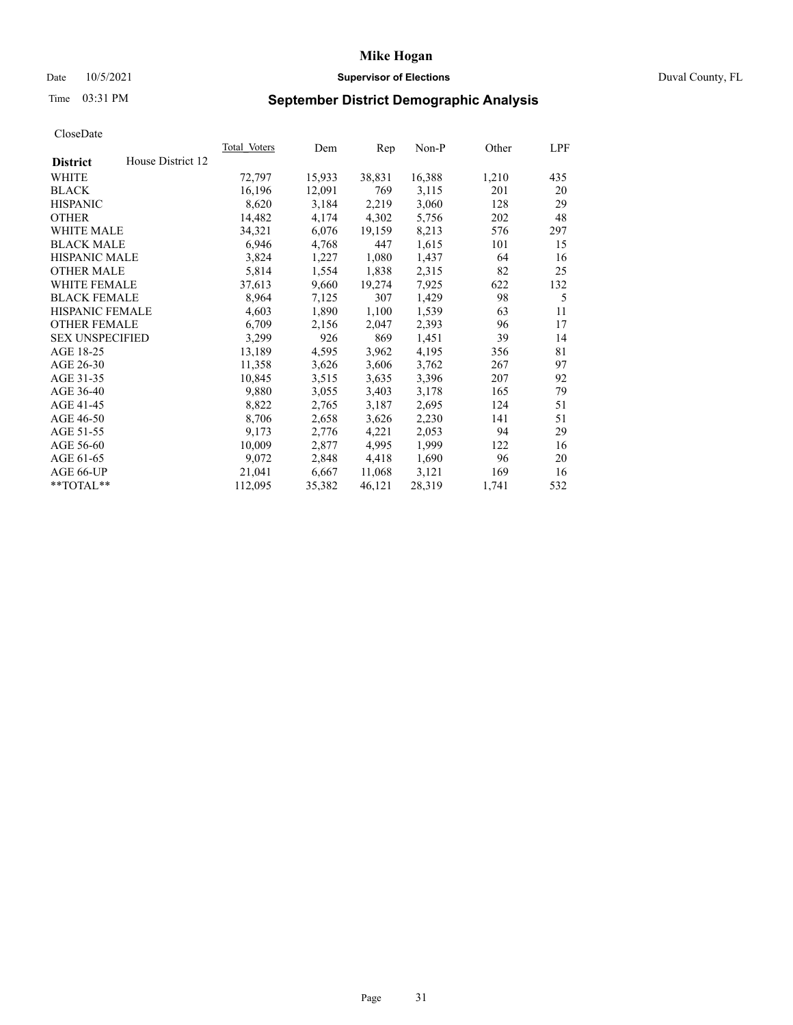# Date 10/5/2021 **Supervisor of Elections** Duval County, FL

# Time 03:31 PM **September District Demographic Analysis**

|                        |                   | Total Voters | Dem    | Rep    | Non-P  | Other | LPF |
|------------------------|-------------------|--------------|--------|--------|--------|-------|-----|
| <b>District</b>        | House District 12 |              |        |        |        |       |     |
| WHITE                  |                   | 72,797       | 15,933 | 38,831 | 16,388 | 1,210 | 435 |
| <b>BLACK</b>           |                   | 16,196       | 12,091 | 769    | 3,115  | 201   | 20  |
| <b>HISPANIC</b>        |                   | 8,620        | 3,184  | 2,219  | 3,060  | 128   | 29  |
| <b>OTHER</b>           |                   | 14,482       | 4,174  | 4,302  | 5,756  | 202   | 48  |
| WHITE MALE             |                   | 34,321       | 6,076  | 19,159 | 8,213  | 576   | 297 |
| <b>BLACK MALE</b>      |                   | 6,946        | 4,768  | 447    | 1,615  | 101   | 15  |
| <b>HISPANIC MALE</b>   |                   | 3,824        | 1,227  | 1,080  | 1,437  | 64    | 16  |
| <b>OTHER MALE</b>      |                   | 5,814        | 1,554  | 1,838  | 2,315  | 82    | 25  |
| <b>WHITE FEMALE</b>    |                   | 37,613       | 9,660  | 19,274 | 7,925  | 622   | 132 |
| <b>BLACK FEMALE</b>    |                   | 8,964        | 7,125  | 307    | 1,429  | 98    | 5   |
| <b>HISPANIC FEMALE</b> |                   | 4,603        | 1,890  | 1,100  | 1,539  | 63    | 11  |
| <b>OTHER FEMALE</b>    |                   | 6,709        | 2,156  | 2,047  | 2,393  | 96    | 17  |
| <b>SEX UNSPECIFIED</b> |                   | 3,299        | 926    | 869    | 1,451  | 39    | 14  |
| AGE 18-25              |                   | 13,189       | 4,595  | 3,962  | 4,195  | 356   | 81  |
| AGE 26-30              |                   | 11,358       | 3,626  | 3,606  | 3,762  | 267   | 97  |
| AGE 31-35              |                   | 10,845       | 3,515  | 3,635  | 3,396  | 207   | 92  |
| AGE 36-40              |                   | 9,880        | 3,055  | 3,403  | 3,178  | 165   | 79  |
| AGE 41-45              |                   | 8,822        | 2,765  | 3,187  | 2,695  | 124   | 51  |
| AGE 46-50              |                   | 8,706        | 2,658  | 3,626  | 2,230  | 141   | 51  |
| AGE 51-55              |                   | 9,173        | 2,776  | 4,221  | 2,053  | 94    | 29  |
| AGE 56-60              |                   | 10,009       | 2,877  | 4,995  | 1,999  | 122   | 16  |
| AGE 61-65              |                   | 9,072        | 2,848  | 4,418  | 1,690  | 96    | 20  |
| AGE 66-UP              |                   | 21,041       | 6,667  | 11,068 | 3,121  | 169   | 16  |
| $*$ TOTAL $*$          |                   | 112,095      | 35,382 | 46,121 | 28,319 | 1,741 | 532 |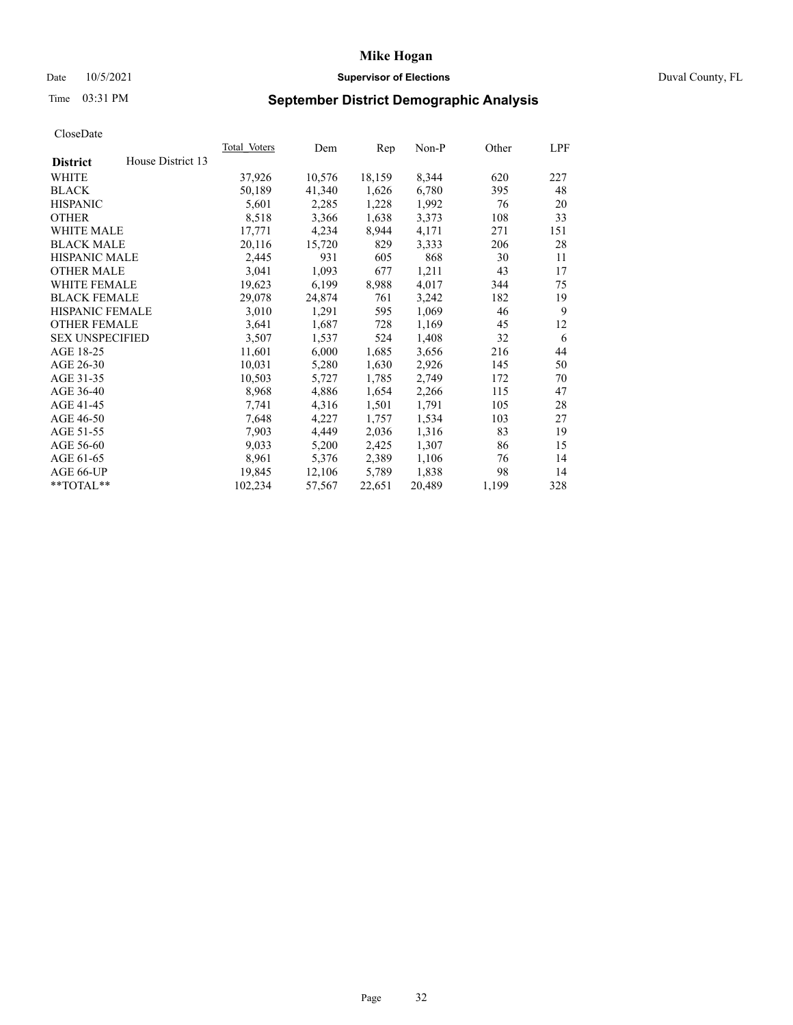# Date 10/5/2021 **Supervisor of Elections Supervisor of Elections** Duval County, FL

# Time 03:31 PM **September District Demographic Analysis**

|                        |                   | Total Voters | Dem    | Rep    | Non-P  | Other | LPF |
|------------------------|-------------------|--------------|--------|--------|--------|-------|-----|
| <b>District</b>        | House District 13 |              |        |        |        |       |     |
| WHITE                  |                   | 37,926       | 10,576 | 18,159 | 8,344  | 620   | 227 |
| <b>BLACK</b>           |                   | 50,189       | 41,340 | 1,626  | 6,780  | 395   | 48  |
| <b>HISPANIC</b>        |                   | 5,601        | 2,285  | 1,228  | 1,992  | 76    | 20  |
| <b>OTHER</b>           |                   | 8,518        | 3,366  | 1,638  | 3,373  | 108   | 33  |
| WHITE MALE             |                   | 17,771       | 4,234  | 8,944  | 4,171  | 271   | 151 |
| <b>BLACK MALE</b>      |                   | 20,116       | 15,720 | 829    | 3,333  | 206   | 28  |
| <b>HISPANIC MALE</b>   |                   | 2,445        | 931    | 605    | 868    | 30    | 11  |
| <b>OTHER MALE</b>      |                   | 3,041        | 1,093  | 677    | 1,211  | 43    | 17  |
| <b>WHITE FEMALE</b>    |                   | 19,623       | 6,199  | 8,988  | 4,017  | 344   | 75  |
| <b>BLACK FEMALE</b>    |                   | 29,078       | 24,874 | 761    | 3,242  | 182   | 19  |
| <b>HISPANIC FEMALE</b> |                   | 3,010        | 1,291  | 595    | 1,069  | 46    | 9   |
| <b>OTHER FEMALE</b>    |                   | 3,641        | 1,687  | 728    | 1,169  | 45    | 12  |
| <b>SEX UNSPECIFIED</b> |                   | 3,507        | 1,537  | 524    | 1,408  | 32    | 6   |
| AGE 18-25              |                   | 11,601       | 6,000  | 1,685  | 3,656  | 216   | 44  |
| AGE 26-30              |                   | 10,031       | 5,280  | 1,630  | 2,926  | 145   | 50  |
| AGE 31-35              |                   | 10,503       | 5,727  | 1,785  | 2,749  | 172   | 70  |
| AGE 36-40              |                   | 8,968        | 4,886  | 1,654  | 2,266  | 115   | 47  |
| AGE 41-45              |                   | 7,741        | 4,316  | 1,501  | 1,791  | 105   | 28  |
| AGE 46-50              |                   | 7,648        | 4,227  | 1,757  | 1,534  | 103   | 27  |
| AGE 51-55              |                   | 7,903        | 4,449  | 2,036  | 1,316  | 83    | 19  |
| AGE 56-60              |                   | 9,033        | 5,200  | 2,425  | 1,307  | 86    | 15  |
| AGE 61-65              |                   | 8,961        | 5,376  | 2,389  | 1,106  | 76    | 14  |
| AGE 66-UP              |                   | 19,845       | 12,106 | 5,789  | 1,838  | 98    | 14  |
| $*$ $TOTAL**$          |                   | 102,234      | 57,567 | 22,651 | 20,489 | 1,199 | 328 |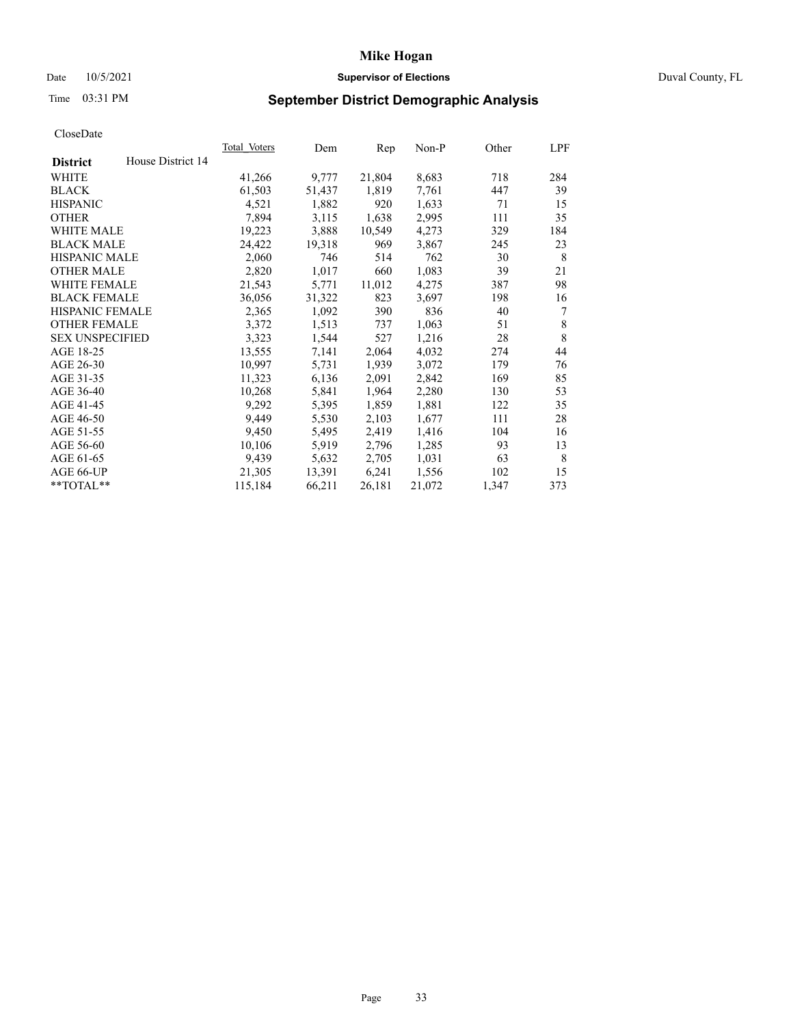# Date 10/5/2021 **Supervisor of Elections Supervisor of Elections** Duval County, FL

# Time 03:31 PM **September District Demographic Analysis**

|                                      | Total Voters | Dem    | Rep    | $Non-P$ | Other | LPF         |
|--------------------------------------|--------------|--------|--------|---------|-------|-------------|
| House District 14<br><b>District</b> |              |        |        |         |       |             |
| WHITE                                | 41,266       | 9,777  | 21,804 | 8,683   | 718   | 284         |
| <b>BLACK</b>                         | 61,503       | 51,437 | 1,819  | 7,761   | 447   | 39          |
| <b>HISPANIC</b>                      | 4,521        | 1,882  | 920    | 1,633   | 71    | 15          |
| <b>OTHER</b>                         | 7,894        | 3,115  | 1,638  | 2,995   | 111   | 35          |
| WHITE MALE                           | 19,223       | 3,888  | 10,549 | 4,273   | 329   | 184         |
| <b>BLACK MALE</b>                    | 24,422       | 19,318 | 969    | 3,867   | 245   | 23          |
| <b>HISPANIC MALE</b>                 | 2,060        | 746    | 514    | 762     | 30    | 8           |
| <b>OTHER MALE</b>                    | 2,820        | 1,017  | 660    | 1,083   | 39    | 21          |
| WHITE FEMALE                         | 21,543       | 5,771  | 11,012 | 4,275   | 387   | 98          |
| <b>BLACK FEMALE</b>                  | 36,056       | 31,322 | 823    | 3,697   | 198   | 16          |
| HISPANIC FEMALE                      | 2,365        | 1,092  | 390    | 836     | 40    | 7           |
| <b>OTHER FEMALE</b>                  | 3,372        | 1,513  | 737    | 1,063   | 51    | $\,$ 8 $\,$ |
| <b>SEX UNSPECIFIED</b>               | 3,323        | 1,544  | 527    | 1,216   | 28    | 8           |
| AGE 18-25                            | 13,555       | 7,141  | 2,064  | 4,032   | 274   | 44          |
| AGE 26-30                            | 10,997       | 5,731  | 1,939  | 3,072   | 179   | 76          |
| AGE 31-35                            | 11,323       | 6,136  | 2,091  | 2,842   | 169   | 85          |
| AGE 36-40                            | 10,268       | 5,841  | 1,964  | 2,280   | 130   | 53          |
| AGE 41-45                            | 9,292        | 5,395  | 1,859  | 1,881   | 122   | 35          |
| AGE 46-50                            | 9,449        | 5,530  | 2,103  | 1,677   | 111   | 28          |
| AGE 51-55                            | 9,450        | 5,495  | 2,419  | 1,416   | 104   | 16          |
| AGE 56-60                            | 10,106       | 5,919  | 2,796  | 1,285   | 93    | 13          |
| AGE 61-65                            | 9,439        | 5,632  | 2,705  | 1,031   | 63    | 8           |
| AGE 66-UP                            | 21,305       | 13,391 | 6,241  | 1,556   | 102   | 15          |
| **TOTAL**                            | 115,184      | 66,211 | 26,181 | 21,072  | 1,347 | 373         |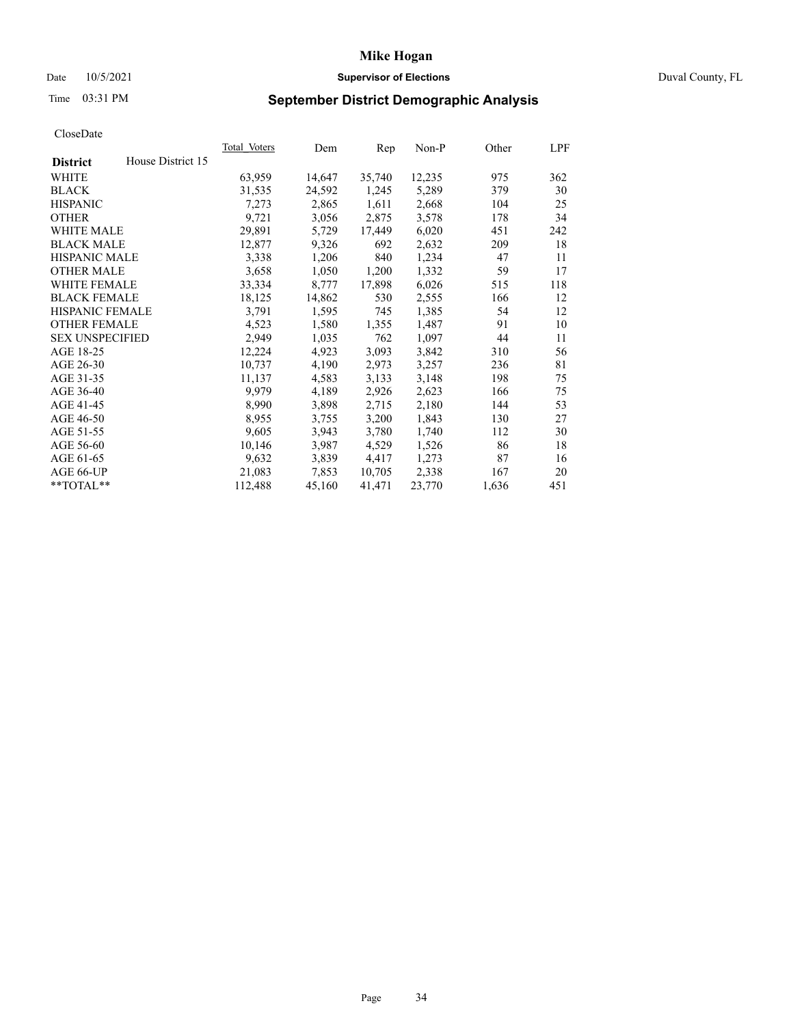# Date 10/5/2021 **Supervisor of Elections Supervisor of Elections** Duval County, FL

# Time 03:31 PM **September District Demographic Analysis**

| House District 15<br><b>District</b><br>WHITE<br>63,959<br>35,740<br>12,235<br>14,647 | 975<br>362<br>379<br>30 |
|---------------------------------------------------------------------------------------|-------------------------|
|                                                                                       |                         |
|                                                                                       |                         |
| <b>BLACK</b><br>31,535<br>24,592<br>1,245<br>5,289                                    |                         |
| <b>HISPANIC</b><br>2,865<br>1,611<br>2,668<br>7,273                                   | 104<br>25               |
| 9,721<br>2,875<br><b>OTHER</b><br>3,056<br>3,578                                      | 178<br>34               |
| <b>WHITE MALE</b><br>29,891<br>5,729<br>17,449<br>6,020                               | 451<br>242              |
| 12,877<br>2,632<br><b>BLACK MALE</b><br>9,326<br>692                                  | 209<br>18               |
| <b>HISPANIC MALE</b><br>3,338<br>1,206<br>840<br>1,234                                | 47<br>11                |
| 3,658<br>1,332<br><b>OTHER MALE</b><br>1,050<br>1,200                                 | 59<br>17                |
| WHITE FEMALE<br>17,898<br>33,334<br>6,026<br>8,777                                    | 515<br>118              |
| <b>BLACK FEMALE</b><br>14,862<br>530<br>2,555<br>18,125                               | 12<br>166               |
| HISPANIC FEMALE<br>3,791<br>745<br>1,385<br>1,595                                     | 12<br>54                |
| <b>OTHER FEMALE</b><br>4,523<br>1,487<br>1,580<br>1,355                               | 91<br>10                |
| <b>SEX UNSPECIFIED</b><br>2,949<br>1,097<br>1,035<br>762                              | 44<br>11                |
| AGE 18-25<br>12,224<br>4,923<br>3,093<br>3,842                                        | 310<br>56               |
| AGE 26-30<br>10,737<br>4,190<br>2,973<br>3,257                                        | 81<br>236               |
| 3,148<br>AGE 31-35<br>4,583<br>3,133<br>11,137                                        | 198<br>75               |
| 9,979<br>4,189<br>AGE 36-40<br>2,926<br>2,623                                         | 166<br>75               |
| AGE 41-45<br>8,990<br>2,715<br>2,180<br>3,898                                         | 144<br>53               |
| AGE 46-50<br>8,955<br>3,200<br>1,843<br>3,755                                         | 130<br>27               |
| AGE 51-55<br>9,605<br>3,943<br>1,740<br>3,780                                         | 112<br>30               |
| AGE 56-60<br>10,146<br>3,987<br>4,529<br>1,526                                        | 86<br>18                |
| AGE 61-65<br>9,632<br>3,839<br>4,417<br>1,273                                         | 87<br>16                |
| 2,338<br>AGE 66-UP<br>21,083<br>7,853<br>10,705                                       | 167<br>20               |
| **TOTAL**<br>112,488<br>45,160<br>41,471<br>23,770                                    | 451<br>1,636            |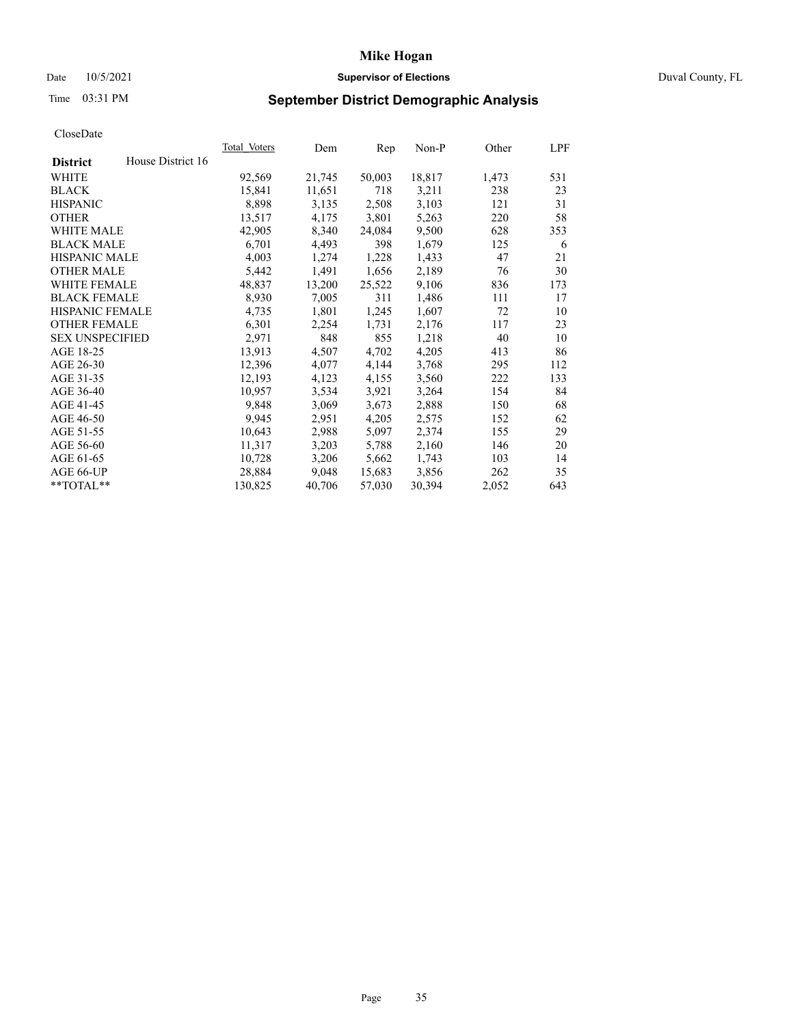# Date 10/5/2021 **Supervisor of Elections Supervisor of Elections** Duval County, FL

# Time 03:31 PM **September District Demographic Analysis**

|                        |                   | Total Voters | Dem    | Rep    | $Non-P$ | Other | LPF |
|------------------------|-------------------|--------------|--------|--------|---------|-------|-----|
| <b>District</b>        | House District 16 |              |        |        |         |       |     |
| WHITE                  |                   | 92,569       | 21,745 | 50,003 | 18,817  | 1,473 | 531 |
| <b>BLACK</b>           |                   | 15,841       | 11,651 | 718    | 3,211   | 238   | 23  |
| <b>HISPANIC</b>        |                   | 8,898        | 3,135  | 2,508  | 3,103   | 121   | 31  |
| <b>OTHER</b>           |                   | 13,517       | 4,175  | 3,801  | 5,263   | 220   | 58  |
| WHITE MALE             |                   | 42,905       | 8,340  | 24,084 | 9,500   | 628   | 353 |
| <b>BLACK MALE</b>      |                   | 6,701        | 4,493  | 398    | 1,679   | 125   | 6   |
| <b>HISPANIC MALE</b>   |                   | 4,003        | 1,274  | 1,228  | 1,433   | 47    | 21  |
| <b>OTHER MALE</b>      |                   | 5,442        | 1,491  | 1,656  | 2,189   | 76    | 30  |
| <b>WHITE FEMALE</b>    |                   | 48,837       | 13,200 | 25,522 | 9,106   | 836   | 173 |
| <b>BLACK FEMALE</b>    |                   | 8,930        | 7,005  | 311    | 1,486   | 111   | 17  |
| HISPANIC FEMALE        |                   | 4,735        | 1,801  | 1,245  | 1,607   | 72    | 10  |
| <b>OTHER FEMALE</b>    |                   | 6,301        | 2,254  | 1,731  | 2,176   | 117   | 23  |
| <b>SEX UNSPECIFIED</b> |                   | 2,971        | 848    | 855    | 1,218   | 40    | 10  |
| AGE 18-25              |                   | 13,913       | 4,507  | 4,702  | 4,205   | 413   | 86  |
| AGE 26-30              |                   | 12,396       | 4,077  | 4,144  | 3,768   | 295   | 112 |
| AGE 31-35              |                   | 12,193       | 4,123  | 4,155  | 3,560   | 222   | 133 |
| AGE 36-40              |                   | 10,957       | 3,534  | 3,921  | 3,264   | 154   | 84  |
| AGE 41-45              |                   | 9,848        | 3,069  | 3,673  | 2,888   | 150   | 68  |
| AGE 46-50              |                   | 9,945        | 2,951  | 4,205  | 2,575   | 152   | 62  |
| AGE 51-55              |                   | 10,643       | 2,988  | 5,097  | 2,374   | 155   | 29  |
| AGE 56-60              |                   | 11,317       | 3,203  | 5,788  | 2,160   | 146   | 20  |
| AGE 61-65              |                   | 10,728       | 3,206  | 5,662  | 1,743   | 103   | 14  |
| AGE 66-UP              |                   | 28,884       | 9,048  | 15,683 | 3,856   | 262   | 35  |
| **TOTAL**              |                   | 130,825      | 40,706 | 57,030 | 30,394  | 2,052 | 643 |
|                        |                   |              |        |        |         |       |     |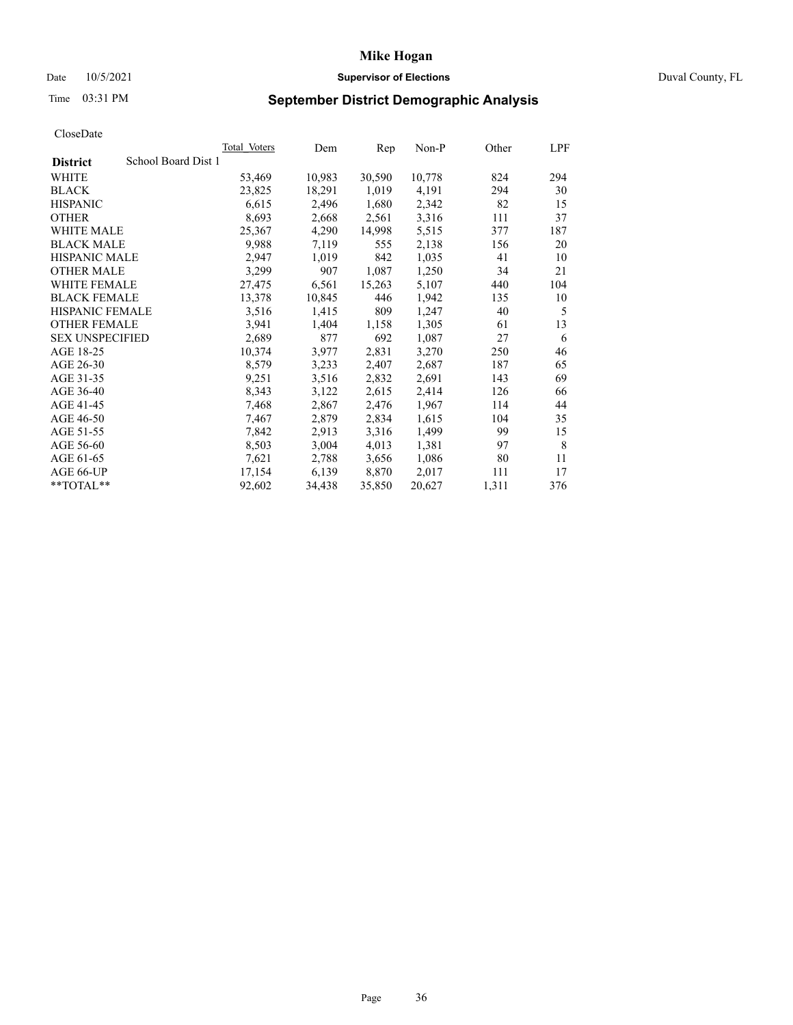# Date 10/5/2021 **Supervisor of Elections** Duval County, FL

# Time 03:31 PM **September District Demographic Analysis**

|                        | Total Voters        | Dem    | Rep    | Non-P  | Other | LPF |
|------------------------|---------------------|--------|--------|--------|-------|-----|
| <b>District</b>        | School Board Dist 1 |        |        |        |       |     |
| WHITE                  | 53,469              | 10,983 | 30,590 | 10,778 | 824   | 294 |
| <b>BLACK</b>           | 23,825              | 18,291 | 1,019  | 4,191  | 294   | 30  |
| <b>HISPANIC</b>        | 6,615               | 2,496  | 1,680  | 2,342  | 82    | 15  |
| <b>OTHER</b>           | 8,693               | 2,668  | 2,561  | 3,316  | 111   | 37  |
| WHITE MALE             | 25,367              | 4,290  | 14,998 | 5,515  | 377   | 187 |
| <b>BLACK MALE</b>      | 9,988               | 7,119  | 555    | 2,138  | 156   | 20  |
| <b>HISPANIC MALE</b>   | 2,947               | 1,019  | 842    | 1,035  | 41    | 10  |
| <b>OTHER MALE</b>      | 3,299               | 907    | 1,087  | 1,250  | 34    | 21  |
| <b>WHITE FEMALE</b>    | 27,475              | 6,561  | 15,263 | 5,107  | 440   | 104 |
| <b>BLACK FEMALE</b>    | 13,378              | 10,845 | 446    | 1,942  | 135   | 10  |
| <b>HISPANIC FEMALE</b> | 3,516               | 1,415  | 809    | 1,247  | 40    | 5   |
| <b>OTHER FEMALE</b>    | 3,941               | 1,404  | 1,158  | 1,305  | 61    | 13  |
| <b>SEX UNSPECIFIED</b> | 2,689               | 877    | 692    | 1,087  | 27    | 6   |
| AGE 18-25              | 10,374              | 3,977  | 2,831  | 3,270  | 250   | 46  |
| AGE 26-30              | 8,579               | 3,233  | 2,407  | 2,687  | 187   | 65  |
| AGE 31-35              | 9,251               | 3,516  | 2,832  | 2,691  | 143   | 69  |
| AGE 36-40              | 8,343               | 3,122  | 2,615  | 2,414  | 126   | 66  |
| AGE 41-45              | 7,468               | 2,867  | 2,476  | 1,967  | 114   | 44  |
| AGE 46-50              | 7,467               | 2,879  | 2,834  | 1,615  | 104   | 35  |
| AGE 51-55              | 7,842               | 2,913  | 3,316  | 1,499  | 99    | 15  |
| AGE 56-60              | 8,503               | 3,004  | 4,013  | 1,381  | 97    | 8   |
| AGE 61-65              | 7,621               | 2,788  | 3,656  | 1,086  | 80    | 11  |
| AGE 66-UP              | 17,154              | 6,139  | 8,870  | 2,017  | 111   | 17  |
| $*$ TOTAL $*$          | 92,602              | 34,438 | 35,850 | 20,627 | 1,311 | 376 |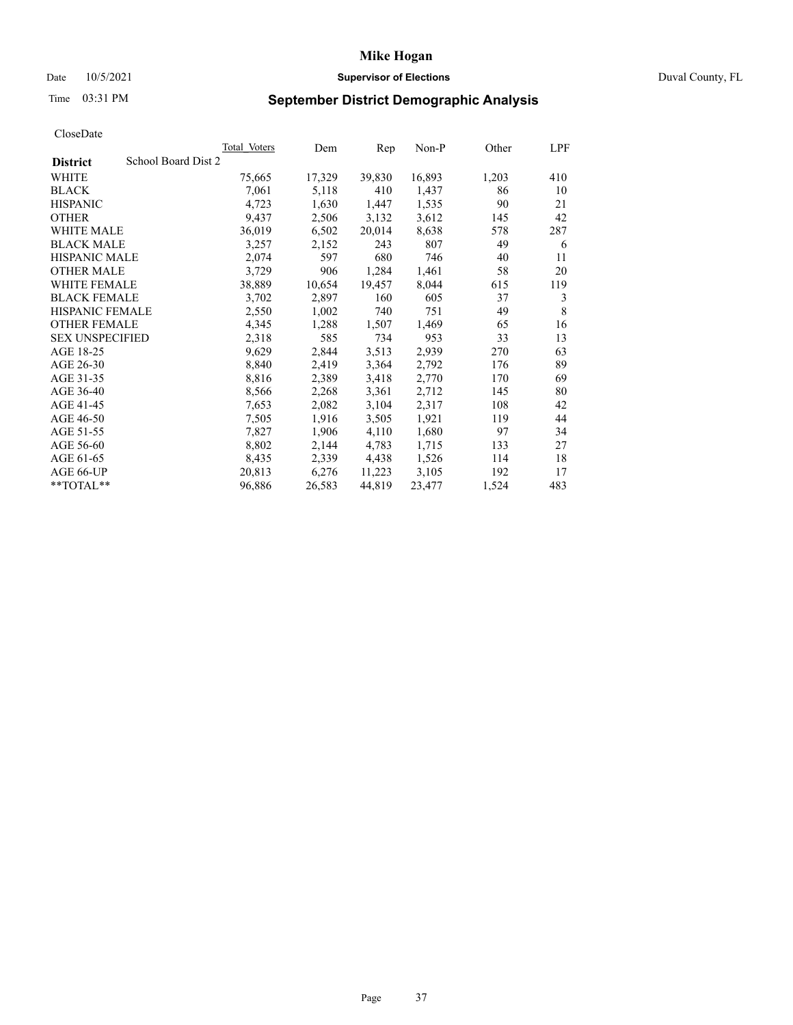# Date 10/5/2021 **Supervisor of Elections Supervisor of Elections** Duval County, FL

# Time 03:31 PM **September District Demographic Analysis**

|                                        | <b>Total Voters</b> | Dem    | Rep    | $Non-P$ | Other | LPF |
|----------------------------------------|---------------------|--------|--------|---------|-------|-----|
| School Board Dist 2<br><b>District</b> |                     |        |        |         |       |     |
| WHITE                                  | 75,665              | 17,329 | 39,830 | 16,893  | 1,203 | 410 |
| <b>BLACK</b>                           | 7,061               | 5,118  | 410    | 1,437   | 86    | 10  |
| <b>HISPANIC</b>                        | 4,723               | 1,630  | 1,447  | 1,535   | 90    | 21  |
| <b>OTHER</b>                           | 9,437               | 2,506  | 3,132  | 3,612   | 145   | 42  |
| WHITE MALE                             | 36,019              | 6,502  | 20,014 | 8,638   | 578   | 287 |
| <b>BLACK MALE</b>                      | 3,257               | 2,152  | 243    | 807     | 49    | 6   |
| <b>HISPANIC MALE</b>                   | 2,074               | 597    | 680    | 746     | 40    | 11  |
| <b>OTHER MALE</b>                      | 3,729               | 906    | 1,284  | 1,461   | 58    | 20  |
| <b>WHITE FEMALE</b>                    | 38,889              | 10,654 | 19,457 | 8,044   | 615   | 119 |
| <b>BLACK FEMALE</b>                    | 3,702               | 2,897  | 160    | 605     | 37    | 3   |
| HISPANIC FEMALE                        | 2,550               | 1,002  | 740    | 751     | 49    | 8   |
| <b>OTHER FEMALE</b>                    | 4,345               | 1,288  | 1,507  | 1,469   | 65    | 16  |
| <b>SEX UNSPECIFIED</b>                 | 2,318               | 585    | 734    | 953     | 33    | 13  |
| AGE 18-25                              | 9,629               | 2,844  | 3,513  | 2,939   | 270   | 63  |
| AGE 26-30                              | 8,840               | 2,419  | 3,364  | 2,792   | 176   | 89  |
| AGE 31-35                              | 8,816               | 2,389  | 3,418  | 2,770   | 170   | 69  |
| AGE 36-40                              | 8,566               | 2,268  | 3,361  | 2,712   | 145   | 80  |
| AGE 41-45                              | 7,653               | 2,082  | 3,104  | 2,317   | 108   | 42  |
| AGE 46-50                              | 7,505               | 1,916  | 3,505  | 1,921   | 119   | 44  |
| AGE 51-55                              | 7,827               | 1,906  | 4,110  | 1,680   | 97    | 34  |
| AGE 56-60                              | 8,802               | 2,144  | 4,783  | 1,715   | 133   | 27  |
| AGE 61-65                              | 8,435               | 2,339  | 4,438  | 1,526   | 114   | 18  |
| AGE 66-UP                              | 20,813              | 6,276  | 11,223 | 3,105   | 192   | 17  |
| **TOTAL**                              | 96,886              | 26,583 | 44,819 | 23,477  | 1,524 | 483 |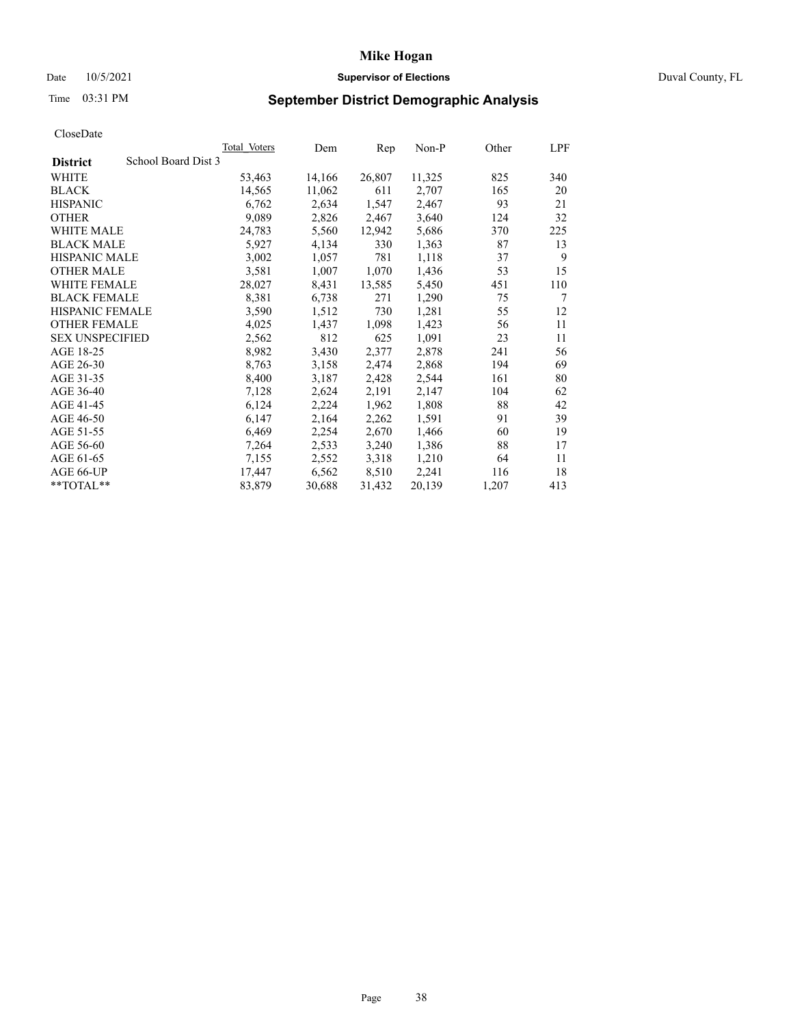# Date 10/5/2021 **Supervisor of Elections Supervisor of Elections** Duval County, FL

# Time 03:31 PM **September District Demographic Analysis**

| Total Voters        | Dem    | Rep    | Non-P  | Other | LPF |
|---------------------|--------|--------|--------|-------|-----|
| School Board Dist 3 |        |        |        |       |     |
| 53,463              | 14,166 | 26,807 | 11,325 | 825   | 340 |
| 14,565              | 11,062 | 611    | 2,707  | 165   | 20  |
| 6,762               | 2,634  | 1,547  | 2,467  | 93    | 21  |
| 9,089               | 2,826  | 2,467  | 3,640  | 124   | 32  |
| 24,783              | 5,560  | 12,942 | 5,686  | 370   | 225 |
| 5,927               | 4,134  | 330    | 1,363  | 87    | 13  |
| 3,002               | 1,057  | 781    | 1,118  | 37    | 9   |
| 3,581               | 1,007  | 1,070  | 1,436  | 53    | 15  |
| 28,027              | 8,431  | 13,585 | 5,450  | 451   | 110 |
| 8,381               | 6,738  | 271    | 1,290  | 75    | 7   |
| 3,590               | 1,512  | 730    | 1,281  | 55    | 12  |
| 4,025               | 1,437  | 1,098  | 1,423  | 56    | 11  |
| 2,562               | 812    | 625    | 1,091  | 23    | 11  |
| 8,982               | 3,430  | 2,377  | 2,878  | 241   | 56  |
| 8,763               | 3,158  | 2,474  | 2,868  | 194   | 69  |
| 8,400               | 3,187  | 2,428  | 2,544  | 161   | 80  |
| 7,128               | 2,624  | 2,191  | 2,147  | 104   | 62  |
| 6,124               | 2,224  | 1,962  | 1,808  | 88    | 42  |
| 6,147               | 2,164  | 2,262  | 1,591  | 91    | 39  |
| 6,469               | 2,254  | 2,670  | 1,466  | 60    | 19  |
| 7,264               | 2,533  | 3,240  | 1,386  | 88    | 17  |
| 7,155               | 2,552  | 3,318  | 1,210  | 64    | 11  |
| 17,447              | 6,562  | 8,510  | 2,241  | 116   | 18  |
| 83,879              | 30,688 | 31,432 | 20,139 | 1,207 | 413 |
|                     |        |        |        |       |     |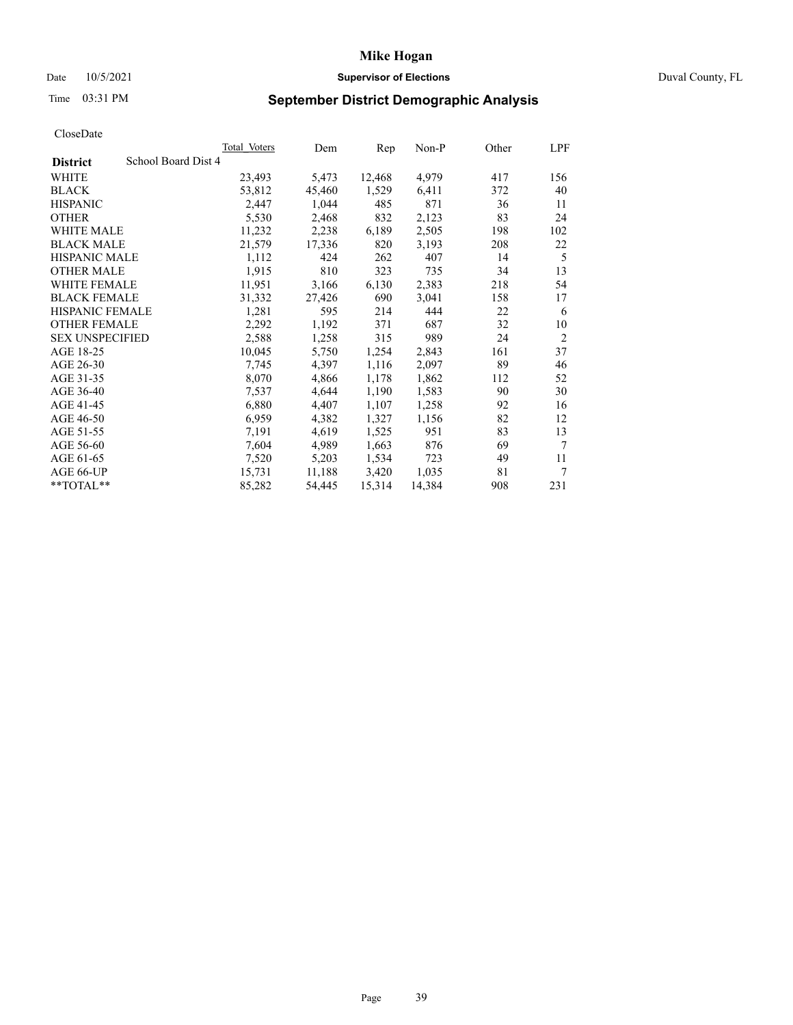# Date 10/5/2021 **Supervisor of Elections Supervisor of Elections** Duval County, FL

# Time 03:31 PM **September District Demographic Analysis**

|                        |                     | Total Voters | Dem    | Rep    | Non-P  | Other | LPF            |
|------------------------|---------------------|--------------|--------|--------|--------|-------|----------------|
| <b>District</b>        | School Board Dist 4 |              |        |        |        |       |                |
| WHITE                  |                     | 23,493       | 5,473  | 12,468 | 4,979  | 417   | 156            |
| <b>BLACK</b>           |                     | 53,812       | 45,460 | 1,529  | 6,411  | 372   | 40             |
| <b>HISPANIC</b>        |                     | 2,447        | 1,044  | 485    | 871    | 36    | 11             |
| <b>OTHER</b>           |                     | 5,530        | 2,468  | 832    | 2,123  | 83    | 24             |
| WHITE MALE             |                     | 11,232       | 2,238  | 6,189  | 2,505  | 198   | 102            |
| <b>BLACK MALE</b>      |                     | 21,579       | 17,336 | 820    | 3,193  | 208   | 22             |
| <b>HISPANIC MALE</b>   |                     | 1,112        | 424    | 262    | 407    | 14    | 5              |
| <b>OTHER MALE</b>      |                     | 1,915        | 810    | 323    | 735    | 34    | 13             |
| WHITE FEMALE           |                     | 11,951       | 3,166  | 6,130  | 2,383  | 218   | 54             |
| <b>BLACK FEMALE</b>    |                     | 31,332       | 27,426 | 690    | 3,041  | 158   | 17             |
| HISPANIC FEMALE        |                     | 1,281        | 595    | 214    | 444    | 22    | 6              |
| <b>OTHER FEMALE</b>    |                     | 2,292        | 1,192  | 371    | 687    | 32    | 10             |
| <b>SEX UNSPECIFIED</b> |                     | 2,588        | 1,258  | 315    | 989    | 24    | $\overline{2}$ |
| AGE 18-25              |                     | 10,045       | 5,750  | 1,254  | 2,843  | 161   | 37             |
| AGE 26-30              |                     | 7,745        | 4,397  | 1,116  | 2,097  | 89    | 46             |
| AGE 31-35              |                     | 8,070        | 4,866  | 1,178  | 1,862  | 112   | 52             |
| AGE 36-40              |                     | 7,537        | 4,644  | 1,190  | 1,583  | 90    | 30             |
| AGE 41-45              |                     | 6,880        | 4,407  | 1,107  | 1,258  | 92    | 16             |
| AGE 46-50              |                     | 6,959        | 4,382  | 1,327  | 1,156  | 82    | 12             |
| AGE 51-55              |                     | 7,191        | 4,619  | 1,525  | 951    | 83    | 13             |
| AGE 56-60              |                     | 7,604        | 4,989  | 1,663  | 876    | 69    | 7              |
| AGE 61-65              |                     | 7,520        | 5,203  | 1,534  | 723    | 49    | 11             |
| AGE 66-UP              |                     | 15,731       | 11,188 | 3,420  | 1,035  | 81    | 7              |
| **TOTAL**              |                     | 85,282       | 54,445 | 15,314 | 14,384 | 908   | 231            |
|                        |                     |              |        |        |        |       |                |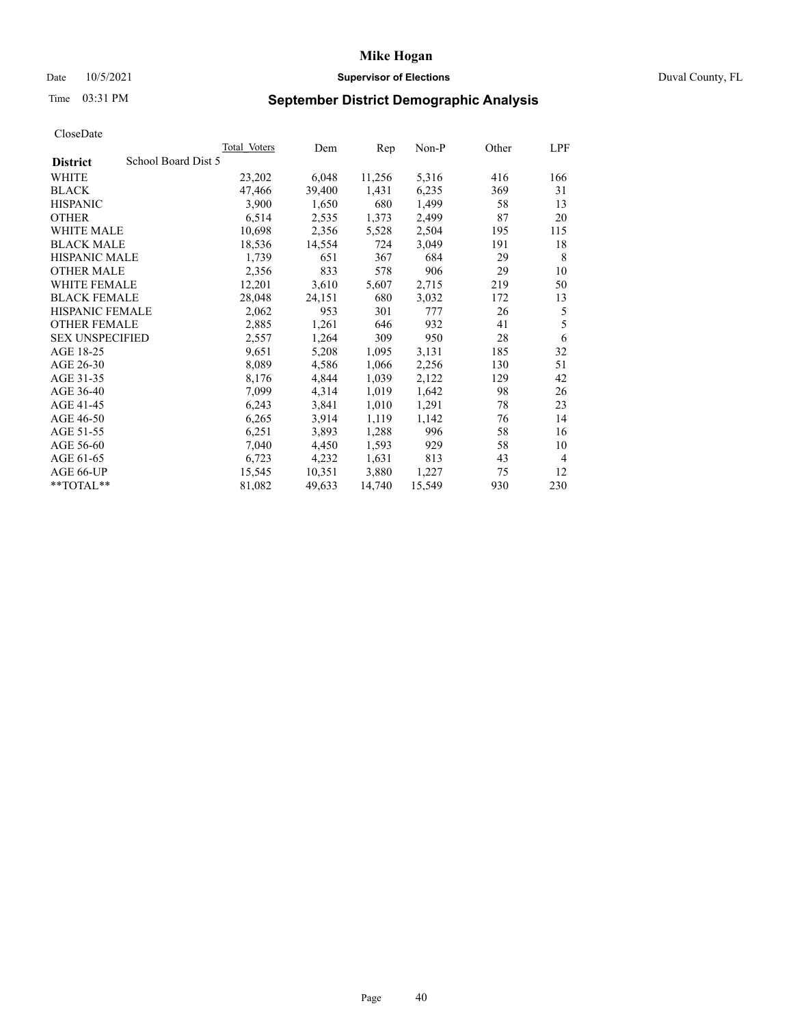# Date 10/5/2021 **Supervisor of Elections Supervisor of Elections** Duval County, FL

# Time 03:31 PM **September District Demographic Analysis**

|                                        | Total Voters | Dem    | Rep    | Non-P  | Other | LPF            |
|----------------------------------------|--------------|--------|--------|--------|-------|----------------|
| School Board Dist 5<br><b>District</b> |              |        |        |        |       |                |
| WHITE                                  | 23,202       | 6,048  | 11,256 | 5,316  | 416   | 166            |
| <b>BLACK</b>                           | 47,466       | 39,400 | 1,431  | 6,235  | 369   | 31             |
| <b>HISPANIC</b>                        | 3,900        | 1,650  | 680    | 1,499  | 58    | 13             |
| <b>OTHER</b>                           | 6,514        | 2,535  | 1,373  | 2,499  | 87    | 20             |
| WHITE MALE                             | 10,698       | 2,356  | 5,528  | 2,504  | 195   | 115            |
| <b>BLACK MALE</b>                      | 18,536       | 14,554 | 724    | 3,049  | 191   | 18             |
| <b>HISPANIC MALE</b>                   | 1,739        | 651    | 367    | 684    | 29    | 8              |
| <b>OTHER MALE</b>                      | 2,356        | 833    | 578    | 906    | 29    | 10             |
| WHITE FEMALE                           | 12,201       | 3,610  | 5,607  | 2,715  | 219   | 50             |
| <b>BLACK FEMALE</b>                    | 28,048       | 24,151 | 680    | 3,032  | 172   | 13             |
| HISPANIC FEMALE                        | 2,062        | 953    | 301    | 777    | 26    | 5              |
| <b>OTHER FEMALE</b>                    | 2,885        | 1,261  | 646    | 932    | 41    | 5              |
| <b>SEX UNSPECIFIED</b>                 | 2,557        | 1,264  | 309    | 950    | 28    | 6              |
| AGE 18-25                              | 9,651        | 5,208  | 1,095  | 3,131  | 185   | 32             |
| AGE 26-30                              | 8,089        | 4,586  | 1,066  | 2,256  | 130   | 51             |
| AGE 31-35                              | 8,176        | 4,844  | 1,039  | 2,122  | 129   | 42             |
| AGE 36-40                              | 7,099        | 4,314  | 1,019  | 1,642  | 98    | 26             |
| AGE 41-45                              | 6,243        | 3,841  | 1,010  | 1,291  | 78    | 23             |
| AGE 46-50                              | 6,265        | 3,914  | 1,119  | 1,142  | 76    | 14             |
| AGE 51-55                              | 6,251        | 3,893  | 1,288  | 996    | 58    | 16             |
| AGE 56-60                              | 7,040        | 4,450  | 1,593  | 929    | 58    | 10             |
| AGE 61-65                              | 6,723        | 4,232  | 1,631  | 813    | 43    | $\overline{4}$ |
| AGE 66-UP                              | 15,545       | 10,351 | 3,880  | 1,227  | 75    | 12             |
| **TOTAL**                              | 81,082       | 49,633 | 14,740 | 15,549 | 930   | 230            |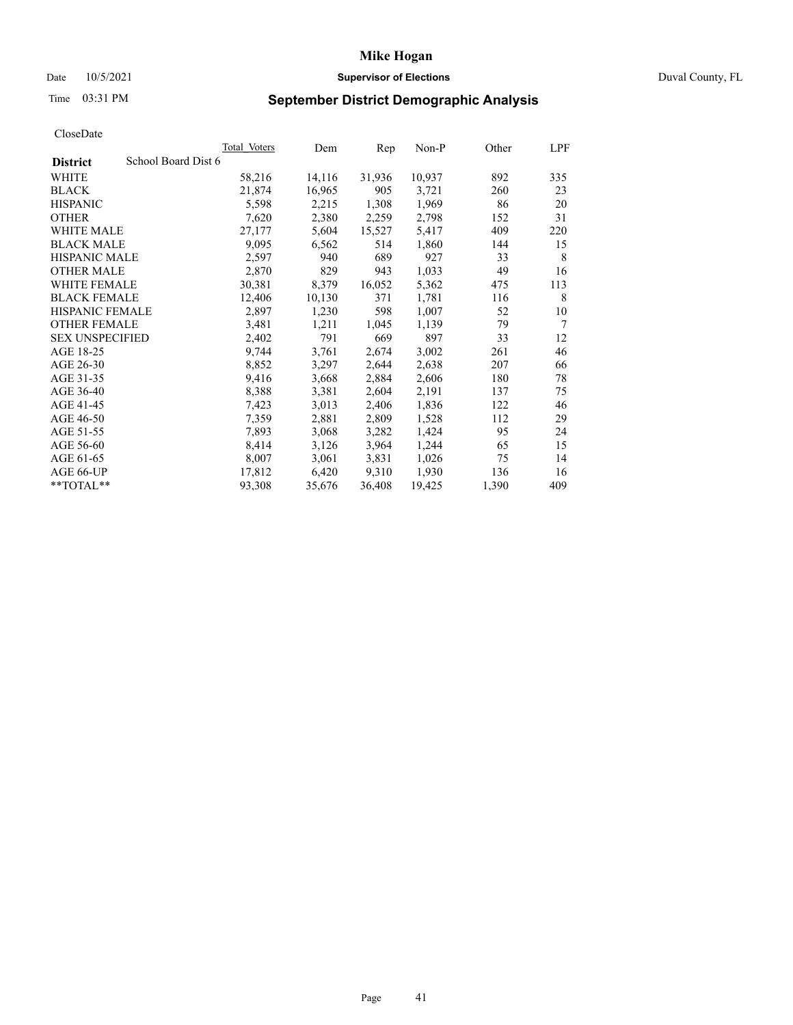# Date 10/5/2021 **Supervisor of Elections Supervisor of Elections** Duval County, FL

# Time 03:31 PM **September District Demographic Analysis**

|                                        | <b>Total Voters</b> | Dem    | Rep    | $Non-P$ | Other | LPF |
|----------------------------------------|---------------------|--------|--------|---------|-------|-----|
| School Board Dist 6<br><b>District</b> |                     |        |        |         |       |     |
| WHITE                                  | 58,216              | 14,116 | 31,936 | 10,937  | 892   | 335 |
| <b>BLACK</b>                           | 21,874              | 16,965 | 905    | 3,721   | 260   | 23  |
| <b>HISPANIC</b>                        | 5,598               | 2,215  | 1,308  | 1,969   | 86    | 20  |
| <b>OTHER</b>                           | 7,620               | 2,380  | 2,259  | 2,798   | 152   | 31  |
| WHITE MALE                             | 27,177              | 5,604  | 15,527 | 5,417   | 409   | 220 |
| <b>BLACK MALE</b>                      | 9,095               | 6,562  | 514    | 1,860   | 144   | 15  |
| <b>HISPANIC MALE</b>                   | 2,597               | 940    | 689    | 927     | 33    | 8   |
| <b>OTHER MALE</b>                      | 2,870               | 829    | 943    | 1,033   | 49    | 16  |
| <b>WHITE FEMALE</b>                    | 30,381              | 8,379  | 16,052 | 5,362   | 475   | 113 |
| <b>BLACK FEMALE</b>                    | 12,406              | 10,130 | 371    | 1,781   | 116   | 8   |
| HISPANIC FEMALE                        | 2,897               | 1,230  | 598    | 1,007   | 52    | 10  |
| <b>OTHER FEMALE</b>                    | 3,481               | 1,211  | 1,045  | 1,139   | 79    | 7   |
| <b>SEX UNSPECIFIED</b>                 | 2,402               | 791    | 669    | 897     | 33    | 12  |
| AGE 18-25                              | 9,744               | 3,761  | 2,674  | 3,002   | 261   | 46  |
| AGE 26-30                              | 8,852               | 3,297  | 2,644  | 2,638   | 207   | 66  |
| AGE 31-35                              | 9,416               | 3,668  | 2,884  | 2,606   | 180   | 78  |
| AGE 36-40                              | 8,388               | 3,381  | 2,604  | 2,191   | 137   | 75  |
| AGE 41-45                              | 7,423               | 3,013  | 2,406  | 1,836   | 122   | 46  |
| AGE 46-50                              | 7,359               | 2,881  | 2,809  | 1,528   | 112   | 29  |
| AGE 51-55                              | 7,893               | 3,068  | 3,282  | 1,424   | 95    | 24  |
| AGE 56-60                              | 8,414               | 3,126  | 3,964  | 1,244   | 65    | 15  |
| AGE 61-65                              | 8,007               | 3,061  | 3,831  | 1,026   | 75    | 14  |
| AGE 66-UP                              | 17,812              | 6,420  | 9,310  | 1,930   | 136   | 16  |
| $*$ $TOTAL**$                          | 93,308              | 35,676 | 36,408 | 19,425  | 1,390 | 409 |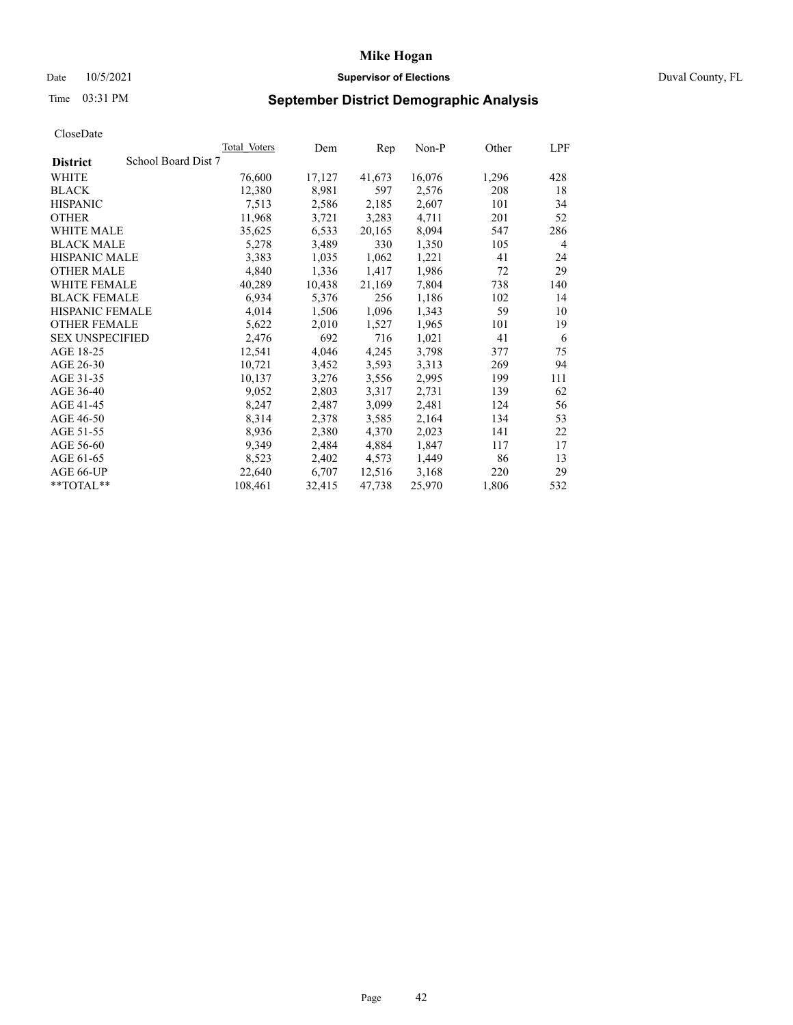# Date 10/5/2021 **Supervisor of Elections Supervisor of Elections** Duval County, FL

# Time 03:31 PM **September District Demographic Analysis**

|                                        | Total Voters | Dem    | Rep    | $Non-P$ | Other | LPF |
|----------------------------------------|--------------|--------|--------|---------|-------|-----|
| School Board Dist 7<br><b>District</b> |              |        |        |         |       |     |
| WHITE                                  | 76,600       | 17,127 | 41,673 | 16,076  | 1,296 | 428 |
| <b>BLACK</b>                           | 12,380       | 8,981  | 597    | 2,576   | 208   | 18  |
| <b>HISPANIC</b>                        | 7,513        | 2,586  | 2,185  | 2,607   | 101   | 34  |
| <b>OTHER</b>                           | 11,968       | 3,721  | 3,283  | 4,711   | 201   | 52  |
| WHITE MALE                             | 35,625       | 6,533  | 20,165 | 8,094   | 547   | 286 |
| <b>BLACK MALE</b>                      | 5,278        | 3,489  | 330    | 1,350   | 105   | 4   |
| <b>HISPANIC MALE</b>                   | 3,383        | 1,035  | 1,062  | 1,221   | 41    | 24  |
| <b>OTHER MALE</b>                      | 4,840        | 1,336  | 1,417  | 1,986   | 72    | 29  |
| <b>WHITE FEMALE</b>                    | 40,289       | 10,438 | 21,169 | 7,804   | 738   | 140 |
| <b>BLACK FEMALE</b>                    | 6,934        | 5,376  | 256    | 1,186   | 102   | 14  |
| HISPANIC FEMALE                        | 4,014        | 1,506  | 1,096  | 1,343   | 59    | 10  |
| <b>OTHER FEMALE</b>                    | 5,622        | 2,010  | 1,527  | 1,965   | 101   | 19  |
| <b>SEX UNSPECIFIED</b>                 | 2,476        | 692    | 716    | 1,021   | 41    | 6   |
| AGE 18-25                              | 12,541       | 4,046  | 4,245  | 3,798   | 377   | 75  |
| AGE 26-30                              | 10,721       | 3,452  | 3,593  | 3,313   | 269   | 94  |
| AGE 31-35                              | 10,137       | 3,276  | 3,556  | 2,995   | 199   | 111 |
| AGE 36-40                              | 9,052        | 2,803  | 3,317  | 2,731   | 139   | 62  |
| AGE 41-45                              | 8,247        | 2,487  | 3,099  | 2,481   | 124   | 56  |
| AGE 46-50                              | 8,314        | 2,378  | 3,585  | 2,164   | 134   | 53  |
| AGE 51-55                              | 8,936        | 2,380  | 4,370  | 2,023   | 141   | 22  |
| AGE 56-60                              | 9,349        | 2,484  | 4,884  | 1,847   | 117   | 17  |
| AGE 61-65                              | 8,523        | 2,402  | 4,573  | 1,449   | 86    | 13  |
| AGE 66-UP                              | 22,640       | 6,707  | 12,516 | 3,168   | 220   | 29  |
| $*$ $TOTAL**$                          | 108,461      | 32,415 | 47,738 | 25,970  | 1,806 | 532 |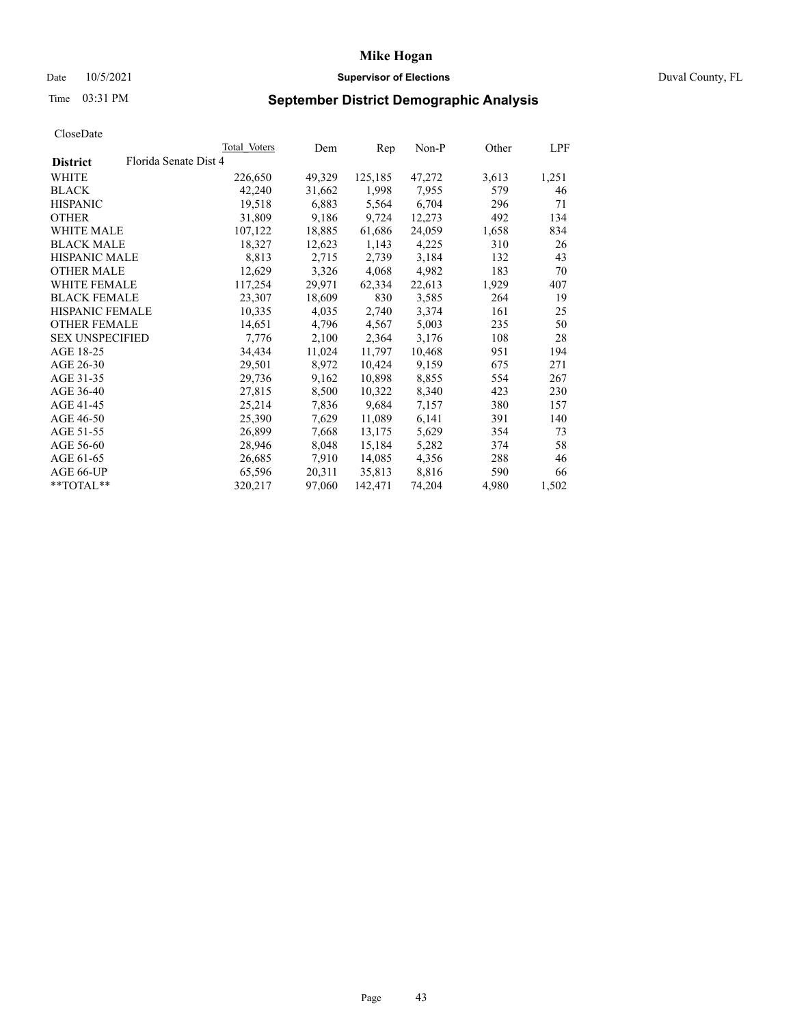# Date 10/5/2021 **Supervisor of Elections Supervisor of Elections** Duval County, FL

# Time 03:31 PM **September District Demographic Analysis**

|                        |                       | Total Voters | Dem    | Rep     | $Non-P$ | Other | LPF   |
|------------------------|-----------------------|--------------|--------|---------|---------|-------|-------|
| <b>District</b>        | Florida Senate Dist 4 |              |        |         |         |       |       |
| WHITE                  |                       | 226,650      | 49,329 | 125,185 | 47,272  | 3,613 | 1,251 |
| <b>BLACK</b>           |                       | 42,240       | 31,662 | 1,998   | 7,955   | 579   | 46    |
| <b>HISPANIC</b>        |                       | 19,518       | 6,883  | 5,564   | 6,704   | 296   | 71    |
| <b>OTHER</b>           |                       | 31,809       | 9,186  | 9,724   | 12,273  | 492   | 134   |
| WHITE MALE             |                       | 107,122      | 18,885 | 61,686  | 24,059  | 1,658 | 834   |
| <b>BLACK MALE</b>      |                       | 18,327       | 12,623 | 1,143   | 4,225   | 310   | 26    |
| <b>HISPANIC MALE</b>   |                       | 8,813        | 2,715  | 2,739   | 3,184   | 132   | 43    |
| <b>OTHER MALE</b>      |                       | 12,629       | 3,326  | 4,068   | 4,982   | 183   | 70    |
| <b>WHITE FEMALE</b>    |                       | 117,254      | 29,971 | 62,334  | 22,613  | 1,929 | 407   |
| <b>BLACK FEMALE</b>    |                       | 23,307       | 18,609 | 830     | 3,585   | 264   | 19    |
| HISPANIC FEMALE        |                       | 10,335       | 4,035  | 2,740   | 3,374   | 161   | 25    |
| <b>OTHER FEMALE</b>    |                       | 14,651       | 4,796  | 4,567   | 5,003   | 235   | 50    |
| <b>SEX UNSPECIFIED</b> |                       | 7,776        | 2,100  | 2,364   | 3,176   | 108   | 28    |
| AGE 18-25              |                       | 34,434       | 11,024 | 11,797  | 10,468  | 951   | 194   |
| AGE 26-30              |                       | 29,501       | 8,972  | 10,424  | 9,159   | 675   | 271   |
| AGE 31-35              |                       | 29,736       | 9,162  | 10,898  | 8,855   | 554   | 267   |
| AGE 36-40              |                       | 27,815       | 8,500  | 10,322  | 8,340   | 423   | 230   |
| AGE 41-45              |                       | 25,214       | 7,836  | 9,684   | 7,157   | 380   | 157   |
| AGE 46-50              |                       | 25,390       | 7,629  | 11,089  | 6,141   | 391   | 140   |
| AGE 51-55              |                       | 26,899       | 7,668  | 13,175  | 5,629   | 354   | 73    |
| AGE 56-60              |                       | 28,946       | 8,048  | 15,184  | 5,282   | 374   | 58    |
| AGE 61-65              |                       | 26,685       | 7,910  | 14,085  | 4,356   | 288   | 46    |
| AGE 66-UP              |                       | 65,596       | 20,311 | 35,813  | 8,816   | 590   | 66    |
| **TOTAL**              |                       | 320,217      | 97,060 | 142,471 | 74,204  | 4,980 | 1,502 |
|                        |                       |              |        |         |         |       |       |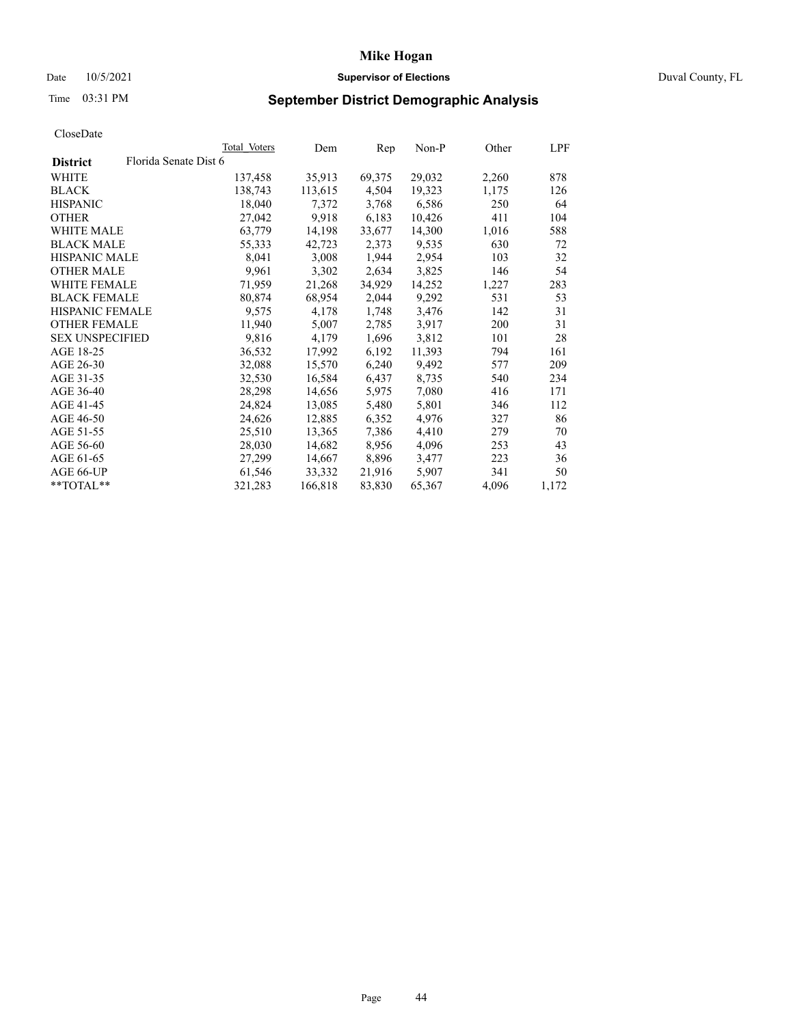# Date 10/5/2021 **Supervisor of Elections** Duval County, FL

# Time 03:31 PM **September District Demographic Analysis**

|                        |                       | Total Voters | Dem     | Rep    | Non-P  | Other | LPF   |
|------------------------|-----------------------|--------------|---------|--------|--------|-------|-------|
| <b>District</b>        | Florida Senate Dist 6 |              |         |        |        |       |       |
| WHITE                  |                       | 137,458      | 35,913  | 69,375 | 29,032 | 2,260 | 878   |
| <b>BLACK</b>           |                       | 138,743      | 113,615 | 4,504  | 19,323 | 1,175 | 126   |
| <b>HISPANIC</b>        |                       | 18,040       | 7,372   | 3,768  | 6,586  | 250   | 64    |
| <b>OTHER</b>           |                       | 27,042       | 9,918   | 6,183  | 10,426 | 411   | 104   |
| WHITE MALE             |                       | 63,779       | 14,198  | 33,677 | 14,300 | 1,016 | 588   |
| <b>BLACK MALE</b>      |                       | 55,333       | 42,723  | 2,373  | 9,535  | 630   | 72    |
| <b>HISPANIC MALE</b>   |                       | 8,041        | 3,008   | 1,944  | 2,954  | 103   | 32    |
| <b>OTHER MALE</b>      |                       | 9,961        | 3,302   | 2,634  | 3,825  | 146   | 54    |
| <b>WHITE FEMALE</b>    |                       | 71,959       | 21,268  | 34,929 | 14,252 | 1,227 | 283   |
| <b>BLACK FEMALE</b>    |                       | 80,874       | 68,954  | 2,044  | 9,292  | 531   | 53    |
| <b>HISPANIC FEMALE</b> |                       | 9,575        | 4,178   | 1,748  | 3,476  | 142   | 31    |
| <b>OTHER FEMALE</b>    |                       | 11,940       | 5,007   | 2,785  | 3,917  | 200   | 31    |
| <b>SEX UNSPECIFIED</b> |                       | 9,816        | 4,179   | 1,696  | 3,812  | 101   | 28    |
| AGE 18-25              |                       | 36,532       | 17,992  | 6,192  | 11,393 | 794   | 161   |
| AGE 26-30              |                       | 32,088       | 15,570  | 6,240  | 9,492  | 577   | 209   |
| AGE 31-35              |                       | 32,530       | 16,584  | 6,437  | 8,735  | 540   | 234   |
| AGE 36-40              |                       | 28,298       | 14,656  | 5,975  | 7,080  | 416   | 171   |
| AGE 41-45              |                       | 24,824       | 13,085  | 5,480  | 5,801  | 346   | 112   |
| AGE 46-50              |                       | 24,626       | 12,885  | 6,352  | 4,976  | 327   | 86    |
| AGE 51-55              |                       | 25,510       | 13,365  | 7,386  | 4,410  | 279   | 70    |
| AGE 56-60              |                       | 28,030       | 14,682  | 8,956  | 4,096  | 253   | 43    |
| AGE 61-65              |                       | 27,299       | 14,667  | 8,896  | 3,477  | 223   | 36    |
| AGE 66-UP              |                       | 61,546       | 33,332  | 21,916 | 5,907  | 341   | 50    |
| $*$ TOTAL $*$          |                       | 321,283      | 166,818 | 83,830 | 65,367 | 4,096 | 1,172 |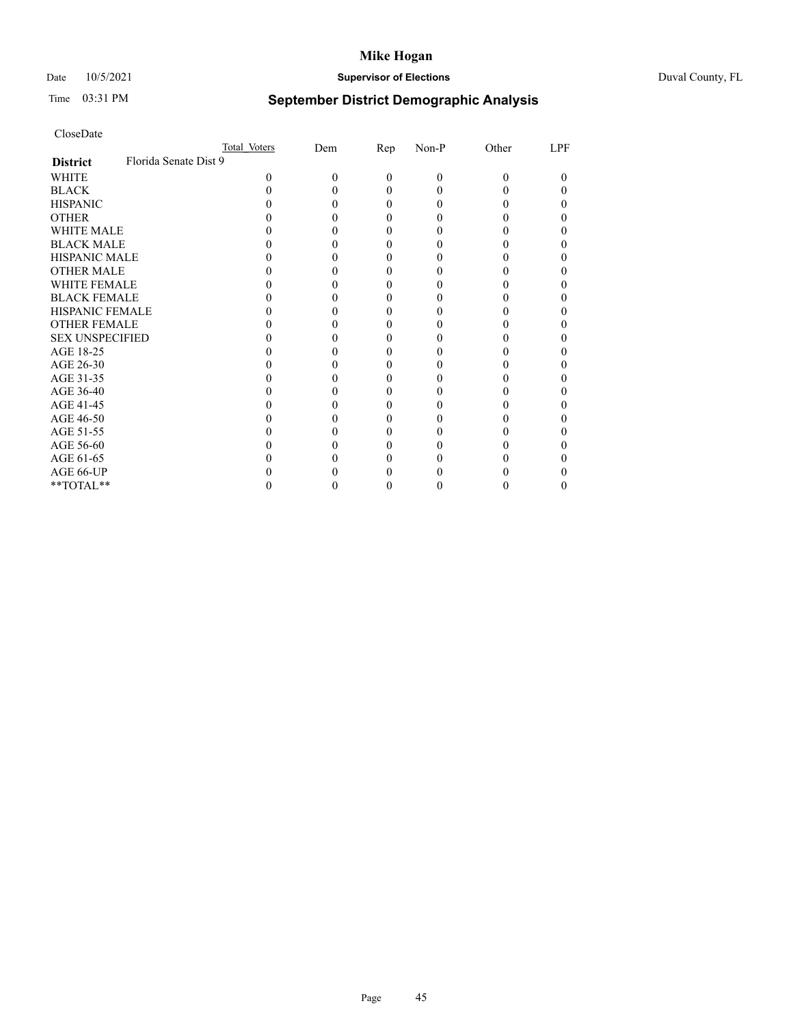# Date 10/5/2021 **Supervisor of Elections** Duval County, FL

# Time 03:31 PM **September District Demographic Analysis**

|                                          | Total Voters | Dem | Rep      | Non-P | Other | LPF |
|------------------------------------------|--------------|-----|----------|-------|-------|-----|
| Florida Senate Dist 9<br><b>District</b> |              |     |          |       |       |     |
| WHITE                                    | $\theta$     | 0   | $\Omega$ | 0     | 0     | 0   |
| <b>BLACK</b>                             |              |     | 0        |       |       |     |
| <b>HISPANIC</b>                          |              |     | $_{0}$   |       |       |     |
| <b>OTHER</b>                             |              |     |          |       |       |     |
| WHITE MALE                               |              |     |          |       |       |     |
| <b>BLACK MALE</b>                        |              |     |          |       |       |     |
| <b>HISPANIC MALE</b>                     |              |     |          |       |       |     |
| <b>OTHER MALE</b>                        |              |     |          |       |       |     |
| <b>WHITE FEMALE</b>                      |              |     |          |       |       |     |
| <b>BLACK FEMALE</b>                      |              |     | 0        |       |       |     |
| <b>HISPANIC FEMALE</b>                   |              |     |          |       |       |     |
| <b>OTHER FEMALE</b>                      |              |     |          |       |       |     |
| <b>SEX UNSPECIFIED</b>                   |              |     |          |       |       |     |
| AGE 18-25                                |              |     |          |       |       |     |
| AGE 26-30                                |              |     |          |       |       |     |
| AGE 31-35                                |              |     |          |       |       |     |
| AGE 36-40                                |              |     | 0        |       |       |     |
| AGE 41-45                                |              |     |          |       |       |     |
| AGE 46-50                                |              |     |          |       |       |     |
| AGE 51-55                                |              |     |          |       |       |     |
| AGE 56-60                                |              |     |          |       |       |     |
| AGE 61-65                                |              |     |          |       |       |     |
| AGE 66-UP                                |              |     |          |       |       |     |
| $**TOTAL**$                              |              |     | 0        |       |       |     |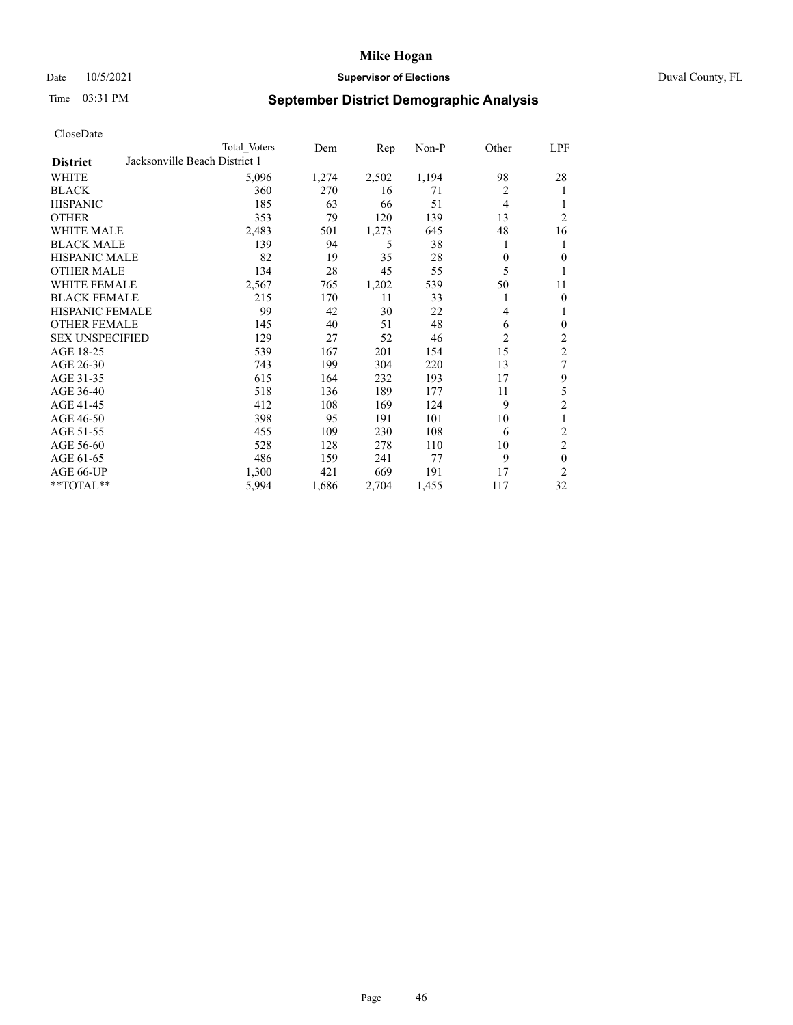# Date 10/5/2021 **Supervisor of Elections Supervisor of Elections** Duval County, FL

# Time 03:31 PM **September District Demographic Analysis**

|                                                  | Total Voters | Dem   | Rep   | Non-P | Other          | LPF            |
|--------------------------------------------------|--------------|-------|-------|-------|----------------|----------------|
| Jacksonville Beach District 1<br><b>District</b> |              |       |       |       |                |                |
| WHITE                                            | 5,096        | 1,274 | 2,502 | 1,194 | 98             | 28             |
| <b>BLACK</b>                                     | 360          | 270   | 16    | 71    | $\overline{2}$ | 1              |
| <b>HISPANIC</b>                                  | 185          | 63    | 66    | 51    | $\overline{4}$ |                |
| <b>OTHER</b>                                     | 353          | 79    | 120   | 139   | 13             | $\overline{2}$ |
| WHITE MALE                                       | 2,483        | 501   | 1,273 | 645   | 48             | 16             |
| <b>BLACK MALE</b>                                | 139          | 94    | 5     | 38    | 1              | 1              |
| <b>HISPANIC MALE</b>                             | 82           | 19    | 35    | 28    | 0              | 0              |
| <b>OTHER MALE</b>                                | 134          | 28    | 45    | 55    | 5              | 1              |
| WHITE FEMALE                                     | 2,567        | 765   | 1,202 | 539   | 50             | 11             |
| <b>BLACK FEMALE</b>                              | 215          | 170   | 11    | 33    | 1              | $\theta$       |
| <b>HISPANIC FEMALE</b>                           | 99           | 42    | 30    | 22    | 4              | 1              |
| <b>OTHER FEMALE</b>                              | 145          | 40    | 51    | 48    | 6              | $\theta$       |
| <b>SEX UNSPECIFIED</b>                           | 129          | 27    | 52    | 46    | $\overline{2}$ | 2              |
| AGE 18-25                                        | 539          | 167   | 201   | 154   | 15             | $\overline{2}$ |
| AGE 26-30                                        | 743          | 199   | 304   | 220   | 13             | 7              |
| AGE 31-35                                        | 615          | 164   | 232   | 193   | 17             | 9              |
| AGE 36-40                                        | 518          | 136   | 189   | 177   | 11             | 5              |
| AGE 41-45                                        | 412          | 108   | 169   | 124   | 9              | $\overline{2}$ |
| AGE 46-50                                        | 398          | 95    | 191   | 101   | 10             | 1              |
| AGE 51-55                                        | 455          | 109   | 230   | 108   | 6              | 2              |
| AGE 56-60                                        | 528          | 128   | 278   | 110   | 10             | $\mathfrak{2}$ |
| AGE 61-65                                        | 486          | 159   | 241   | 77    | 9              | $\theta$       |
| AGE 66-UP                                        | 1,300        | 421   | 669   | 191   | 17             | $\overline{2}$ |
| **TOTAL**                                        | 5,994        | 1,686 | 2,704 | 1,455 | 117            | 32             |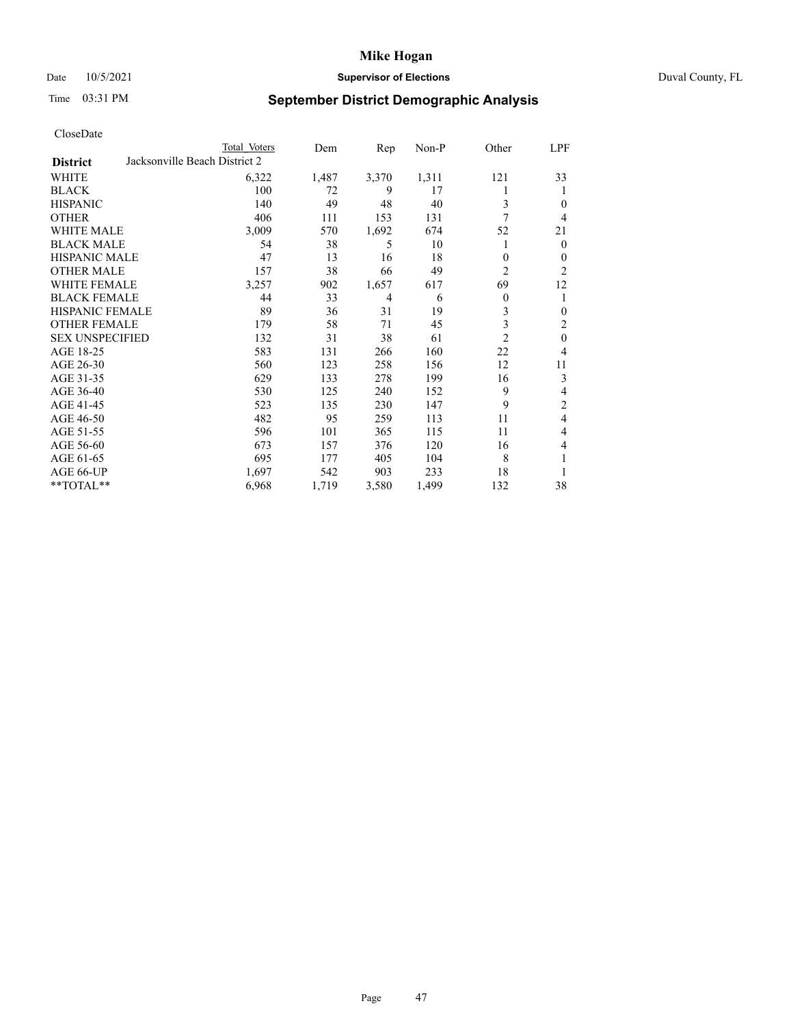# Date 10/5/2021 **Supervisor of Elections Supervisor of Elections** Duval County, FL

# Time 03:31 PM **September District Demographic Analysis**

|                                                  | Total Voters | Dem   | Rep            | $Non-P$ | Other          | <b>LPF</b>       |
|--------------------------------------------------|--------------|-------|----------------|---------|----------------|------------------|
| Jacksonville Beach District 2<br><b>District</b> |              |       |                |         |                |                  |
| WHITE                                            | 6,322        | 1,487 | 3,370          | 1,311   | 121            | 33               |
| <b>BLACK</b>                                     | 100          | 72    | 9              | 17      |                | 1                |
| <b>HISPANIC</b>                                  | 140          | 49    | 48             | 40      | 3              | $\mathbf{0}$     |
| <b>OTHER</b>                                     | 406          | 111   | 153            | 131     | 7              | $\overline{4}$   |
| <b>WHITE MALE</b>                                | 3,009        | 570   | 1,692          | 674     | 52             | 21               |
| <b>BLACK MALE</b>                                | 54           | 38    | 5              | 10      |                | $\mathbf{0}$     |
| <b>HISPANIC MALE</b>                             | 47           | 13    | 16             | 18      | $\theta$       | $\theta$         |
| <b>OTHER MALE</b>                                | 157          | 38    | 66             | 49      | $\overline{c}$ | $\overline{2}$   |
| WHITE FEMALE                                     | 3,257        | 902   | 1,657          | 617     | 69             | 12               |
| <b>BLACK FEMALE</b>                              | 44           | 33    | $\overline{4}$ | 6       | $\theta$       | 1                |
| <b>HISPANIC FEMALE</b>                           | 89           | 36    | 31             | 19      | 3              | $\boldsymbol{0}$ |
| <b>OTHER FEMALE</b>                              | 179          | 58    | 71             | 45      | 3              | 2                |
| <b>SEX UNSPECIFIED</b>                           | 132          | 31    | 38             | 61      | $\overline{2}$ | $\mathbf{0}$     |
| AGE 18-25                                        | 583          | 131   | 266            | 160     | 22             | $\overline{4}$   |
| AGE 26-30                                        | 560          | 123   | 258            | 156     | 12             | 11               |
| AGE 31-35                                        | 629          | 133   | 278            | 199     | 16             | 3                |
| AGE 36-40                                        | 530          | 125   | 240            | 152     | 9              | 4                |
| AGE 41-45                                        | 523          | 135   | 230            | 147     | 9              | $\overline{c}$   |
| AGE 46-50                                        | 482          | 95    | 259            | 113     | 11             | $\overline{4}$   |
| AGE 51-55                                        | 596          | 101   | 365            | 115     | 11             | $\overline{4}$   |
| AGE 56-60                                        | 673          | 157   | 376            | 120     | 16             | 4                |
| AGE 61-65                                        | 695          | 177   | 405            | 104     | 8              | 1                |
| AGE 66-UP                                        | 1,697        | 542   | 903            | 233     | 18             | 1                |
| **TOTAL**                                        | 6,968        | 1,719 | 3,580          | 1,499   | 132            | 38               |